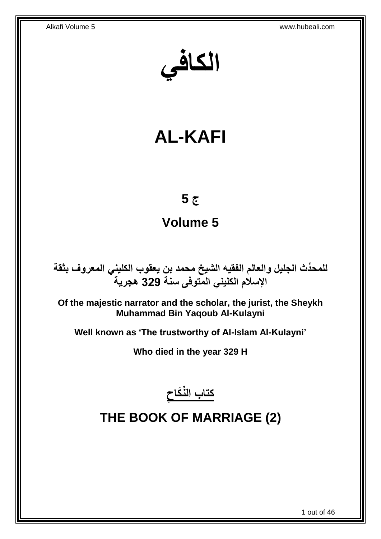**الكافي**

# **AL-KAFI**

## **ج 5**

# **Volume 5**

**دث الجليل والعالم الفقيه الشيخ محمد بن يعقوب الكليني المعروف بثقة للمح ِّ اإلسالم الكليني المتوفى سنة 329 هجرية**

**Of the majestic narrator and the scholar, the jurist, the Sheykh Muhammad Bin Yaqoub Al-Kulayni**

**Well known as 'The trustworthy of Al-Islam Al-Kulayni'**

**Who died in the year 329 H**



# <span id="page-0-0"></span>**THE BOOK OF MARRIAGE (2)**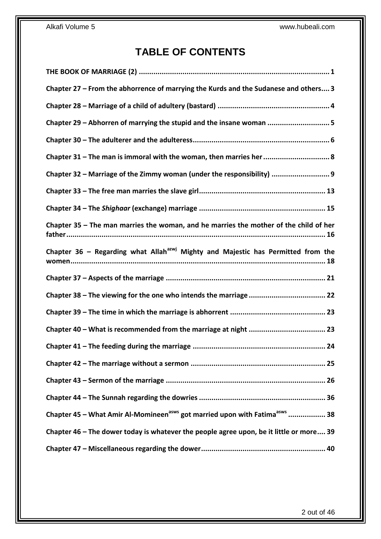## **TABLE OF CONTENTS**

| Chapter 27 - From the abhorrence of marrying the Kurds and the Sudanese and others 3               |
|----------------------------------------------------------------------------------------------------|
|                                                                                                    |
| Chapter 29 - Abhorren of marrying the stupid and the insane woman 5                                |
|                                                                                                    |
| Chapter 31 - The man is immoral with the woman, then marries her  8                                |
| Chapter 32 - Marriage of the Zimmy woman (under the responsibility)  9                             |
|                                                                                                    |
|                                                                                                    |
| Chapter 35 - The man marries the woman, and he marries the mother of the child of her              |
| Chapter 36 - Regarding what Allah <sup>azwj</sup> Mighty and Majestic has Permitted from the       |
|                                                                                                    |
|                                                                                                    |
|                                                                                                    |
|                                                                                                    |
|                                                                                                    |
|                                                                                                    |
|                                                                                                    |
|                                                                                                    |
|                                                                                                    |
| Chapter 45 - What Amir Al-Momineen <sup>asws</sup> got married upon with Fatima <sup>asws</sup> 38 |
| Chapter 46 – The dower today is whatever the people agree upon, be it little or more 39            |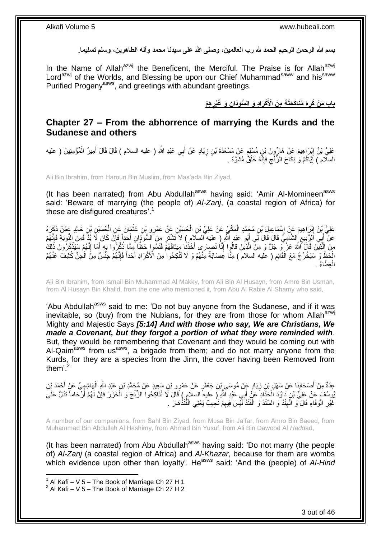**بسم هللا الرحمن الرحيم الحمد هلل رب العالمين، وصلى هللا على سيدنا محمد وآله الطاهرين، وسلم تسليما.**

In the Name of Allah<sup>azwj</sup> the Beneficent, the Merciful. The Praise is for Allah<sup>azwj</sup> Lord<sup>azwj</sup> of the Worlds, and Blessing be upon our Chief Muhammad<sup>saww</sup> and his<sup>saww</sup> Purified Progeny<sup>asws</sup>, and greetings with abundant greetings.

> **َه ُمَناَك َحُت ُه م َن ه ْم باب َم ْن ُكر ن َو َغْير ْكَرا د َو ال ُّسوَدا اْْلَ**

### <span id="page-2-0"></span>**Chapter 27 – From the abhorrence of marrying the Kurds and the Sudanese and others**

عَلِيُّ بْنُ إِبْرَاهِيمَ عَنْ هَارُونَ بْنِ مُسْلِم عَنْ مَسْعَدَةَ بْنِ زِيَادٍ عَنْ أَبِي عَبْدِ اللَّهِ ( عليه السلام ) قَالَ قَالَ أُمِيرُ الْمُؤْمِنِينَ ( عليه َ **∶** ٍ ِ ْ َ السلّام ) إِيَّاكُمْ وَ ٰ نِكَاحَ الزّنْج فَإِنَّهُ خَلْقٌ مُشَوَّهٌ ۚ ۚ ِ ِ <u>֖֚֚֚֚֚֚֓</u>

Ali Bin Ibrahim, from Haroun Bin Muslim, from Mas'ada Bin Ziyad,

(It has been narrated) from Abu Abdullah<sup>asws</sup> having said: 'Amir Al-Momineen<sup>asws</sup> said: 'Beware of marrying (the people of) *Al-Zanj*, (a coastal region of Africa) for these are disfigured creatures'.<sup>1</sup>

عَلِيُّ بِنُ إِبْرَاهِيمَ عَنْ إِسْمَاعِيلَ بْنِ مُحَمَّدٍ الْمَكِّيِّ عَنْ عَلِيِّ بْنِ الْحُسَيْنِ عَنْ عَمْرِو بْنِ عُثْمَانَ عَنِ الْحُسَيْنِ بْنِ خَالِدٍ عَمَّنْ ذَكَرَهُ<br>حَفِّي بَنُ إِبْرَاهِيمَ عَنْ إِسْمَاعِيلَ بْن ْ ْ ْ ِ ِ ْ عَنْ ۖ أَبِي الْزَّبِيعِ إِلشَّآمِيِّ قَالَ فَالَ لِّي أَبُو ۘ عَبْدِ اللَّهِ رِ ۖ عِليه ۖ السَلْإِمِ ﴾ لَا َتَشْتَرِ مِنَ الْسُوْدَانِ أَحَداً فَإِنِّ كَانَ لَا بُذِّ فَمِنَ النُّوبَةِ فَإِنَّهُمْ َ **∶** َ  $\ddot{\zeta}$ **∣** اا<br>ئ ِ ِنَ الَّذِينَ قَالَ اللَّهُ عَزَّ وَ جَلَّ وَ مِنَ الَّذِينَ قَالُوٍا إِنَّا نَصِيارِي أَخَذْنِـا مِبِيثَاقَهُمُّ فَتَسُوا حَظًّا مِمَّا ذُكِّرُوا بِهِ أَمَا إِنَّهُمْ سَيَذْكُرُونَ ذَٰلِكَ ه **ٔ** ِ َ **∶ ٔ** َ ِ الْحَظَّ وَ سَيَخْرُجُ مَعَ الْقَالِمِ ( عليه السلام ) مِثَّا عَصَابَةٌ مِنْهُمْ وَ لَا تَنْكِحُوا مِنَ الْأَكْرَادِ أَحَداً فَإِنَّهُمْ جِنْسٌ مِنَّ الْحِنِّ كُثِلُفَ عَنْهُمُ ِ ْ ْ ∣اٍ َ فِطَاءُ <sub>.</sub> ْ ال

Ali Bin Ibrahim, from Ismail Bin Muhammad Al Makky, from Ali Bin Al Husayn, from Amro Bin Usman, from Al Husayn Bin Khalid, from the one who mentioned it, from Abu Al Rabie Al Shamy who said,

'Abu Abdullah<sup>asws</sup> said to me: 'Do not buy anyone from the Sudanese, and if it was inevitable, so (buy) from the Nubians, for they are from those for whom Allah<sup>azwj</sup> Mighty and Majestic Says *[5:14] And with those who say, We are Christians, We made a Covenant, but they forgot a portion of what they were reminded with*. But, they would be remembering that Covenant and they would be coming out with Al-Qaim<sup>asws</sup> from us<sup>asws</sup>, a brigade from them; and do not marry anyone from the Kurds, for they are a species from the Jinn, the cover having been Removed from them<sup>'.2</sup>

عِدَّةٌ مِنْ أَصْحَابِنَا عَنْ سَهْلٍ بْنِ زِيَادٍ عَنْ مُوسَى بْنِ جَعْفَرٍ عَنْ عَمْرِو بْنِ سَعِيدٍ عَنْ مُحَمَّدِ بْنِ عَبْدِ اللَّهِ الْهَاشِمِيِّ عَنْ أَحْمَدَ بْنِ<br>وَمَدَّةٍ إِنَّهَا اللَّهَ الْمَسْمَعِينَ مِنْ الْ ِ ِ َ َ ْ يُوسُفَ عَنْ عَلِيٍّ بْنِ دَاوُدَ الْحَذَّادِ عَنْ أَبِي عَبْدِ اللَّهِ لِ عليه السلامِ ) قَالَ لَا تُنَاكِحُوا الزِّنْجَ وَ الْخَزَرَ فَإِنَّ لَهُمْ أَرْحَاماً تَدُلُّ عَلَىَ ∣ļ ْ َ ْ َ لَ ْ غَيْرِ الْوَفَاءِ قَالَ ٓوَ الْمِنْدُ وَ السِّنْدُ وَ الْقَنْدُ أَيْسَ فِيهِمْ نَجِيبٌ يَعْنِي الْقُنْذُهَارَ ِ ْ ِ ْ ْ **∶** 

A number of our companions, from Sahl Bin Ziyad, from Musa Bin Ja'far, from Amro Bin Saeed, from Muhammad Bin Abdullah Al Hashimy, from Ahmad Bin Yusuf, from Ali Bin Dawood Al *Hadd*ad,

(It has been narrated) from Abu Abdullah<sup>asws</sup> having said: 'Do not marry (the people of) *Al-Zanj* (a coastal region of Africa) and *Al-Khazar*, because for them are wombs which evidence upon other than loyalty'. He<sup>asws</sup> said: 'And the (people) of Al-Hind

 $1$  Al Kafi – V 5 – The Book of Marriage Ch 27 H 1

 $2$  Al Kafi – V 5 – The Book of Marriage Ch 27 H 2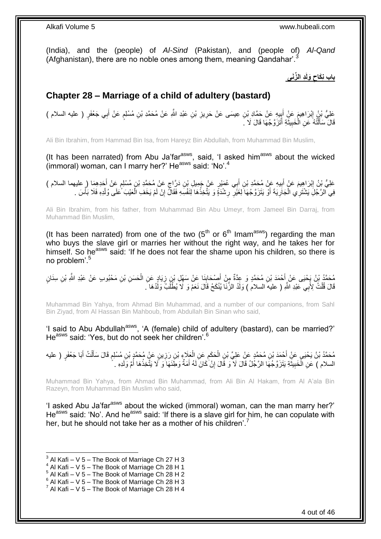(India), and the (people) of *Al-Sind* (Pakistan), and (people of) *Al-Qand* (Afghanistan), there are no noble ones among them, meaning Qandahar'.<sup>3</sup>

> **د ال ِّزَنى َولَ باب ن َكاح**

## <span id="page-3-0"></span>**Chapter 28 – Marriage of a child of adultery (bastard)**

**∶** عَلِيُّ بْنُ إِبْرَاهِيمَ عَنِْ أَبِيهِ عَنْ حَمَّادِ بْنِ عِيسَى عَنْ حَرِيزِ بْنِ عَبْدِ اللَّهِ عَنْ مُحَمَّدِ بْنِ مُسْلِمٍ عَنْ أَبِي جَعْفَرٍ ( عليه السلام ) ِ ِ َ ِ َ ֧֖֧֖֖֖֖֖֧֖֖֧֧֧֧ׅ֧֧֧֧֧֧֧֧֧֧֧֧֚֚֚֚֚֚֚֚֝֝֟֓֝֓֝֓֝֬֟֓֟֓֝֬֝֬֝֓֝֬֜֓֝֬֜֓֝֬֝֓֝֬֝֓֝֬֝֬֓֝֬֝֬֝ قَالَ ٓسَأَلْتُهُ ۚ عَنِ الْخَبِيثَةِ أَتَزَوَّجُهَا قَالَ لَا ۚ َ َ َ **!** ْ ֺ֧֦֦֧֦֦֖֦֦֦֖֦֧֦֪֦֧֦֪֪֦֧֦֪֦֪֦֪֦֧֦֪֦֧֦֪֦֧֦֧֦֪֪֦֧֦֪֪֦֧֦֧֦֧֪֝֟֟֟֟֟֟֟֟֟֟֟֟֟֟֟֟֟֟֟֟֟֬֟֟֓֟֟֟֓֞֟֟֟֓֞֟֟֟֟֩֓֞֟֟֓֞֟֟֟֟֟֟֟֟֝ َ

Ali Bin Ibrahim, from Hammad Bin Isa, from Hareyz Bin Abdullah, from Muhammad Bin Muslim,

(It has been narrated) from Abu Ja'far<sup>asws</sup>, said, 'I asked him<sup>asws</sup> about the wicked (immoral) woman, can I marry her?' He<sup>asws</sup> said: 'No'.<sup>4</sup>

عَلِيُّ بِنُ إِبْرَاهِيمَ عَنْ أَبِيهِ عَنْ مُحَمَّدِ بْنِ أَبِي عُمَيْرٍ عَنْ جَمِيلِ بْنِ دَرَّاجٍ عَنْ مُحَمَّدِ بْنِ مُسْلِمٍ عَنْ أَحَدِهِمَا ( عليهما السلام ) ٍ **!** ِ ֧֖֖֖֖֖֖֖֧֧֧֧ׅ֧֧֧֧ׅ֧֧֧֧֛֪֧֛֪֧֚֚֚֚֚֚֚֚֚֚֚֚֚֚֚֚֚֚֚֚֚֚֚֚֚֓֝֝֬֝֝֓֝֓֝֓֜֝֓֜֓֜֓֞֡֝֬֜֜֡֜֡ َ فِي الرَّجُلِّ يَشْتَرِي الْجَارِيَةَ أَوْ يَتَزَوَّجُهَا لِغَيّْرِ رِشْدَةًٍ وَ يَتَّخِذُهَا لِنَفْسِهِ فَقَالٌ إِنْ لَمْ يَخَفِ الْعَيْبَ ۚ عَلَى وُلْدِهِ فَلَا بَأْسَ . ِ ِ **∶** ْ ْ ْ ْ

Ali Bin Ibrahim, from his father, from Muhammad Bin Abu Umeyr, from Jameel Bin Darraj, from Muhammad Bin Muslim,

(It has been narrated) from one of the two  $(5<sup>th</sup>$  or  $6<sup>th</sup>$  Imam<sup>asws</sup>) regarding the man who buys the slave girl or marries her without the right way, and he takes her for himself. So he<sup>asws</sup> said: 'If he does not fear the shame upon his children, so there is no problem'.<sup>5</sup>

مُحَمَّدُ بْنُ يَجْيَى عَنْ أَحْمَدَ بْنِ مُحَمَّدٍ وَ عِدَّةٌ مِنْ أَصْحَابِنَا عَنْ سَهْلِ بْنِ زِيَادٍ عَنِ الْحَسَنِ بْنِ مَحْبُوبٍ عَنْ عَبْدِ اللَّهِ بْنِ سِنَانٍ ْ ِ **∣** َ َ قَالَ قُلْتُ لِأَبِي عَبْدِ اللَّهِ ( عليه السلام ) وَلَدُ الزِّنَا يُنْكَحُ قَالَ نَعَمْ وَ لَا يُطْلَبُ وَلَدُهَا ۖ ْ

Muhammad Bin Yahya, from Ahmad Bin Muhammad, and a number of our companions, from Sahl Bin Ziyad, from Al Hassan Bin Mahboub, from Abdullah Bin Sinan who said,

'I said to Abu Abdullah<sup>asws</sup>, 'A (female) child of adultery (bastard), can be married?' He<sup>asws</sup> said: 'Yes, but do not seek her children'.<sup>6</sup>

مُحَمَّدُ بْنُ يَحْيَى عَنِْ أَحْمَدَ بْنِ مُحَمَّدٍ عَنْ عَلِيِّ بْنِ الْحَكَمِ عَنِ الْعَلَاءِ بْنِ رَزِينٍ عَنٍْ مُحَمَّدٍ بْنِ مُسْلِمٍ قَالَ سَأَلْتُ أَبَا جَعْفَرٍ ( عليه ِ ْ ِ ْ َ ْ َ ֧֖֖֖֧֖֧֧֧֧֧֧֧֧֧֧֧֚֚֚֚֓֝֝֝֝֟֓֟֓֝֬֝֓֝֬֟֓֟֓֬֝֓֟֓֟֓֝֬֝֓֝֓֟֓֝֬֝֬֝֓֝֬֝֓֝֬ السلام ) عَنِ الْخَبِيثَةِ يَتَزَوَّجُهَا الرَّجُلُ قَالَ لَا ۖ وَ قَالَ إِنْ كَانَ لَهُ أَمَةٌ وَطَئَهَا وَ لَا يَتَّخِذْهَا أُمَّ وَلَدِهِ .  $\ddot{\phantom{0}}$ **!** ْ **ٔ** َ ِ

Muhammad Bin Yahya, from Ahmad Bin Muhammad, from Ali Bin Al Hakam, from Al A'ala Bin Razeyn, from Muhammad Bin Muslim who said,

'I asked Abu Ja'far<sup>asws</sup> about the wicked (immoral) woman, can the man marry her?' Heasws said: 'No'. And he<sup>asws</sup> said: 'If there is a slave girl for him, he can copulate with her, but he should not take her as a mother of his children'.<sup>7</sup>

- $4$  Al Kafi V 5 The Book of Marriage Ch 28 H 1
- $5$  Al Kafi V 5 The Book of Marriage Ch 28 H 2
- $6$  Al Kafi V 5 The Book of Marriage Ch 28 H 3

<sup>3</sup> Al Kafi – V 5 – The Book of Marriage Ch 27 H 3

 $^7$  Al Kafi – V 5 – The Book of Marriage Ch 28 H 4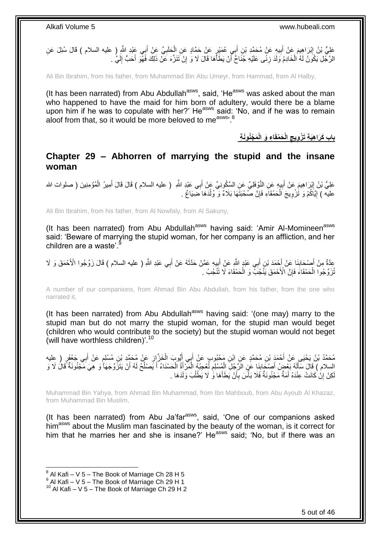

Ali Bin Ibrahim, from his father, from Muhammad Bin Abu Umeyr, from Hammad, from Al Halby,

(It has been narrated) from Abu Abdullah $a<sup>asws</sup>$ , said, 'He $a<sup>asws</sup>$  was asked about the man who happened to have the maid for him born of adultery, would there be a blame upon him if he was to copulate with her?' He $^{asws}$  said: 'No, and if he was to remain aloof from that, so it would be more beloved to me<sup>asws, 8</sup>

> باب كَرَاهِيَةِ تَزْوِيجِ الْحَمْقَاءِ وَ الْمَجْنُونَةِ

### <span id="page-4-0"></span>**Chapter 29 – Abhorren of marrying the stupid and the insane woman**

عَلِيُّ بْنُ إِبْرَاهِيمَ عَنْ أَبِيهٍ عَنِ النَّوْفَلِيِّ عَنِ السَّكُونِيِّ عَنْ أَبِي عَبْدٍ اللَّهِ ( عليه السلام ) قَالَ قَالَ أَمِيرُ الْمُؤْمِنِينَ ( صلوات الله **!** َ ∣l<br>∶ ْ َ عليه ) إِيَّاكُمْ وَ تُزْوِيجَ اَلْحَمْقَاَءِ فَإِنَّ صُّحْبَتََهَا بَلَامٌ وَ ۗ وُلْدَهَا ضَّنِيَاعٌ . ِ ْ ِ <u>֖֖֚֚֚֚֚֚</u>

Ali Bin Ibrahim, from his father, from Al Nowfaly, from Al Sakuny,

(It has been narrated) from Abu Abdullah<sup>asws</sup> having said: 'Amir Al-Momineen<sup>asws</sup> said: 'Beware of marrying the stupid woman, for her company is an affliction, and her children are a waste'.

عِدَّةٌ مِنْ أَصْحَابِنَا عَنْ أَجْمَدَ بْنِ أَبِي عَبْدٍ اللَّهِ عَنْ إِلَيهِ عَمَّنْ حَدَّثَهُ عَنْ أَبِي عَبْدِ اللَّهِ ( عليه السلام ) قَالَ زَوِّجُوا الْأَحْمَقَ وَ لَا<br>يَسَمَّدُ مَنْ أَصْحَابِنَا عَنْ أَحْمَدَ بْنِ أ َ َ **∣** َ َ َ ِ َ ُنْرَوِّجُوا الْحَمْقَاءَ فَإِنَّ الْأَحْمَقَ يَنْجُبَّ وَ الْحَمْقَاءَ لَا تَنْجُبُ . ْ ِ ْ

A number of our companions, from Ahmad Bin Abu Abdullah, from his father, from the one who narrated it,

(It has been narrated) from Abu Abdullah<sup>asws</sup> having said: '(one may) marry to the stupid man but do not marry the stupid woman, for the stupid man would beget (children who would contribute to the society) but the stupid woman would not beget (will have worthless children)'.<sup>10</sup>

مُحَمَّدُ بْنُ يَحْيَى عَنْ أَحْمَدَ بْنِ مُحَمَّدٍ عَنِ ابْنِ مَحْبُوبٍ عَنْ أَبِي أَيُوبَ الْخَزَّ إِن عَنْ مُحَمَّدِ بْنِ مُسْلِمٍ عَنْ أَبِي جَعْفَرٍ ( عِليه ֧֖֧֖֖֖֖֚֚֚֚֚֚֝֝֝֟֓֟֓֟֓֟׆<br>֧֪֧ ِ ْ َ َ َ السلام ) قَالَ سَأَلَهُ بَعْضٍ أَصْبَحَابِذَا عَنِ الرَّجُلِّ الْمُسْلِمِ تُعْجِبُهِ الْمَرّْأَةُ الْحَسْنَاءُ أَ يَصْلُحُ لَهُ أَنْ يَتَزَوَّجَهَا ۚ وَ هِيَ مَجْنُونَةٌ قَالُ لَا وَ ْ َ ْ ֺ֦֦֪֪ׅ֪ׅ֪֪ׅ֚֚֚֚֚֚֚֚֚֚֚֚֚֚֚֡֓֡֓֡֓֡֡֡֓֡֡֬֓֡֡֬֝֬֓֡֡֡֓֡֡֡֓֡֡֓ ْ **∣** َ لَ َ ا<br>ا َ كِنْ إِنّْ كَانَتْ عِنْدَهُ أَمَةٌ مَجْنُونَةٌ فَلَا بَأْسَ بِأَنْ يَطَأَهَا وَ لَا يَطْلُبَ وَلَدَهَا . ُ َ اُ ِ ا:<br>ا َ ِ لَ

Muhammad Bin Yahya, from Ahmad Bin Muhammad, from Ibn Mahboub, from Abu Ayoub Al Khazaz, from Muhammad Bin Muslim,

(It has been narrated) from Abu Ja'far<sup>asws</sup>, said, 'One of our companions asked him<sup>asws</sup> about the Muslim man fascinated by the beauty of the woman, is it correct for him that he marries her and she is insane?' He<sup>asws</sup> said; 'No, but if there was an

 $^8$  Al Kafi – V 5 – The Book of Marriage Ch 28 H 5

 $9$  Al Kafi – V 5 – The Book of Marriage Ch 29 H 1

 $10$  Al Kafi – V 5 – The Book of Marriage Ch 29 H 2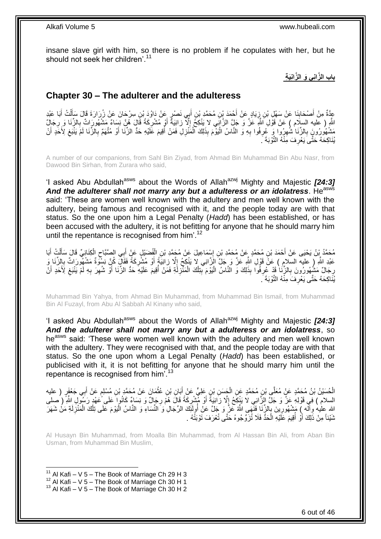insane slave girl with him, so there is no problem if he copulates with her, but he should not seek her children'.<sup>11</sup>

**باب ال َّزان ي َو ال َّزان َي ة**

### <span id="page-5-0"></span>**Chapter 30 – The adulterer and the adulteress**

عِدَّةٌ مِنْ أَصْحَابِنَا عَنْ سَهْلِ بْنِ زِيَادٍ عَنْ أَحْمَدَ بْنِ مُحَمَّدٍ بْنِ أَبِي نَصْرٍ عَنْ دَاوُدَ بْنِ سِرْحَانَ عَنْ زُرَارَةَ قَالَ سَأَلْتُ أَبَا عَبْدِ **∣** َ َ َ َ ِ َ ْ اللَّهِ ( عليه السلَام ) عَنْ قَوْلِ اللَّهِ عَزَّ وَ جَلٍّ الزَّانِي لا يَنْكِحُ إِلَّا زانِيَةً أَوْ مُشْرِكَةً قَالَ هُنَّ نِسِاءٌ مَشْهُورَاتٌ بِالزِّنَا وَ رِجَالٌ **∶** َ ِ ِ ِ ِّشْهُورُونَ بِالزِّنَا شُهِرُوا وَ ۖ عُرِفُوا بِهِ وَ النَّاسُ الْيَوْمَ بِذَلِكَ الْمَنْزِلِ فَمَنْ أُقِيمَ عَلَيْهِ حَدُّ الزِّنَا أَوْ مُتَّهَمٌ بِالزُّنَا لَمْ يَنْبَغِ لِأَحَدِ أَنْ ر<br>ا **∶** ْ :<br>ا **∶** ِ ِ ِ َ ِ ِ َ يُذَاكِحَهُ حَتَّىَ يَعْرِفَ مِنْهُ النَّوْبَةَ ۚ. ِ

A number of our companions, from Sahl Bin Ziyad, from Ahmad Bin Muhammad Bin Abu Nasr, from Dawood Bin Sirhan, from Zurara who said,

'I asked Abu Abdullah<sup>asws</sup> about the Words of Allah<sup>azwj</sup> Mighty and Majestic **[24:3]** And the adulterer shall not marry any but a adulteress or an idolatress. He<sup>asws</sup> said: 'These are women well known with the adultery and men well known with the adultery, being famous and recognised with it, and the people today are with that status. So the one upon him a Legal Penalty (*Hadd*) has been established, or has been accused with the adultery, it is not befitting for anyone that he should marry him until the repentance is recognised from him<sup>'.12</sup>

**∶** مُحَمَّدُ بِنُ يَحْيَى عَنْ أَحْمَدَ بْنِ مُحَمَّدٍ عَنْ مُحَمَّدِ بْنِ إِسْمَاعِيلَ عَنْ مُجَمَّدِ بْنِ الْفُضَبْلِ عَنْ أَبِهِ الصَّبَّاحِ الْكِنَاذِيِّ قَالَ سَأَلْتُ أَبَا َ ْ ∣∣<br>∶ َ ْ َ ْ ِ عَبْدِ اللَّهِ ( عليه السلامِ ) عَنْ قَوْلِ اللَّهِ عَزَّ وَ جَلَّ الزَّانِي لا يَنْكِحُ إِلَّا زِانِيَةٍ أَوْ مُشْرِكَةً فَقَالٍ كُنِّ نِسْوَةٌ مَشْهُورَاتٌ بِالزِّنَا وَ ِ ِ َ ِ رِجَالٌ مَشْهُورُونَ بِالزِّنَا قَدْ عُرِفُوا بِذَلِكَ وَ الْنَّاسُ الْيَوْمَ بِّنِلْكَ الْمَنْزِلَّةِ فَمَنْ أُقِيمَ عَلَيْهِ حَدٌ الزِّنَا أَوْ شُهِرَ بِهِ لَمْ يَنْبَغِ لِأَحَدِ أَنْ ُ لَ **∶** ْ ْ **∶** :<br>ا ِ **∶** ِ َ َ ِ **∶** ِ يُذَاكِحَهُ حَتَّى يَعْرِفَ مِنْهُ النَّوْبَةَ ۚ. ِ

Muhammad Bin Yahya, from Ahmad Bin Muhammad, from Muhammad Bin Ismail, from Muhammad Bin Al Fuzayl, from Abu Al Sabbah Al Kinany who said,

'I asked Abu Abdullah<sup>asws</sup> about the Words of Allah<sup>azwj</sup> Mighty and Majestic **[24:3]** *And the adulterer shall not marry any but a adulteress or an idolatress*, so he<sup>asws</sup> said: 'These were women well known with the adultery and men well known with the adultery. They were recognised with that, and the people today are with that status. So the one upon whom a Legal Penalty (*Hadd*) has been established, or publicised with it, it is not befitting for anyone that he should marry him until the repentance is recognised from him'.<sup>13</sup>

الْحُسَيْنُ بْنُ مُحَمَّدٍ عَنٍْ مُعَلَّى بْنِ مُحَمَّدٍ عَنِ الْجَسَنِ بْنٍ عَلِيٍّ عَنْ أَبَانِ بْنِ عُثْمَانَ عَنْ مُحَمَّدِ بْنِ مُسْلِمٍ عَنْ أَبِي جَعْفَرٍ ( عليه ْ ֧֖֧֦֧֦֧֦֧֦֚֝֝֝֝֝ **ٔ** َ ْ َ السلام ) فِي قَوْلِهِ عَنَّ وَ جَلَّ الزَّانِي لاَ يَنْكِحُ إِلَّا زَانِيَةً أَوْ مُّشْرِكَةً قَالَ هُمْ رِجَالٌ وَ نِسَاءٌ كَانُوا عَلَى عَهْدٍ رَسُولِ اللَّهِ ( صلى ِ َ ِ ِ الله عليه وآله ) مَشْهُورِينَ بِالزِّنَا فَنَّهَى اللَّهُ عَزَّ وَ جَلَّ عَنْ أُولَئِكَ الرِّجَالِ وَ النَّسَاءِ وَ النَّاسُ الْيَوْمَ عَلَى تِلْكَ الْمَنْزِلَةِ مَنْ شَهَرَ<br>يَمْسَعُ بِينِ مَثَّلِ الْمَنْزِلَةِ مَنْ شَهَر ُ ِ ِ ْ ْ ر<br>ا نَنَيْئاً مِنْ ذَلِكَ أَوْ أَقِيمَ عَلَيْهِ الْحَدُّ فَلَا تُزَوِّجُوهُ حَتَّى تُعْرَفَ تَوْبَتُهُ . ْ ُ

Al Husayn Bin Muhammad, from Moalla Bin Muhammad, from Al Hassan Bin Ali, from Aban Bin Usman, from Muhammad Bin Muslim,

<sup>&</sup>lt;sup>11</sup> Al Kafi – V 5 – The Book of Marriage Ch 29 H 3

 $12$  Al Kafi – V  $5$  – The Book of Marriage Ch 30 H 1

 $13$  Al Kafi – V 5 – The Book of Marriage Ch 30 H 2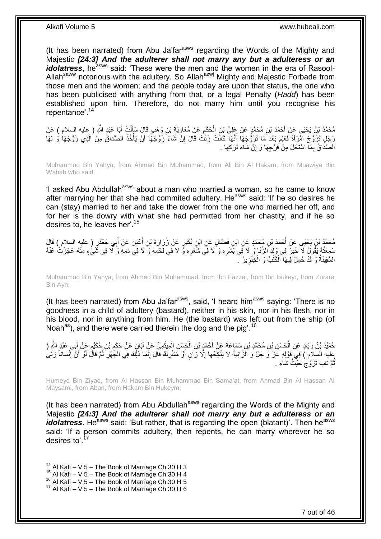(It has been narrated) from Abu Ja'far<sup>asws</sup> regarding the Words of the Mighty and Majestic *[24:3] And the adulterer shall not marry any but a adulteress or an idolatress*, he<sup>asws</sup> said: 'These were the men and the women in the era of Rasool-Allah<sup>saww</sup> notorious with the adultery. So Allah<sup>azwj</sup> Mighty and Majestic Forbade from those men and the women; and the people today are upon that status, the one who has been publicised with anything from that, or a legal Penalty (*Hadd*) has been established upon him. Therefore, do not marry him until you recognise his repentance'.<sup>14</sup>

َ مُحَمَّدُ بِنُ يَحْيَى عَنْ أَحْمَدَ بْنِ مُحَمَّدٍ عَنْ عَلِيِّ بِنِ الْحَكَمِ عَنْ مُعَاوِيَةَ بْنِ وَهْبٍ قَالَ سَأَلْتُ أَبَا عَبْدِ اللَّهِ ( عِليه السلام ) عَنْ ْ َ **∶** ِ ْ رَجُلٍ تَزَوَّجَ امْرَأَةً فَعَلِمَ بَعْدَ مَا تَزَوَّجَهَا أَنَّهَا كَانَتْ زَنَتْ قَالَ إِنَّ شَاءَ زَوْجُهَا أَنْ يَأْخُذَ الصَّدَاقَ مِنَ الَّذِي زَوَّجَهَا وَ لَهَا َ َ ه ْ َ ِ الْصَّذَاقُ بِمَا اسْتَحَلَّ مِنْ فَرْجِهَا وَ إِنْ شَاءَ تَرَكَهَا . ِ ِ

Muhammad Bin Yahya, from Ahmad Bin Muhammad, from Ali Bin Al Hakam, from Muawiya Bin Wahab who said,

'I asked Abu Abdullah<sup>asws</sup> about a man who married a woman, so he came to know after marrying her that she had commited adultery. He<sup>asws</sup> said: 'If he so desires he can (stay) married to her and take the dower from the one who married her off, and for her is the dowry with what she had permitted from her chastity, and if he so desires to, he leaves her'.<sup>15</sup>

مُحَمَّدُ بْنُ يَحْيَى عَنْ أَحْمَدَ بْنِ مُحَمَّدٍ عَنِ ابْنِ فَضَّالٍ عَنِ ابْنِ بُكَيْرٍ عَنْ زُرَارَةَ بْنِ أَعْيَنَ عَنْ أَبِي جَعْفَرٍ ( عليه السلام ) قَالَ<br>. َ َ سَمِعْتُهُ يَقُولُ لَا خَيْرَ فِي وَلَدِ الزِّنَا وَ لَا فِي بَشَرِهِ وَ لَا فِي شَعْرِهِ وَ لَا فِي لَحْمِهِ وَ لَا فِي ذَمِهِ وَ لَا فِي شَيْءٍ مِنْهُ عَجَزَتُ عَنْهُ **∶** ِ السَّفِينَةُ وَ قَدْ حُمِلَ فِيهَا الْكَلْبُ وَ الْخِنْزِينُ مَ **∶** ْ ْ ْ

Muhammad Bin Yahya, from Ahmad Bin Muhammad, from Ibn Fazzal, from Ibn Bukeyr, from Zurara Bin Ayn,

(It has been narrated) from Abu Ja'far $a_{\text{sws}}$ , said, 'I heard him $a_{\text{sws}}$  saying: 'There is no goodness in a child of adultery (bastard), neither in his skin, nor in his flesh, nor in his blood, nor in anything from him. He (the bastard) was left out from the ship (of Noah<sup>as</sup>), and there were carried therein the dog and the pig'.<sup>16</sup>

نِ الْحَسَنِ بِّنِ مُحَمَّدِ بْنِ سَمَاعَةً عَنْ أَحْمَدَ بْنِ الْجَسَنِ الْمِيثَمِيِّ عَنْ أَبَانٍ عَر حُمَيْدُ بْنُ زِيَادٍ عَنِ الْحَسَنِ بْنِ مُحَمَّدِ بْنِ سَمَاعَةَ عَنْ أَحْمَدَ بْنِ الْحَسَنِ الْمِيثَمِيِّ عَنْ أَبَانٍ عَنْ حَكَمِ بْنِ حُكَيْمٍ عَنْ أَبِي عَبْدِ الثَّهِ ( َ َ ْ ْ َ ْ ِ َ ֦֖֚֚֝֝֝֝֝֝ ِ ِ عليه السِّلاَمُ ) فِي َقَوْلِهِ عَزَّ وَ جَلَّ وَ الَّزَّانِيَةُ لا يَنْكِّحُها إِلَّا زَانٍ أَوْ مُشْرِكٌ قَالَ إِنَّمَا ذَلِّكَ فِي الْجَهْرِ ثُمَّ قَالُ لَوْ أَنَّ إِنْسَاناً زَنَىُ<br>نُوجِبِهِ السِّلاَمُ ) فِي قَوْلِهِ ْ ِ َ ْ ِ ِ َ ثُمَّ ثَابَ ثَزَوَّجْ حَيْثُ شَاءَ . ُ

Humeyd Bin Ziyad, from Al Hassan Bin Muhammad Bin Sama'at, from Ahmad Bin Al Hassan Al Maysami, from Aban, from Hakam Bin Hukeym,

(It has been narrated) from Abu Abdullah<sup>asws</sup> regarding the Words of the Mighty and Majestic *[24:3] And the adulterer shall not marry any but a adulteress or an idolatress*. He<sup>asws</sup> said: 'But rather, that is regarding the open (blatant)'. Then he<sup>asws</sup> said: 'If a person commits adultery, then repents, he can marry wherever he so desires to<sup>'.17</sup>

- $15$  Al Kafi V 5 The Book of Marriage Ch 30 H 4
- $16$  Al Kafi V  $5$  The Book of Marriage Ch 30 H 5

 $14$  Al Kafi – V 5 – The Book of Marriage Ch 30 H 3

 $17$  Al Kafi – V 5 – The Book of Marriage Ch 30 H 6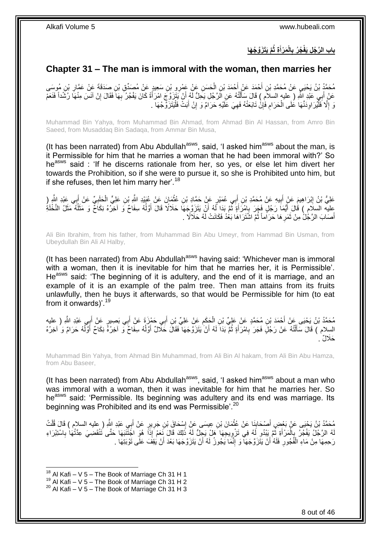### **َّم َيَت َزَّو ُج َها ة ثُ َم ْرأ الْ ُج ُر ب باب ال َّر ُج ل َيفْ َ**

### <span id="page-7-0"></span>**Chapter 31 – The man is immoral with the woman, then marries her**

مُحَمَّدُ بْنُ يَحْيَيِ عَنْ مُحَمَّدِ بْنِ أَحْمَدَ عَنْ أَحْمَدَ بْنِ الْحَسَنِ عَنْ عَمْرِو بْنِ سَعِيدٍ عَنْ مُصَدِّقٍ بْنِ صَدَقَةَ عَنْ عَمَّارِ بْنِ مُوسَى<br>مِدْءَ مَسَلِّمَة مَسَلِّمَة الْمَسْرَ وَالْمُسَلِّمَة الْ ِ ْ َ َ عَنْ أَبِي عَبْدِ إِللَّهِ ( عليه السلاَمِ ) قَالَ سَأَلْتُهُ عَنِ الرَّجُلِ يَحِلُّ لَهُ أَنْ يَتَزَوَّ جَ امْرَأَةً كَانَ يَفْجُرُ بِهَا فَقَالَ إِنْ آنَسَ مِنْهَا رُشَّداً فَنَعَمْ َ اُ ֦֧֦֧֦֧֦֪ׅ֧֦֧֦֧֦֧֦֪֧֪֦֪֪֦֪֪֦֧֦֪֪֦֧֟֟֟֓֕֟֓֕֝֟֓֟֓֡֟֓֟֓֡֟֓֡֟֟֓֡֟֟֓֟֓֡֟֟֓֡֟֓֞֟֓֡֟֓֞֟֟֓֡֟֓֟֓֟֓֟֓֟֝֓֟֟֟ َ ِ **∶** وَ إِلَّا فَلْيُرَ اوِدَنَّهَا عَلَى الْحَرَامِ فَإِنْ تَابَعَتْهُ فَهِيَ عَلَيْهِ حَرَامٌ وَ إِنْ أَبَتْ فَلْيَتَزَوَّحْهَا . ْ َ ِ ِ ِ **ُ** ْ **∶** :<br>ا ِ

Muhammad Bin Yahya, from Muhammad Bin Ahmad, from Ahmad Bin Al Hassan, from Amro Bin Saeed, from Musaddaq Bin Sadaqa, from Ammar Bin Musa,

(It has been narrated) from Abu Abdullah $a<sup>asws</sup>$ , said, 'I asked him $a<sup>asws</sup>$  about the man, is it Permissible for him that he marries a woman that he had been immoral with?' So he<sup>asws</sup> said : 'If he discerns rationale from her, so yes, or else let him divert her towards the Prohibition, so if she were to pursue it, so she is Prohibited unto him, but if she refuses, then let him marry her'.<sup>18</sup>

عَلِيُّ بْنُ إِبْرَاهِيمَ عَنْ أَبِيهِ عَنْ مُحَمَّدِ بْنِ أَبِي عُمَيْرٍ عَنْ حَمَّادِ بْنِ عُثْمَانَ عَنْ عُبَيْدِ اللَّهِ بْنِ عَلِيٍّ الْحَلَبِيِّ عَنْ أَبِي عَبْدِ اللَّهِ (ِ **!** َ <u>֖֚֚֚֓</u> َ ِ ْ ْ َ عِليه السلَامُ ) قُالَ أَيُّمَا رَجُلٍ فَجَرَ بِامْرَأَةٍ ثُمَّ بَدَا لَّهُ أَنْ يَتَزَوَّجَهَا حَلَالًا قَالَ أَوَّلُهُ سِفَاحٌ وَ آخِرُهُ نِكَاحٌ وَ مَثَلُهُ مَثَلُ النَّخْلَةُ ُ َ اُ ال<br>المقال َ ¦ ُ أَصَابَ الرَّجُٰلُ مِنْ ثَمَرِ هَا حَرَ اماً ثُمَّ اشْتَرَ اهَا بَعْدُ فَكَانَتْ لَهُ حَلَالًا . ُ **∶** َ َ

Ali Bin Ibrahim, from his father, from Muhammad Bin Abu Umeyr, from Hammad Bin Usman, from Ubeydullah Bin Ali Al Halby,

(It has been narrated) from Abu Abdullah<sup>asws</sup> having said: 'Whichever man is immoral with a woman, then it is inevitable for him that he marries her, it is Permissible'. He<sup>asws</sup> said: 'The beginning of it is adultery, and the end of it is marriage, and an example of it is an example of the palm tree. Then man attains from its fruits unlawfully, then he buys it afterwards, so that would be Permissible for him (to eat from it onwards)'.<sup>19</sup>

مُحَمَّدُ بْنُ يَحْيَى عَنْ أَحْمَدَ بْنِ مُحَمَّدٍ عَنْ عَلِيِّ بْنِ الْحَكِمِ عَنْ عَلِيٍّ بْنِ أَبِي حَمْزَةَ عَنْ أَبِي بَصِبِيرٍ عَنْ أَبِي عَبْدِ اللَّهِ ( عليه ْ َ َ َ ِ السِلام ) قَالَ سَأَلْتُهُ عَنْ رَجُلٍّ فَجَرَ بِامْرَأَةٍ ثُمَّ بَدَاً لَهُ أَنْ يَتَزَوَّجَهَا ۖ فَقَالَ حَلَّالٌ أَوَّلُهُ سِفَاحٌ وَّ آخِرُهُ وَحَرَامٌ وَ اخِرُهُ ُ َ اُ ان<br>المقام َ ِ ֺ֖֖֖֖֪֦֪֦֖֦֦֖֦֧֦֪֦֖֧֦֪֦֪֦֧֦֪֦֪֦֪֦֧֦֖֦֪֦֧֦֧֦֪֦֧֦֧֦֪֪֦֧֦֪֪֦֧֦֧֦֧֪֦֧֟֟֟֟֟֟֟֟֟֟֟֟֟֟֟֟֟֟֟֟֟֟֟֟֟֟֟֟֟֟֟֟֟֟֟֟֟֟֟֟֟֟֟֟֟֟֟֟ ُ َ َحَال ٌل .

Muhammad Bin Yahya, from Ahmad Bin Muhammad, from Ali Bin Al hakam, from Ali Bin Abu Hamza, from Abu Baseer,

(It has been narrated) from Abu Abdullah $a_{\text{sws}}$ , said, 'I asked him $a_{\text{sws}}$  about a man who was immoral with a woman, then it was inevitable for him that he marries her. So he<sup>asws</sup> said: 'Permissible. Its beginning was adultery and its end was marriage. Its beginning was Prohibited and its end was Permissible'.<sup>20</sup>

مُحَمَّدُ بْنُ يَحْيَى عَنْ بَعْضِ أَصْحَابِنَا عَنْ عُثْمَانَ بْنِ عِيسَى عَنْ إِسْحَاقَ بْنِ جَرِيرٍ عَنْ أَبِي عَبْدِ اللَّهِ ( عِليه السلام ) قَالَ قُلْتُ<br>يَبِي عَبْدِ اللَّهِ ( عِليه السيام ) فَالَ قُلْتُ َ **ٍ** ِ ْ **!** َ ْ لَهُ الرَّجُلُ يَفْجُرُ بِالْمَرْأَةِ ثُمَّ يَيْدُو لَهُ فِي تَزْوِيجِهَا هَلْ يَجِلُّ لَهُ ذَلِكَ قَالَ نَعَمْ إِذَاً هُوَ اجَنَّتَنَهَا حَتَّى تَتْقَضِيَ عِدَّتُهَا بِاسْتِبْرَاءِ **∶** ۔<br>۔<br>۔ َ ْ .<br>; ِ رَحِمِهَا مِنْ مَاءِ الْفُجُورِ فَلَهُ أَنْ يَتَزَوَّجَهَا وَ إِنَّمَا يَجُوزُ لَهُ أَنْ يَتَزَوَّجَهَا بَعْدَ أَنْ يَقِفَ عَلَى تَوْبَنِّهَا . اُ ِ َ ِ ْ

 $18$  Al Kafi – V 5 – The Book of Marriage Ch 31 H 1

 $^{19}$  Al Kafi – V 5 – The Book of Marriage Ch 31 H 2

 $20$  Al Kafi – V 5 – The Book of Marriage Ch 31 H 3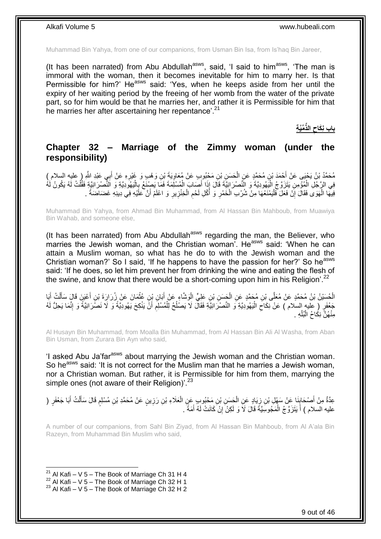Muhammad Bin Yahya, from one of our companions, from Usman Bin Isa, from Is'haq Bin Jareer,

(It has been narrated) from Abu Abdullah $a$ sws, said, 'I said to him $a$ sws, 'The man is immoral with the woman, then it becomes inevitable for him to marry her. Is that Permissible for him?' He<sup>asws</sup> said: 'Yes, when he keeps aside from her until the expiry of her waiting period by the freeing of her womb from the water of the private part, so for him would be that he marries her, and rather it is Permissible for him that he marries her after ascertaining her repentance<sup>'. 21</sup>

> **ِّمَّي ة** باب نِكَاح الذِّ

### <span id="page-8-0"></span>**Chapter 32 – Marriage of the Zimmy woman (under the responsibility)**

مُحَمَّدُ بْنُ يَحْيَى عَنْ أَحْمَدَ بْنِ مُحَمَّدٍ عَنِ الْحَسَنِ بْنِ مَحْبُوبٍ عَنْ مُعَاوِيَةٍ بْنِ وَهْبٍ وَ غَيْرِهِ عَنْ أَبِي عَبْدِ اللَّهِ ( عليه السلام )<br>. ِ ِ ْ ِ َ ِ<br>ِم≠ فِي الرَّجُلِ الْمُؤْمِنِ يَتَزَوَّجُ الْيَهُودِيَّةَ وَ النَّصْرَانِيَّةَ قَالَ إِذَا أَصَابَ الْمُسْلِّمَةَ فَمَا يَصِنْغُ بِالْيَهُودِيَّةِ وَ النَّصْرَانِيَّةِ فَقُلْتُ لَهُ يَكُونُ لَهُ ْ ֺ֖֪֦֧֦֦֧֦֦֖֦֪֦֧֦֪֦֪֦֧֦֪֪֪֦֧֦֪֪֦֧֝֟֟֟֟֟֟֟֟֟֟֟֟֟֟֟֟֟֟֟֟֟֟֟֟֟֟֟֟֟֟֟֟֟֟֓֞֟֟֟֝֟֟֟֟֝֟֟֝ ْ ْ ْ فِيهَا الْهَوَى فَقَالَ إِنْ فَعَلَ فَلْيَمْنَعْهَا مِنْ شُرْبِ الْخَمْرِ وَ أَكْلِ لَحْمِ الْخِنْزِيرِ وَ اعْلَمْ أَنَّ عَلَيْهِ فِي دِينِهِ غَضَاضَةً . :<br>ا ِ ْ َ **∶** ِ ْ ِ َ **∶** ْ

Muhammad Bin Yahya, from Ahmad Bin Muhammad, from Al Hassan Bin Mahboub, from Muawiya Bin Wahab, and someone else,

(It has been narrated) from Abu Abdullah<sup>asws</sup> regarding the man, the Believer, who marries the Jewish woman, and the Christian woman<sup>7</sup>. He<sup>asws</sup> said: 'When he can attain a Muslim woman, so what has he do to with the Jewish woman and the Christian woman?' So I said, 'If he happens to have the passion for her?' So he<sup>asws</sup> said: 'If he does, so let him prevent her from drinking the wine and eating the flesh of the swine, and know that there would be a short-coming upon him in his Religion'.<sup>22</sup>

الْحُسَيْنُ بْنُ مُحَمَّدٍ عَنْ مُعَلَّى بْنِ مُحَمَّدٍ عَنِ الْحَسَنِ بْنِ عَلِيٍّ الْوَشَاءِ عَنْ أَبَانِ بْنِ عُثْمَانَ عَنْ زُرَارَةَ بْنِ أَعْيَنَ قَالَ سَأَلْتُ أَبَا ْ َ ْ َ َ ْ َ ْ ْ جْعَفَرٍ ( عليه السلام ) عَنْ نِكَاحَ الْيَهُولِيَّةِ وَ النَّصْرَانِيَّةِ فَقَالَ لَا يَصْلُحُ لِلْمُسْلِمِ أَنَّ يَنْكِحَ يَهُودِيَّةً وَ لاَ نَصْرَانِيَّةً وَ إِنَّمَا يَحِلُّ لَهُ َ ِ ْ ا<br>ا ْ ِ ِ مِنْهُنَّ نِكَاحُ الْبُلْهِ . ْ ْ

Al Husayn Bin Muhammad, from Moalla Bin Muhammad, from Al Hassan Bin Ali Al Washa, from Aban Bin Usman, from Zurara Bin Ayn who said,

'I asked Abu Ja'farasws about marrying the Jewish woman and the Christian woman. So he<sup>asws</sup> said: 'It is not correct for the Muslim man that he marries a Jewish woman, nor a Christian woman. But rather, it is Permissible for him from them, marrying the simple ones (not aware of their Religion)'.<sup>23</sup>

عِدَّةٌ مِنْ أَصْحَابِنَا عِنْ سَهْلِ بْنِ زِيَادٍ عَنِ الْحَسَنِ بْنِ مَحْبُوبٍ عَنِ الْعَلَاءِ بْنِ رَزِينٍ عَنْ مُحَمَّدِ بْنِ مُسْلِمٍ قَالَ سَأَلْتُ أَبَا جَعْفَرٍ ( **ٍ** ْ ْ ِ ِ َ َ ْ ĺ ֧֖֧֦֖֖֖֧֧֧֧֧֧֧֧֧֧֧֧֧֧֚֚֚֝֝֝֓֟֓֝֓֝֓֝֓֟֓֝֬֝֬֝֬֝֓֬֝֬֝֓֟֓֟֓֬֓֝֓֝֬֝֬֝֓֝֬֝֬֓֝֬֝֓֝֬֝֬ ِ عليه السلام ) أَ يَتَزَوَّجُ الْمَجُوسِيَّةَ قَالَ لَا وَ لَكِنْ َإِنْ كَانَتْ لَهُ أَمَةً ۚ ـ ْ َ َ

A number of our companions, from Sahl Bin Ziyad, from Al Hassan Bin Mahboub, from Al A'ala Bin Razeyn, from Muhammad Bin Muslim who said,

<sup>&</sup>lt;sup>21</sup> Al Kafi – V 5 – The Book of Marriage Ch 31 H 4

 $^{22}$  Al Kafi – V 5 – The Book of Marriage Ch 32 H 1

 $23$  Al Kafi – V 5 – The Book of Marriage Ch 32 H 2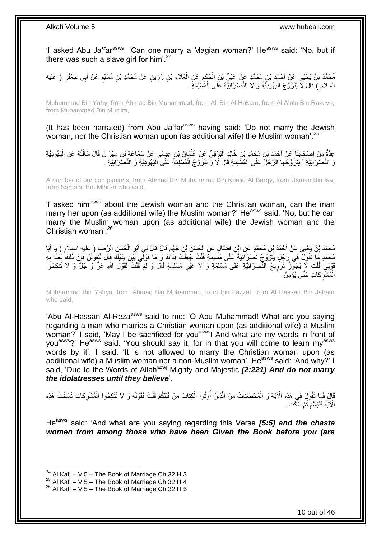'I asked Abu Ja'far<sup>asws</sup>, 'Can one marry a Magian woman?' He<sup>asws</sup> said: 'No, but if there was such a slave girl for him'. $24$ 

مُحَمَّدُ بْنُ يَحْيَى عِنْ أَحْمَدَ بْنِ مُحَمَّدٍ عَنْ عَلِيٍّ بْنِ الْحَكِمِ عَنِ الْعَلَاءِ بْنِ رَزِينٍ عَنْ مُحَمَّدِ بْنِ مُسْلِمٍ عَنْ أَبِي جَعْفَرٍ ( عليه **ٍ** ْ ِ ْ َ ֧֧֧֖֧֧֧֧֧֦֧֚֓֝֬֝֝֓֝֬֟֓֓֝֓֝֓֝֬֝֬֝ السلام ) قَالَ لَا يَتَزَوَّجُ الْيَهُودِيَّةَ وَ لَا النَّصْرَانِيَّةَ عَلَى الْمُسْلِمَةِ . ا<br>ا ْ

Muhammad Bin Yahy, from Ahmad Bin Muhammad, from Ali Bin Al Hakam, from Al A'ala Bin Razeyn, from Muhammad Bin Muslim,

(It has been narrated) from Abu Ja'far<sup>asws</sup> having said: 'Do not marry the Jewish woman, nor the Christian woman upon (as additional wife) the Muslim woman'.<sup>25</sup>

عِدَّةٌ مِنْ أَصْحَابِذَا عَنْ أَحْمَدَ بْنِ مُحَمَّدٍ بْنِ خَالِدٍ الْبَرْقِيِّ عَنْ عُثْمَانَ بْنِ عِيسَى عَنْ سَمَاعَةَ بْنِ مِهْرَانَ قَالَ سَأَلْتُهُ عَنِ الْيَهُودِيَّةِ **ٔ** ْ َ **!** َ ْ ْ ĺ وَ النَّصْرَانِيَّةِ أَ يَتَزَوَّجُهَا الرَّجُلُ عَلَى الْمُسْلِمَةِ قَالَ لَا وَ يَتَزَوَّجُ الْمُسْلِمَةَ عَلَى الْيَهُودِيَّةِ وَ النَّصْرَانِيَّةِ . ْ ْ ْ َ

A number of our companions, from Ahmad Bin Muhammad Bin Khalid Al Barqy, from Usman Bin Isa, from Sama'at Bin Mihran who said,

'I asked him<sup>asws</sup> about the Jewish woman and the Christian woman, can the man marry her upon (as additional wife) the Muslim woman?' He<sup>asws</sup> said: 'No, but he can marry the Muslim woman upon (as additional wife) the Jewish woman and the Christian woman'.<sup>26</sup>

مُحَمَّدُ بْنُ يَحْيَى عَنْ أَحْمَدَ بْنِ مُحَمَّدٍ عَنِ إِنْنِ فَضَّالٍ عَنِ الْحَسَنِ بْنِ جَهْمٍ قَالَ قَالَ لِي أَبُو الْحَسَنِ الرِّحْصَا ( عليه السلام ) يَا أَبَا<br>. ْ َ ٍ ْ َ مُحَمَّدٍ مَا تَقُولُ فِي رَجُلٍ يَتَزَوَّجُ نَصْرَانِيَّةً عَلَى مُسْلِمَةٍ قُلْتُ جَعِلْتُ فِدَاكَ وَ مَا قَوْلِّي بَيْنَ يَدَيْكَ قَالَ لَتَقُولُنَّ فَإِنَّ ذَلِكَ يُعْلَمُ بِهِ ْ ْ ِ ِ قَوْلِي قُلْتُ لَا يَجُونُ تَزْوِيجُ النَّصْرَانِيَّةِ عَلَى مُسْلِمَةٍ وَ لَا غَيْرِ مُسْلِمَةٍ قَالَ وَ لِمَ قُلْتُ لِقَوْلِ اللَّهِ عَزَّ وَ جَلَّ وَ لا تَنْكِحُوَا ِ ْ ْ **∶** الْمُشْرِكاتِ حَتَّى يُؤْمِنَّ ْ

Muhammad Bin Yahya, from Ahmad Bin Muhammad, from Ibn Fazzal, from Al Hassan Bin Jaham who said,

'Abu Al-Hassan Al-Reza<sup>asws</sup> said to me: 'O Abu Muhammad! What are you saying regarding a man who marries a Christian woman upon (as additional wife) a Muslim woman?' I said, 'May I be sacrificed for you<sup>asws</sup>! And what are my words in front of you<sup>asws</sup>?' He<sup>asws</sup> said: 'You should say it, for in that you will come to learn my<sup>asws</sup> words by it'. I said, 'It is not allowed to marry the Christian woman upon (as additional wife) a Muslim woman nor a non-Muslim woman'. He<sup>asws</sup> said: 'And why?' I said, 'Due to the Words of Allah<sup>azwj</sup> Mighty and Majestic **[2:221] And do not marry** *the idolatresses until they believe*'.

قَالَ فَمَا تَقُولُ فِي هَذِهِ الْآيَةِ وَ الْمُحْصَناتُ مِنَ الَّذِينَ أُوتُوا الْكِتابَ مِنْ قَبْلِكُمْ قُلْتُ فَقَوْلُهُ وَ لا تَنْكِحُوا الْمُشْرِكاتِ نَسَخَتْ هَذِهِ<br>وَيَسَمَّمَ يَسَمَعُ الْمُشْرِكاتِ نَسَخَتْ هَذِهِ ُ ْ ْ ُ ه ْ ْ الْآيَةَ فَتَبَسَّمَ ثُمَّ سَكَّتَ . ُ

He<sup>asws</sup> said: 'And what are you saying regarding this Verse **[5:5] and the chaste** *women from among those who have been Given the Book before you (are* 

<sup>&</sup>lt;sup>24</sup> Al Kafi – V 5 – The Book of Marriage Ch 32 H 3

 $^{25}$  Al Kafi – V 5 – The Book of Marriage Ch 32 H 4

 $26$  Al Kafi – V 5 – The Book of Marriage Ch 32 H 5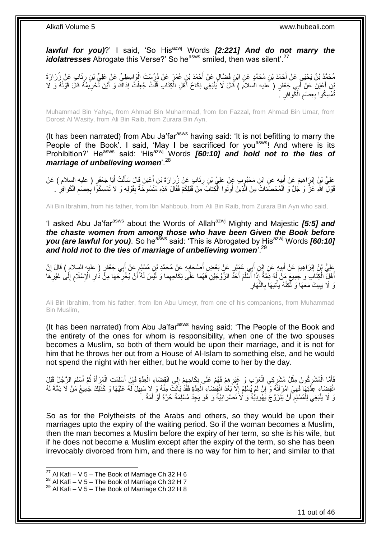*lawful for you)*?' I said, 'So His<sup>azwj</sup> Words *[2:221] And do not marry the idolatresses* Abrogate this Verse?' So he<sup>asws</sup> smiled, then was silent'.<sup>27</sup>

مُحَمَّدُ بْنُ يَحْيَى عَنْ أَحْمَدَ بْنِ مُحَمَّدٍ عَنِ ابْنِ فَضَّالٍ عَنْ أَحْمَدَ بْنِ عُمَرٍ عَنْ دُرُسْتَ الْوَاسِطِيِّ عَنْ عَلِيِّ بْنِ رِئَابٍ عَنْ زُرَارَةَ<br>. ْ َ َ ¦ َ بْنِ أَعْيَنَ عَنْ أَبِي جَعْفَرٍ ( عليه السلام ) قَالَ لَا يَنْبَغِي نِكَاحُ أَهْلِ الْكِتَابِ قُلْتُ جُعِلْتُ فِدَاكَ وَ أَيْنَ تَحْرِيمُهُ قَالَ قَوْلُهُ وَ لا ْ ْ ْ َ َ َ ُ ِ ُنْمُسِكُوا بِعِصَمِ الْكُوافِرِ ۚ ِ ْ ِ **∶** 

Muhammad Bin Yahya, from Ahmad Bin Muhammad, from Ibn Fazzal, from Ahmad Bin Umar, from Dorost Al Wasity, from Ali Bin Raib, from Zurara Bin Ayn,

(It has been narrated) from Abu Ja'far<sup>asws</sup> having said: 'It is not befitting to marry the People of the Book'. I said, 'May I be sacrificed for you<sup>asws</sup>! And where is its Prohibition?' He<sup>asws</sup> said: 'His<sup>azwj'</sup> Words **[60:10] and hold not to the ties of** *marriage of unbelieving women*'.<sup>28</sup>

َ َعْلِيُّ نِيُّ إِنْرَاهِيمَ عَنْ أَبِيهِ عَنِ ابْنِ مَحْبُوِبِ عَنْ عَلِيِّ بْنِ رِئَابٍ عَنْ زُِرَارَةَ بْنِ أُعْيَنَ قَالَ سَأَلْتُ أَبَا جَعْفَرٍ ( عليه السلام ) عَنْ َ ِ  $\frac{1}{2}$ ِ َ ِ قَوْلِ اللَّهِ عَزَّ وَ جُلَّ وَ الْمُحْصَنَاتُ مِنَ الَّذِينَ أُوتُوا الْكِتَابَ مِنْ قَبْلِكُمْ فَقَالَ هَذِهِ مَنْسُوخَةٌ بِقَوْلِهِ وَ لا تُمْسِكُوًا بِعِصَمِ الْكَوافِرِ . ْ ا<br>ا ه ْ ِ ْ ِ ِ

Ali Bin Ibrahim, from his father, from Ibn Mahboub, from Ali Bin Raib, from Zurara Bin Ayn who said,

'I asked Abu Ja'far<sup>asws</sup> about the Words of Allah<sup>azwj</sup> Mighty and Majestic *[5:5] and the chaste women from among those who have been Given the Book before you (are lawful for you)*. So he<sup>asws</sup> said: 'This is Abrogated by His<sup>azwj</sup> Words *[60:10]* and hold not to the ties of marriage of unbelieving women<sup>'.29</sup>

َ عَلِيُّ بِنُ إِبْرَاهِيمَ عَنْ أَبِيهِ عَنِ إِبْنِ أَبِي عُمَيْرٍ عَنْ بَعْضٍ أَصْحَابِهِ عَنْ مُحَمَّدِ بْنِ مُسْلِمٍ عَنْ أَبِي جَعْفَرٍ ( عليه السلام ) قَالَ إِنَّ<br>يَدَنَّهُمْ بِنُّ إِبْرَاهِيمَ عَنْ أَبِيهِ مِنْ يَجْمِ ֧֖֧֖֖֖֖֖֧֖֖֖֖֧֧֧֧֧֧֧֧֧֧֧֧֧֧֧֧֧֚֚֚֚֚֚֚֚֚֚֚֝֝֟֓֝֓֝֓֝֬֟֓֝֬֟֓֝֬֝֓֝֓֝֬֝֓֝֬֝֬֝֓֝֬֝֬֓֝֬֝֬֝֬ ِ َ َ **!** َ ِ ِ أَهْلِّ الْكِتَابَ وَ جُمِيعَ مَنْ إِمُه ذِمَّةٌ إِذَا أَسْلَمَ أَحَدُ الزَّوْجَيْنِ فَهُمَا عَلَى نِكَاحِهِمَا وَ لَيْسَ لَهُ أَنْ يُخْرِجَهَا مِنًّ ذَارِ الْإِسْلَامِ إِلَى غَيْرِهَا ِ َ ْ َ ِ ِ ِ ِ ِ َ وَ لَا يَبِيتَ مَعَهَا وَ لَكِنَّهُ يَأْتِيهَا بِالنَّهَارِ **∶** ْ ِ **∶** 

Ali Bin Ibrahim, from his father, from Ibn Abu Umeyr, from one of his companions, from Muhammad Bin Muslim,

(It has been narrated) from Abu Ja'far<sup>asws</sup> having said: 'The People of the Book and the entirety of the ones for whom is responsibility, when one of the two spouses becomes a Muslim, so both of them would be upon their marriage, and it is not for him that he throws her out from a House of Al-Islam to something else, and he would not spend the night with her either, but he would come to her by the day.

فَأَمَّا الْمُشْرِكُونَ مِثْلُ مُشْرِكِي الْعَرَبِ وَ غَيْرِهِمْ فَهُمْ عَلَى نِكَاحِهِمْ إِلَى انْقِضَاءِ الْعِدَّةِ فَإِنْ أَسْلِمَتِ الْمَرْأَةُ ثُمَّ أَسْلَمَ الرَّجُلُ قَيْلَ ∣ٍ إا ْ  $\frac{1}{2}$ ِ ِ ْ ¦ ْ ِ ْ َ َ ا<br>:<br>: َ ْ َ انْقِضَاءِ عِذَّتِهَا فَهِيَ امْرَأَتُهُ وَ ۗ إِنْ لَمْ يُسْلِمْ إِلَّا بَعْدُ انْقِِضْنَاءِ الْعِدَّةِ فَقَدْ بَانَتٌ مِنْهُ وَ لَا سَبِيلَ لَهُ عَلَيْهَا وَ كَذَلِكَ جَمِيعُ مَٰنْ لَا ذِمَّةَ لَهُ ِ **:** ِ ْ ِ ِ وَ لَا يَنْبَغِي لِلْمُسْلِمِ أَنْ يَتَزَوَّجَ يَهُودِيُّةً وَ لَا نَصْرَانِيَّةً وَ هُوَ يَجِدُ مُسْلِمَةً حُرَّةً أَوْ أَمَةً . اً ِ ْ َ َ

So as for the Polytheists of the Arabs and others, so they would be upon their marriages upto the expiry of the waiting period. So if the woman becomes a Muslim, then the man becomes a Muslim before the expiry of her term, so she is his wife, but if he does not become a Muslim except after the expiry of the term, so she has been irrevocably divorced from him, and there is no way for him to her; and similar to that

 $27$  Al Kafi – V 5 – The Book of Marriage Ch 32 H 6

 $^{28}$  Al Kafi – V 5 – The Book of Marriage Ch 32 H 7

 $29$  Al Kafi – V 5 – The Book of Marriage Ch 32 H 8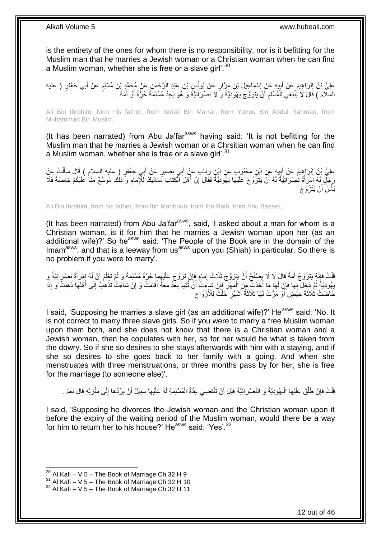is the entirety of the ones for whom there is no responsibility, nor is it befitting for the Muslim man that he marries a Jewish woman or a Christian woman when he can find a Muslim woman, whether she is free or a slave girl'.<sup>30</sup>

عَلِيُّ بْنُ إِبْرَاهِيمَ عَنْ أَبِيهِ عَنْ إِسْمَاعِيلَ بْنِ مَرَّارٍ عَنْ يُونُسٍ بْنِ عَبْدِ الرَّحْمَنِ عَنْ مُحَمَّدٍ بْنِ مُسْلِمٍ عَنْ أَبِي جَعْفَرٍ ( عليه<br>. ا<br>:  $\frac{1}{2}$ َ יִי יִי َ م السلام ) قَالَ لَا يُنْبَغِي لِلْمُسْلِمِ أَنْ يَتَزَوَّجَ يَهُوَدِيَّةً وَ ۗ لَا نَصْرَانِيَّةً وَ هُوَ يَجِدُ مُسْلِمَةً حُرَّةً أَوْ أَمَةً ۚ ـَ َ ِ ْ َ َ

Ali Bin Ibrahim, form his father, from ismail Bin Marrar, from Yunus Bin Abdul Rahman, from Muhammad Bin Muslim,

(It has been narrated) from Abu Ja'far<sup>asws</sup> having said: 'It is not befitting for the Muslim man that he marries a Jewish woman or a Chrsitian woman when he can find a Muslim woman, whether she is free or a slave girl'.<sup>31</sup>

عَلِيُّ بْنُ إِبْرَاهِيمَ عَنْ أَبِيهِ عَنِ ابْنِ مَحْبُوبٍ عَنِ ابْنٍ رِئَابٍ عَنْ أَبِي بَصِيرٍ عَنْ أَبِي جَعْفَرٍ ( عليه السلام ) قَالَ سَأَلْتُ عَنْ َ ِ ِ َ ِ ْ َ ِّ جَلِّ لَهُ اَمْرِ أَةٌ نَصْرَ انِيَّةٌ لَهُ أَنْ يَتَزَوَّجَ عَلَيْهَا يَهُودِيَّةٌ فَقَالَ إِنَّ أَهْلَ الْكِتَابِ مَمَالِيكُ لِلْإِمَامِ وَ ذَلِكَ مُوَسَّعٌ مِنَّا عَلَيْكُمْ خَاصَّةً فَلَا<br>فَإِنَّهُمْ مَثَلاً عَلَيْ َ لَ َ ِ ْ َ ِ بَأْسَ أَنْ يَتَزَوَّجَ اً ة<br>أ

Ali Bin Ibrahim, from his father, from Ibn Mahboub, from Ibn Raib, from Abu Baseer,

(It has been narrated) from Abu Ja'far $a<sup>asws</sup>$ , said, 'I asked about a man for whom is a Christian woman, is it for him that he marries a Jewish woman upon her (as an additional wife)?' So he<sup>asws</sup> said: 'The People of the Book are in the domain of the Imam<sup>asws</sup>, and that is a leeway from us<sup>asws</sup> upon you (Shiah) in particular. So there is no problem if you were to marry'.

ُفْلَتُ فَإِنَّهُ يَتَزَوَّجُ أَمَةً قَالَ لَا لَا يَصِلْحُ أَنْ يَتَزَوَّجَ ثَلَاثَ إِمَاءٍ فَإِنْ تَزَوَّجَ عَلَيْهِمَا حُرَّةً مُسْلِمَةً وَ لَمْ تَعْلَمْ أَنَّ لَهُ اِمْرَأَةً نِصْرَانِيَّةً وَ ِ ِ ِ ٔ<br>ا َ ِ ْ َ َ لَ يَهُودِيَّةً ثُمَّ دَخِلَ بِهَا فَإِنَّ لَهَا مَا أَخَذَتِ مِنَ الْمَهْرِ فَإِنْ شَاعَتُ أَنَّ تُقِيمَ بَعْدُ مَعَهُ أَقَامَتْ وَ إِنْ شَاعَتْ تَذْهَبُ إِلَى أَهْلِهَا ذَهَبَتْ وَ إِذَا َ َ ِ ِ ْ َ ِ **∶** ُ ً َ ِ **ٔ** ِ حَاضَتْ ثَلَاثَةَ حِيَضٍ ۚ أَوْ مَرَّتْ لَهَا ثَلَاثَةُ أَشْهُرٍ ۚ حَلَّتٌ لِلْأَزْوَاجِ  $\zeta$ َ َ َ

I said. 'Supposing he marries a slave girl (as an additional wife)?' He<sup>asws</sup> said: 'No. It is not correct to marry three slave girls. So if you were to marry a free Muslim woman upon them both, and she does not know that there is a Christian woman and a Jewish woman, then he copulates with her, so for her would be what is taken from the dowry. So if she so desires to she stays afterwards with him with a staying, and if she so desires to she goes back to her family with a going. And when she menstruates with three menstruations, or three months pass by for her, she is free for the marriage (to someone else)'.

قُلْتُ فَإِنْ طَلَّقَ عَلَيْهَا الْيَهُودِيَّةَ وَ النَّصْرَانِيَّةَ قَبْلَ أَنْ تَنْقَضِيَ عِدَّةُ الْمُسْلِمَةِ لَهُ عَلَيْهَا سَبِيلٌ أَنْ يَرُدَّهَا إِلَى مَنْزِلِهِ قَالَ نَعَمْ . َ ْ ه ِ ْ ِ ِ َ ِ ْ

I said, 'Supposing he divorces the Jewish woman and the Christian woman upon it before the expiry of the waiting period of the Muslim woman, would there be a way for him to return her to his house?' He<sup>asws</sup> said: 'Yes'.<sup>32</sup>

 $30$  Al Kafi – V 5 – The Book of Marriage Ch 32 H 9

 $31$  Al Kafi – V  $5$  – The Book of Marriage Ch 32 H 10

 $32$  Al Kafi – V 5 – The Book of Marriage Ch 32 H 11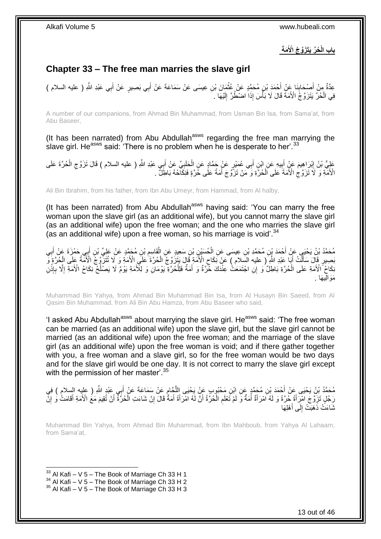**َمةَ ُح ِّر َيَت َزَّو ُج اْْلَ باب الْ**

## <span id="page-12-0"></span>**Chapter 33 – The free man marries the slave girl**

عِدَّةٌ مِنْ أَصِبْحَابِنَا عَنْ أَحْمَدَ بْنِ مُحَمَّدٍ عَنْ عُثْمَانَ بْنِ عِيسَى عَنْ سَمَاعَةَ عَنْ أَبِي بَصِبِرٍ عَنْ أَبِي عَبْدِ اللَّهِ ( عليه السلام ) ْ **∣** َ َ َ فِي الْحُرَّ يَتَزَوَّجُ الْأَمَةَ قَالَ لَا بَأْسَ إِذَا اضْطُرَّ إِلَيْهَا . لَ ِ :<br>ا ْ

A number of our companions, from Ahmad Bin Muhammad, from Usman Bin Isa, from Sama'at, from Abu Baseer,

(It has been narrated) from Abu Abdullah<sup>asws</sup> regarding the free man marrying the slave girl. He<sup>asws</sup> said: 'There is no problem when he is desperate to her'.<sup>33</sup>

عَلِيُّ بْنُ إِبْرَاهِيمَ عَنْ أَبِيهِ عَنِ ابْنِ أَبِي عُمَيْرٍ عَنْ جَمَّادٍ عَنِ الْحَلَبِيِّ عَنْ أَبِي عَبْدِ اللَّهِ ( عليه السلام ) قَالَ تَزَوَّجِ الْحُرَّةَ عَلَى ِ ْ َ **!** َ ِ ْ  $\zeta$ َ الْأُمَّةِ وَ ۖ لَا ۢ تَزَوَّج الْأُمَةَ ۚ عَلَى الْحُرَّةِ وَ ۖ مَنْ تَزَوَّجَ أَمَةً عَلَى خَرَّةٍ فَنِكَاّحُهُ بَاطِلٌ ۖ . َ ْ ِ

Ali Bin Ibrahim, from his father, from Ibn Abu Umeyr, from Hammad, from Al halby,

(It has been narrated) from Abu Abdullah<sup>asws</sup> having said: 'You can marry the free woman upon the slave girl (as an additional wife), but you cannot marry the slave girl (as an additional wife) upon the free woman; and the one who marries the slave girl (as an additional wife) upon a free woman, so his marriage is void<sup>'.34</sup>

مُحَمَّدُ بْنُ يَحْيَي عَنْ أَحْمَدَ بْنِ مُحَمَّدِ بْنِ عِيسَى عَنِ الْحُسَيْنِ بْنِ سَعِيدٍ عَنِ الْقَاسِمِ بْنِ مُحَمَّدٍ عَنْ عَلِيِّ بْنِ أَبِي حَمْزَةَ عَنْ أَبِي ِ ْ ْ ِ َ َ بَصِيرٍ قَالَ سَأَلَتُ أَبَا عَبْدِ اللَّهِ ( عليه السِلام ) ۖ عَنْ نَكَاحِ الْأُمَةِ قَالَ يَتَزَوَّجُ الْحُرَّةَ عَلَى الْأُمَةِ وَ لَا تُتَزَوَّجُ الْأُمَّةُ عَلَى الْحُرَّةِ وَ ْ ِ َ ْ َ ْ َـٰكَاحُ ۗ الْأَمَةِ عَلَى الْحُرَّةِ بَاطِلٌ وَ إِلَى اجْتَمَعَتْ عِنْدَكَ حُرَّةٌ وَ أَمَةٌ فَلِلْحُرَّةِ يَوْمَالِ وَ لِلْأَمَةِ يَوْمٌ لَا يَصْلُحُ نِكَاحُ الْأَمَةِ إِلَّا بِإِذْنِ ْ **ٔ ∶** ِ  $\overline{a}$ ْ َ مَوَالِيهَا .

Muhammad Bin Yahya, from Ahmad Bin Muhammad Bin Isa, from Al Husayn Bin Saeed, from Al Qasim Bin Muhammad, from Ali Bin Abu Hamza, from Abu Baseer who said,

'I asked Abu Abdullah<sup>asws</sup> about marrying the slave girl. He<sup>asws</sup> said: 'The free woman can be married (as an additional wife) upon the slave girl, but the slave girl cannot be married (as an additional wife) upon the free woman; and the marriage of the slave girl (as an additional wife) upon the free woman is void; and if there gather together with you, a free woman and a slave girl, so for the free woman would be two days and for the slave girl would be one day. It is not correct to marry the slave girl except with the permission of her master<sup>'.35</sup>

مُحَمَّدُ بْنُ يَحْيَى عَنْ أَحْمَدَ بْنِ مُحَمَّدٍ عَنِ ابْنِ مَحْبُوبٍ عَنْ يَحْيَى اللَّحَامِ عَنْ سَمَاعَةَ عَنْ أَبِي عَبْدِ اللَّهِ ( عليه السلام ) فِي<br>مُحَمَّدُ بْنُ يَحْيَى عَنْ أَحْمَدَ بْنِ مَعَمًّا فَي يَحْبُوبُ َ ِ ه رَجُلٍ تَزِوَّجَ امْرَأَةً حُرَّةً وَ لَهُ اَمْرَأَةٌ أُمَةٌ وَّ لَمْ تَعْلَمِ الْحُرَّةُ أَنَّ لَهُ امْرَأَةً أَمَةٌ قَالَ إِنْ شَاءَتِ الْحُرَّةَ أَنْ تُقِيمَ مَعُ الْأَمَةِ أَقَامَتْ وَ إِنَّ َ َ ْ ِ َ َ َ ْ ِ َ َ ِ َ نُّدَاءَتْ ذَهَبَتْ إِلَى أَهْلِهَا َ  $\frac{1}{2}$ 

Muhammad Bin Yahya, from Ahmad Bin Muhammad, from Ibn Mahboub, from Yahya Al Lahaam, from Sama'at,

 $33$  Al Kafi – V 5 – The Book of Marriage Ch 33 H 1

 $34$  Al Kafi – V 5 – The Book of Marriage Ch 33 H 2

 $35$  Al Kafi – V 5 – The Book of Marriage Ch 33 H 3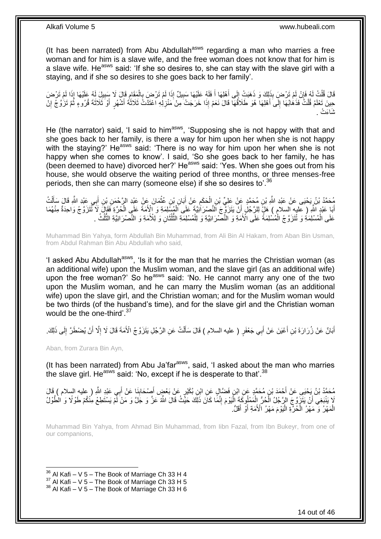(It has been narrated) from Abu Abdullah<sup>asws</sup> regarding a man who marries a free woman and for him is a slave wife, and the free woman does not know that for him is a slave wife. He<sup>asws</sup> said: 'If she so desires to, she can stay with the slave girl with a staying, and if she so desires to she goes back to her family'.

قَالَ قُلْتُ لَمُ قَإِنْ لَمْ تَرْضِ بِذَلِكَ وَ ذَهَبَتْ إِلَى أَهْلِهَا أَ فَلَمُ عَلَيْهَا سَبِيلٌ إِذَا لَمْ تَرْضِ بِالْمَقَامِ قَالَ لَا سَبِيلَ لَمُ عَلَيْهَا إِذَا لَمْ تَرْضَ<br>وَيَجْمَعُوا الْمَوْمِرَةِ مَعْ الْمَو ِ َ َ ِ ِ ْ ِ ֖֦֧֚֚֚֚֚֚֚֚֚֚֚֚֚֚֚֚֚֚֚֚֚֩֘֘֝֘֝֘֝֝֝֘֝֝ ْ ِ حِينَ تَعْلَمُ قُلْتُ فَذَهَابُهَا إِلَى أَهْلِهَا هُوَ طَلَاقُهَا قَالَ نَعَمْ إِذَا خَرَجَتْ مِنْ مَنْزِلِهِ اعْتَدَتَ ثَلَاثَةَ أَشْهُرٍ أَوْ ثَلَاثَةَ قُرُوءٍ ثُمَّ تَزَوَّجُ إِنْ ِ َ ∣∣<br>∶ ْ ِ ُ َ َ َشا َء . ْت

He (the narrator) said, 'I said to him<sup>asws</sup>, 'Supposing she is not happy with that and she goes back to her family, is there a way for him upon her when she is not happy with the staying?' He<sup>asws</sup> said: 'There is no way for him upon her when she is not happy when she comes to know'. I said, 'So she goes back to her family, he has (been deemed to have) divorced her?' He<sup>asws</sup> said: 'Yes. When she goes out from his house, she would observe the waiting period of three months, or three menses-free periods, then she can marry (someone else) if she so desires to'.<sup>36</sup>

ِّهُ حَمَّدُ بْنُ يَحْيَى عَنْ عَبْدِ اللَّهِ بْنِ مُحَمَّدٍ عَنْ عَلِيِّ بْنِ الْحَكَمِ عَنْ أَبَانِ بْنِ عُثْمَانَ عَنْ عَبْدِ الرَّحْمَنِ بْنِ أَبِي عَبْدِ اللَّهِ قَالَ سَأَلْتُ<br>يُحْمَدُ بْنُ يَحْيَى عَنْ عَبْدِ اللَّه **ٔ** َ ِ ْ ْ َ َ أَبَا عَبْدٍ اللَّهِ ( عَليه السلام ) هَلْ لِلرَّجُلِ أَنْ يَتَزَوَّجَ النَّصْرَانِيَّةَ عَلَى الْمُسْلِمَةِ وَ الْأَمَةَ عَلَى الْحُرَّةِ فَقَالٍ لَا تَتَزَوَّجُ وَاحِدَةٌ مِنْهُمَا َ ْ ْ َ عَلَى الْمُسْلِمَةِ وَ تُتَزَوَّجُ الْمُسْلِمَةُ عَلَى الْأَمَةِ وَ النَّصْرَانِيَّةِ وَ لِلْمُسْلِمَةِ الثُّلُثُانِ وَ لِلْأَمَةِ وَ النَّصْرَانِيَّةِ الثُّلُثُ . ْ ْ ْ ُّ َ ُ ةُ<br>ا

Muhammad Bin Yahya, form Abdullah Bin Muhammad, from Ali Bin Al Hakam, from Aban Bin Usman, from Abdul Rahman Bin Abu Abdullah who said,

'I asked Abu Abdullah<sup>asws</sup>, 'Is it for the man that he marries the Christian woman (as an additional wife) upon the Muslim woman, and the slave girl (as an additional wife) upon the free woman?' So he<sup>asws</sup> said: 'No. He cannot marry any one of the two upon the Muslim woman, and he can marry the Muslim woman (as an additional wife) upon the slave girl, and the Christian woman; and for the Muslim woman would be two thirds (of the husband's time), and for the slave girl and the Christian woman would be the one-third'.<sup>37</sup>

أَبَانٌ عَنْ زُرَارَةَ بْنِ أَعْيَنَ عَنْ أَبِي جَعْفَرٍ ( عليه السلام ) قَالَ سَأَلْتُ عَنِ الرَّجُلِ يَتَزَوَّجُ الْأَمَةَ قَالَ لَا إِلَّا أَنْ يُضْطَرَّ إِلَى ذَلِكَ. َ َ ِ َ ا<br>ا ْ Í

Aban, from Zurara Bin Ayn,

1

(It has been narrated) from Abu Ja'far<sup>asws</sup>, said, 'I asked about the man who marries the slave girl. He<sup>asws</sup> said: 'No, except if he is desperate to that'.<sup>38</sup>

**∶** مُحَمَّدُ بْنُ يَحْيَى عَنْ أَحْمَدَ بْنِ مُحَمَّدٍ عَنِ ابْنِ فَضَّالٍ عَنِ ابْنِ بُكَيْرٍ عَنْ بَعْضٍ أَصْحَابِذَا عَنْ أَبِي عَبْدِ اللَّهِ ( عليه السلام ) قَالَ<br>. َ َ لَا يَنْبَغِيَ أَنْ يَتَزَوَّجَ الزَّجُلُ الْحُرُّ الْمَمْلُوكَةِ الْيَوْمَ إِنَّمًا كَانَ ذَلِّكَ حَيْثُ قَالَ اللَّهُ عَزَّ وَ جَلَّ وَ مَنْ أَمْ يَسْتَطِعْ مِنْكُمْ طَوْلًا وَ الطُّوْلُ ِ ْ ْ الْمَهْرُ وَ مَهْرُ الْمُرَّةِ الْيَوْمَ مَهْرُ الْأُمَةِ أَوْ أَقَلُّ. َ َ ْ ْ ْ

Muhammad Bin Yahya, from Ahmad Bin Muhammad, from Iibn Fazal, from Ibn Bukeyr, from one of our companions,

 $36$  Al Kafi – V 5 – The Book of Marriage Ch 33 H 4

 $37$  Al Kafi – V 5 – The Book of Marriage Ch 33 H 5

 $38$  Al Kafi – V 5 – The Book of Marriage Ch 33 H 6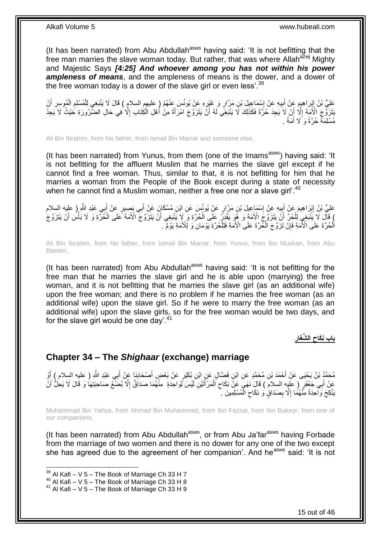(It has been narrated) from Abu Abdullah<sup>asws</sup> having said: 'It is not befitting that the free man marries the slave woman today. But rather, that was where Allah $a^{2}$ <sub>N</sub> Mighty and Majestic Says *[4:25] And whoever among you has not within his power ampleness of means*, and the ampleness of means is the dower, and a dower of the free woman today is a dower of the slave girl or even less<sup>'. 39</sup>

عَلِيُّ بْنُ إِبْرَاهِيمَ عَنْ إِسْمَاعِيلَ بْنِ مَرَّارٍ وَ غَيْرِهِ عَنْ يُونُسَ عَنْهُمْ ( عليهم السلامِ ) قَالَ لَا يَنْبَغِي لِلْمُسْلِمِ الْمُوسِرِ أَنْ ِ ْ ِ ْ ֦֧֦֦֦֦֦֦֦֝֝֝֜֜֡֜ ِ **!** َ ِ َ َبَتَزَوَّجَ الْأَمَةَ إِلَّا أَنْ لَاَ يَجِدَ حُرَّةً فَكَذَلِكَ لَا يَنْبَغِي لَهُ أَنَّ يَتَزَوَّجَ امْرَأَةً مِنْ أَمْلِ الْكِتَابِ إِلَّا فِي حَالِ الضَّرُورَةِ حَيْثُ لَا يَجِدُ َ اً ِ ِ ْ مُسْلِمَةً حُرَّةً وَ َلَا أَمَةً . َ

Ali Bin Ibrahim, from his father, from Ismail Bin Marrar and someone else,

(It has been narrated) from Yunus, from them (one of the Imams<sup>asws</sup>) having said: 'It is not befitting for the affluent Muslim that he marries the slave girl except if he cannot find a free woman. Thus, similar to that, it is not befitting for him that he marries a woman from the People of the Book except during a state of necessity when he cannot find a Muslim woman, neither a free one nor a slave girl'.<sup>40</sup>

عَلِيُّ بْنُ إِبْرَاهِيمَ عَنْ أَبِيهِ عَنْ إِسْمَاعِيلَ بْنِ مَرَّارٍ عَنْ يُونُسَ عَنِ ابْنِ مُسْكَانَ عَنْ أَبِي بَصِيرٍ عَنْ أَبِي عَبْدِ اللَّهِ ( عليه السلام َ ِ **!** َ ِ َ ) قَالَ لَا يَنْبَغِي لِلْحُرِّ ۚ أَنْ يَتَزَوَّجُ الْأَمَةَ وَ ۚ هُوَ يَقْدِرُ عَلَى الْحُرَّةِ وَ لَا يَنْزَوَجَ الْأَمَةَ عَلَى الْحُرَّةِ وَ لَا بَأْسَ أَنْ يَتَزَوَّجَ َ ْ َ ْ َ ْ ْ اْلْحُرَّةَ عَلَى الْأُمَةِ فَإِنْْ تَزَوَّجَ اَلْحُرَّةَ عَلَى الْأُمَةِ فَلِلْْحُرَّةِ يَوْمَانِ وَ لِلْأُمَةِ يَوْمٌ ۚ . ْ ِ ْ ْ

Ali Bin Ibrahim, from his father, from Ismail Bin Marrar, from Yunus, from Ibn Muskan, from Abu Baseer,

(It has been narrated) from Abu Abdullah<sup>asws</sup> having said: 'It is not befitting for the free man that he marries the slave girl and he is able upon (marrying) the free woman, and it is not befitting that he marries the slave girl (as an additional wife) upon the free woman; and there is no problem if he marries the free woman (as an additional wife) upon the slave girl. So if he were to marry the free woman (as an additional wife) upon the slave girls, so for the free woman would be two days, and for the slave girl would be one day'.<sup>41</sup>

> **باب ن َكاح ال ِّشَغار**

## <span id="page-14-0"></span>**Chapter 34 – The** *Shighaar* **(exchange) marriage**

ِ مُحَمَّدُ بْنُ يَحْيَى عَنْ أَحْمَدَ بْنِ مُحَمَّدٍ عَنِ ابْنِ فَضَّالٍ عَنِ ابْنِ بُكَيْرٍ عَنْ بَعْضٍ أَصْحَابِنَا عَنْ أَبِي عَبْدِ اللَّهِ ( عليه السلام ) أَوْ َ  $\frac{1}{2}$ َ َ عَنْ أَبِي جَعْفَرٍ ( عليِه السلام ) قَالَ نَهَيَ عَنْ نِكَاحِ الْمَرْأَتَيْنِ لَيْسَ لِوَاحِدَةٍ ۖ مِنْهُمَا صَدَاقٌ إِلَّا بُضَنَّعُ صَاحِبَتِهَا وَ قَالَ لَا يَحِلُّ أَنْ ِ َ ْ  $\zeta$ َ َنْكِحَ وَاحِدَةً مِنَّهُمَا إِلَّا بِصَدَاقٍ وَ نِكَاحِ الْمُسْلِمِينَ ۚ ْ ِ **ِ** ِ

Muhammad Bin Yahya, from Ahmad Bin Muhammad, from Ibn Fazzal, from Ibn Bukeyr, from one of our companions,

(It has been narrated) from Abu Abdullah<sup>asws</sup>, or from Abu Ja'far<sup>asws</sup> having Forbade from the marriage of two women and there is no dower for any one of the two except she has agreed due to the agreement of her companion'. And he<sup>asws</sup> said: 'It is not

 $39$  Al Kafi – V 5 – The Book of Marriage Ch 33 H 7

 $40$  Al Kafi – V 5 – The Book of Marriage Ch 33 H 8

<sup>41</sup> Al Kafi – V 5 – The Book of Marriage Ch 33 H 9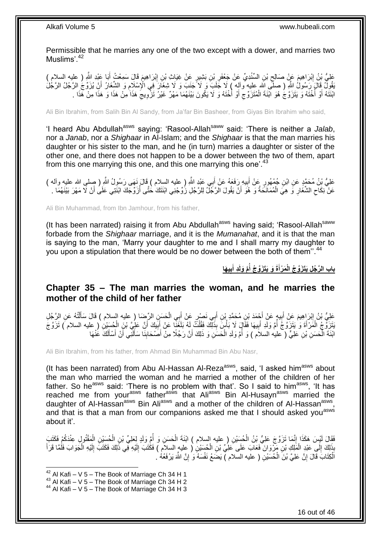Permissible that he marries any one of the two except with a dower, and marries two Muslims'.<sup>42</sup>

َم َقا َل َس ِم ْب َرا ِهي ِن إ ٍر َع ْن ِغَيا ِث ْب ِن َب ِشي ْب ِد ِّي َع ْن َج ْعَفر ِن ال ِّسنْ ْب َم َع ْن َصالِح ْب َرا ِهي َبا َعْبِد هَّللا َعلِ ُّي ْب ُن إ ِ ) عليه السالم ( ْع ُت أ ِ ِ  $\zeta$ ِ َ َبْقُولُ قَالَ رَسُولُ اللَّهِ ( صلَّى اللَّه عليه وآله ) لَا جَلَبَ وَ لَا تَجنَبَ وَ لَا شِغَارَ فِي الْإِسْلَامِ وَ الشَّغَارُ أَنْ يُزَوِّجُ الرَّجُلُ الرَّجُلُ الرَّجُلُ الرَّجُلُ الرَّجُلُ الرَّجُلُ الرَّجُلُ الرَّج َ ِ ابْنَتَهُ أَوْ أُخْتَهُ وَ يَتَزَوَّجُ هُوَ الْنَةَ الْمُتَزَوِّج أَوْ أُخْتَهُ وَ لَا يَكُونَ بَيْنَهُمَا مَهْرٌ غَيْرُ تَزْوِيجُ هَذَا مِنْ هَذَا وَ هَذَا مِنْ هَذَا . ا<br>ا اُ ِ ْ ا<br>ا ِ **∶** 

Ali Bin Ibrahim, from Salih Bin Al Sandy, from Ja'far Bin Basheer, from Giyas Bin Ibrahim who said,

'I heard Abu Abdullah<sup>asws</sup> saying: 'Rasool-Allah<sup>saww</sup> said: 'There is neither a *Jalab*, nor a *Janab*, nor a *Shighaar* in Al-Islam; and the *Shighaar* is that the man marries his daughter or his sister to the man, and he (in turn) marries a daughter or sister of the other one, and there does not happen to be a dower between the two of them, apart from this one marrying this one, and this one marrying this one<sup>'.43</sup>

عَلِيُّ بْنُ مُحَمَّدٍ عَنِ ابْنِ جُمْهُورٍ عَنْ أَبِيهِ رَفَعَهُ عَنْ أَبِي عَبْدِ اللَّهِ ( عليه السلام ) قَالَ نَهَى رَسُولُ اللَّهِ ( صلى الله عليه وأله )<br>-َ ِ َ عَنْ نِكَاحِ الشَّغَارِ وَ هِيَ الْمُمَانَحَةُ وَ هُوَ أَنْ يَقُولَ الرَّجُلُ لِلرَّجُلِ زُوِّجْنِي ابْنَتَكَ خُتَّى أُزِّوِّجَكَ ابْنَتِي عَلَى أَنْ لَا مَهْرَ بَيْنَهُمَا . اُ ْ **∶** ِ َ ُ

Ali Bin Muhammad, from Ibn Jamhour, from his father,

(It has been narrated) raising it from Abu Abdullah<sup>asws</sup> having said; 'Rasool-Allah<sup>saww</sup> forbade from the *Shighaar* marriage, and it is the *Mumanahat*, and it is that the man is saying to the man, 'Marry your daughter to me and I shall marry my daughter to you upon a stipulation that there would be no dower between the both of them".<sup>44</sup>

> بِابِ الرَّجُلِ يَتَزَوَّجُ الْمَرْأَةَ وَ يَتَزَوَّجُ أَمَّ وَلَدِ أَبِيهَا  **َ ُ َ**

### <span id="page-15-0"></span>**Chapter 35 – The man marries the woman, and he marries the mother of the child of her father**

عَلِيُّ بْنُ إِبْرَاهِيمَ عَنْ أَبِيهٍ عَنْ أَجْمَدَ بْنِ مُحَمَّدٍ بْنِ أَبِي نَصْرٍ عَنْ أَبِي الْحَسَنِ الرِّضا ( عليه السلام ) قَالَ سَأَلْتُهُ عَنِ الرَّجُلِ ْ َ َ َ ِ َ ِ ْ َ بَتَزَوَّجُ الْمَرْأَةَ وَ يَتَزَوَّجُ أُمَّ وَلَدٍ أَبِيهَا فَقَالٍَ لَا بَأْسَ بِذَلِّكَ فَقُلْتُ لَهُ بَلَغَنَا عَنْ أَبِيكَ أَنَّ عَلِيَّ بْنَِ الْحُسَيْنِ ( عليه السلام ) تَزَوَّجَ ْ **!** َ ا<br>ا َ ْ ْ َ ِ َ ْ ابْنَةَ الْمَسَنِ بْنِ عَلِيٍّ ( عليه السلاَم ) وَ أُمَّ وَلَدِ الْحَسَنِ وَ ذَلِكَ أَنَّ رَجُلًا مِنْ أَصْحَابِنَا سَأَلَنِّي أَنْ أَسْأَلَكَ عَٰنْهَا لَ ĺ ِ َ َ ْ المستقبل المستقبل المستقبل المستقبل المستقبل المستقبل المستقبل المستقبل المستقبل المستقبل المستقبل المستقبل ال<br>المستقبل المستقبل المستقبل المستقبل المستقبل المستقبل المستقبل المستقبل المستقبل المستقبل المستقبل المستقبل ال ْ لَ Í َ أ

Ali Bin Ibrahim, from his father, from Ahmad Bin Muhammad Bin Abu Nasr,

(It has been narrated) from Abu Al-Hassan Al-Reza<sup>asws</sup>, said, 'I asked him<sup>asws</sup> about the man who married the woman and he married a mother of the children of her father. So he<sup>asws</sup> said: 'There is no problem with that'. So I said to him<sup>asws</sup>, 'It has reached me from your<sup>asws</sup> father<sup>asws</sup> that Ali<sup>asws</sup> Bin Al-Husayn<sup>asws</sup> married the daughter of Al-Hassan<sup>asws</sup> Bin Ali<sup>asws</sup> and a mother of the children of Al-Hassan<sup>asws</sup>, and that is that a man from our companions asked me that I should asked you<sup>asws</sup> about it'.

فَقَالَ لَيْسَ هَكَذَا إِنَّمَا تَزَوَّجَ عَلِيُّ بْنُ الْحُسَيْنِ ( عليه السلام ) ابْنَةَ الْحَسَنِ وَ أُمَّ وَلَدٍ لِعَلِيِّ بْنِ الْحُسَيْنِ الْمُقْتُولِ عِنْدَكُمْ فَكَتَبَ ُ ْ ْ ֺ֧ׅ֧ׅ֧֧֚֚֚֚֚֚֚֚֚֚֚֚֚֚֚֚֚֝֝֬֓֡֡֡֡֡֡֡֬֓֡֟֓֡֟֓֡֟֓֡֡֡֬֓֡֡֬֩֓֓֬֩ ْ ْ بِذَلِكَ إِلَي عَبْدِ الْمَلِكِ بْنِ مَرْوَانَ فَعَابَ عَلَى عَلِيٍّ بْنِ الْحُسَيْنِ ( عِليهٍ السلام ) فَكَتَبَ إِلَيْهِ فِي ذَلِكَ فَكَتَبَ إِلَيْهِ الْجَوَابَ فَلَمًا قَرَأَ ْ ِ ْ لَ ِ لَ ِ ْ َ الْكِتَابَ قَالَ إِنَّ عَلِيَّ بْنَ الْحُسَيْنِ ( عليه السلام ) يَضَعُ نَفْسَهُ وَ إِنَّ اللَّهَ يَرْفَعُهُ . ِ ْ ا ْ

1

 $42$  Al Kafi – V 5 – The Book of Marriage Ch 34 H 1

 $43$  Al Kafi – V 5 – The Book of Marriage Ch 34 H 2

<sup>44</sup> Al Kafi – V 5 – The Book of Marriage Ch 34 H 3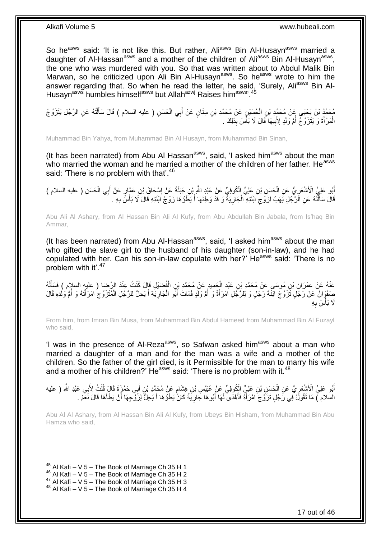So he<sup>asws</sup> said: 'It is not like this. But rather, Ali<sup>asws</sup> Bin Al-Husayn<sup>asws</sup> married a daughter of Al-Hassan<sup>asws</sup> and a mother of the children of Ali<sup>asws</sup> Bin Al-Husayn<sup>asws</sup>, the one who was murdered with you. So that was written about to Abdul Malik Bin Marwan, so he criticized upon Ali Bin Al-Husayn<sup>asws</sup>. So he<sup>asws</sup> wrote to him the answer regarding that. So when he read the letter, he said, 'Surely, Ali<sup>asws</sup> Bin Al-Husayn<sup>asws</sup> humbles himself<sup>asws</sup> but Allah<sup>azwj</sup> Raises him<sup>asws, 45</sup>

مُحَمَّدُ بْنُ يَحْيَى عَنْ مُحَمَّدٍ بْنِ الْحُسَيْنِ عَنْ مُحَمَّدِ بْنِ سِنَانٍ عَنْ أَبِي الْحَسَنِ ( عليه السلام ) قَالَ سَأَلْتُهُ عَنِ الرَّجُلِ يَتَزَوَّ جُ ْ ĺ ْ َ ْ الْمَرْأَةَ وَ يَتَزَوَّجُ أُمَّ وَلَدٍ لِأَبِيهَا قَالَ لَا بَأْسَ بِذَٰلِكَ . ا<br>ا **!** ا<br>ا َ ْ

Muhammad Bin Yahya, from Muhammad Bin Al Husayn, from Muhammad Bin Sinan,

(It has been narrated) from Abu Al Hassan $^{asws}$ , said, 'I asked him<sup>asws</sup> about the man who married the woman and he married a mother of the children of her father. He<sup>asws</sup> said: 'There is no problem with that'.<sup>46</sup>

أَبُو عَلِيٍّ الْأَشْعَرِيُّ عَنِ الْحَسَنِ بْنِ عَلِيٍّ الْكُوفِيِّ عَنْ عَبْدِ اللَّهِ بْنِ جَبَلَةَ عَنْ إِسْحَاقَ بْنِ عَمَّارٍ عَنْ أَبِي الْحَسَنِ ( عليه السلام ) َ ِ ْ ِ ْ َ قَالَ سَأَلْتُهُ عَنِ الَرَّجُلِ يَهَبُ لِزَوْجِ ابْنَتِهِ الْجَارِيَةُ وَ قَدْ وَطِئَهَا أَ يَطَوُّهَا زَوْجُ اَبْنَتِهِ قَالَ لَا بَأْسٍّ بِهِ . َ ِ ْ ِ ֧֦֖֘֟֟֟֟֟֟֟֟֟֟֟֟֟֟֟֩֟֩֟֩֟֩֞֟֩֕֓֞֟֩֕֩֞֟֩֞֟֩֞֓֞֞֟֩֕֞֟֩֞֩֩֞֞֟֩֞֞֟֩֞ َ ِ ْ

Abu Ali Al Ashary, from Al Hassan Bin Ali Al Kufy, from Abu Abdullah Bin Jabala, from Is'haq Bin Ammar,

(It has been narrated) from Abu Al-Hassan<sup>asws</sup>, said, 'I asked him<sup>asws</sup> about the man who gifted the slave girl to the husband of his daughter (son-in-law), and he had copulated with her. Can his son-in-law copulate with her?' He<sup>asws</sup> said: 'There is no problem with it'.<sup>47</sup>

عَنْهُ عَنْ عِمْرَانَ بْنِ مُوسَى عَنْ مُحَمَّدِ بْنِ عَبْدِ الْجَمِيدِ عَنْ مُحَمَّدِ بْنِ الْفُصَيْلِ قَالَ كُنْتُ عِنْدَ الرِّضَا ( عليه السلام ) فَسَأَلَهُ ْ لَ َ ْ صَفْوَانُ عَنْ رَجُلٍ تَزَوَّجَ ابْنَةَ رَجُلٍ وَ لِلرَّجُلِ امْرَأَةٌ وَ أَمُّ وَلَدٍ فَمَاتَ أَبُو الْجَارِيَةِ أَ يَحِلُّ لِلرَّجُلِ الْمُتَزَوِّجُ امْرَأَتُهُ وَ أَمُّ وَلَدِهِ قَالَ َ **∶** ْ َ ا<br>ا َ ا<br>ا َ ِ ْ لَ َلَا بَأْسَ بِهِ ِ ا<br>ا

From him, from Imran Bin Musa, from Muhammad Bin Abdul Hameed from Muhammad Bin Al Fuzayl who said,

'I was in the presence of Al-Reza<sup>asws</sup>, so Safwan asked him<sup>asws</sup> about a man who married a daughter of a man and for the man was a wife and a mother of the children. So the father of the girl died, is it Permissible for the man to marry his wife and a mother of his children? He<sup>asws</sup> said: 'There is no problem with it.<sup>48</sup>

أَبُو عَلِيٍّ الْأَشْعَرِ يُّ عَنِ الْحَسِنِ بْنِ عَلِيٍّ الْكُوفِيِّ عَنْ عُبَيْسِ بْنِ هِشَامٍ عَنْ مُحَمَّدِ بْنِ أَبِي حَمْزٍةَ قَالَ قُلْتُ لِأَبِي عَبْدِ اللَّهِ ( عليه ْ ِ ْ َ ֧֖֖֖֖֖֖֖֧֧֧֧ׅ֧֧֧֧ׅ֧֧֧֧֛֪֧֛֪֧֚֚֚֚֚֚֚֚֚֚֚֚֚֚֚֚֚֚֚֚֚֚֚֚֚֓֝֝֬֝֝֓֝֓֝֓֜֝֓֜֓֜֓֞֡֝֬֜֜֡֜֡ السلام ) مَا نَقُولُ فِي رَجُلٍ تَزَوَّجَ امْرَأَةً فَأَهْدَى لَهَا أَبُوهَا جَارِيَةً كَانَّ يَطَوُهَا أَ يَحِلُّ لِزَوْجِهَا أَنْ يَطَأُهَا قَالَ نَعَمْ َ ِ َ َ ا<br>ا َ َ

Abu Al Al Ashary, from Al Hassan Bin Ali Al Kufy, from Ubeys Bin Hisham, from Muhammad Bin Abu Hamza who said,

 $45$  Al Kafi – V 5 – The Book of Marriage Ch 35 H 1

 $46$  Al Kafi – V 5 – The Book of Marriage Ch 35 H 2

 $47$  Al Kafi – V 5 – The Book of Marriage Ch 35 H 3

 $48$  Al Kafi – V 5 – The Book of Marriage Ch 35 H 4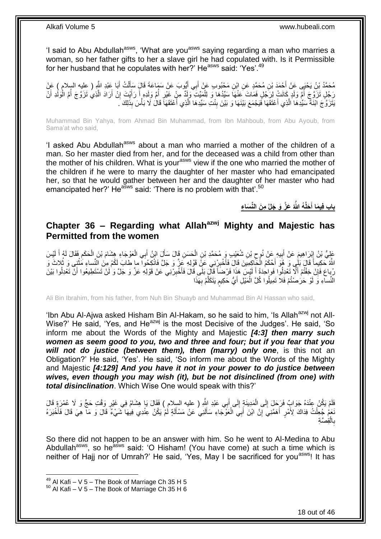'I said to Abu Abdullah<sup>asws</sup>, 'What are you<sup>asws</sup> saying regarding a man who marries a woman, so her father gifts to her a slave girl he had copulated with. Is it Permissible for her husband that he copulates with her?' He<sup>asws</sup> said: 'Yes'.<sup>49</sup>

مُحَمَّدُ بْنُ يَحْبَى عَنْ أَحْمَدَ بْنِ مُحَمَّدٍ عَنِ ابْنِ مَحْبُوبٍ عَنْ أَبِي أَيُّوبَ عَنْ سَمَاعَةَ قَالٍَ سَأَلْتُ أَبَا عَبْدِ اللَّهِ ( عِليه السلام ) عَنْ<br>مُحَمَّدُ بْنُ يَحْبَى عَنْ آَخِمَدَ بْنِ مُحَمَّدٍ عَن َ ْ َ َ َ َ رَجُلٍ تَزَوَّجَ أُمَّ وَلَدٍ كِانَتْ لِرَجُلٍ فَمَاتَ عَنْهَا سَيِّدُهَا وَ لِلْمَيِّتِ وَإِذٌ مِنْ غَيْرِ أُمِّ وَلِدِهِ أَ رَأَيْتَ إِنْ أَرَادَ الَّذِي تَزَوَّجَ أُمَّ الْوَلَٰدِ أَنْ ُ ِ ْ ا:<br>ا ه َ ِ َ ْ ُ َنِتَرَ وَّ جَ ابْنَهٔ ۖ سَيِّدِهَا الَّذِي أَعْتَقَهَا فَيَجْمَعَ بَيْنَهَا وَ بَيْنَ بِنْتِ سَيِّدِهَا الَّذِي أَعْتَقَهَا قَالَ لَا بَأْسَ بِذَلِكَ ۗ َ ه ِ َ ه **ٔ** 

Muhammad Bin Yahya, from Ahmad Bin Muhammad, from Ibn Mahboub, from Abu Ayoub, from Sama'at who said,

'I asked Abu Abdullah<sup>asws</sup> about a man who married a mother of the children of a man. So her master died from her, and for the deceased was a child from other than the mother of his children. What is your<sup>asws</sup> view if the one who married the mother of the children if he were to marry the daughter of her master who had emancipated her, so that he would gather between her and the daughter of her master who had emancipated her?' He<sup>asws</sup> said: 'There is no problem with that'.<sup>50</sup>

> باب فِيمَا أَحَلَّـٰهُ اللَّٰهُ عَزَّ وَ جَلَّ مِنَ النِّسَاءِ **َ**

### <span id="page-17-0"></span>**Chapter 36 – Regarding what Allahazwj Mighty and Majestic has Permitted from the women**

عَلِيُّ بْنُ إِبْرَاهِيمَ عَنْ أَبِيهِ عَنْ نُوحٍ بْنِ شُعَيْبٍ وَ مُحَمَّدِ بْنِ الْحَسَنِ قَالَ سَأَلَ ابْنُ أَبِي الْعَوْجَاءِ هِشَامَ بْنَ الْحَكَمِ فَقَالَ لَهُمٍ أَ لَيْسَ ْ ِ **!** َ ِ لَ َ ِ ْ ْ َ Í اللَّهُ حَكِيماً قَالَ بَلْيٍ وَ ۖ هُوَ أَحْكَمُ الْكَلِكِمِينَ قَالَ فَأَخْبِرْنِنِي عَنِّ قَوْلِهِ عَزْ وَ جَلَّ فَانْكِحُوا ۖ ما طابَ لَكُمْ مِنَ النِّساءِ مَثْنِي وَ ثُلاثَ وَ ِ .<br>أ ْ َ **ٔ** رُباعَ فَإِنْ خِفْتُمْ أَلَّا تَعْدِلُوا فَواحِدَةً أَ لَيْسَ هَذَا فَرْضَاً قَالَ بَلَى قَالَ فَأَخْبِرْنِي عَنْ قَوْلِهِ عَزَّ وَ جَلَّ وَ لَنْ تَسْتَطِيعُوا أَنَّ تَعْدِلُوا بَيْنَ ِ َ لَ َ ِ ُ َ النِّساءِ وَ لَوْ حَرَصْتُمْ فَلا تَمِيلُوا كُلَّ الْمَيْلِ أَيُّ حَكِيمٍ يَتَكَلَّمُ بِهَذَا ֧֧֖֧֖֧֖֧֧֧֧֧֧֧֧֧֧֧֧֚֚֚֓֝֝֝֝֝֟֓֝֓֬֝֓֝֬֟֓֟֓֝֬֟֓֟֓֝֬֝֬֝֓֟֓֝֬֜֝֬֝֓֝֬֝֓ َ ْ **∶** ه

Ali Bin Ibrahim, from his father, from Nuh Bin Shuayb and Muhammad Bin Al Hassan who said,

'Ibn Abu Al-Ajwa asked Hisham Bin Al-Hakam, so he said to him, 'Is Allah<sup>azwj</sup> not All-Wise?' He said, 'Yes, and He<sup>azwj</sup> is the most Decisive of the Judges'. He said, 'So inform me about the Words of the Mighty and Majestic *[4:3] then marry such women as seem good to you, two and three and four; but if you fear that you will not do justice (between them), then (marry) only one*, is this not an Obligation?' He said, 'Yes'. He said, 'So inform me about the Words of the Mighty and Majestic *[4:129] And you have it not in your power to do justice between wives, even though you may wish (it), but be not disinclined (from one) with total disinclination*. Which Wise One would speak with this?'

فَلَمْ يَكُنْ عِنْدَهُ جَوَابٌٍ فَرَحَلَ إِلَى الْمَدِينَةِ إِلَى أَبِي عَبْدِ اللَّهِ ( عليه السلام ) فَقَالَ يَا هِشَامُ فِي غَيْرِ وَقْتِ حَجٍّ وَ لَا عُمْرَةٍ قَالَ َ ِ ْ  $\frac{1}{2}$ ِ نَعَمْ جُعِلْتُ فِدَاكَ لِأَمْرٍ أَهَمَّنِيَ إِنَّ ابْنَ أَبِيَ الْعَوْجَاءِ سَأَلَنِي عَنْ مَسْأَلَةٍ لَمْ يَكُنْ عِنْدِي فِيهَا شَيْءٌ قَالَ وَ مَا هِيَ قَالَ فَأَخْبَرَهُ ْ لَ َ لَ َ ْ ِ َ َ بالقِصَّةِ ْ ِ

So there did not happen to be an answer with him. So he went to Al-Medina to Abu Abdullah<sup>asws</sup>, so he<sup>asws</sup> said: 'O Hisham! (You have come) at such a time which is neither of Hajj nor of Umrah?' He said, 'Yes, May I be sacrificed for you<sup>asws</sup>! It has

 $^{49}$  Al Kafi – V 5 – The Book of Marriage Ch 35 H 5

 $50$  Al Kafi – V 5 – The Book of Marriage Ch 35 H 6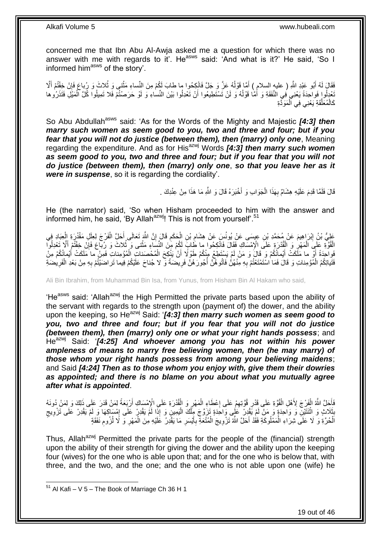concerned me that Ibn Abu Al-Awja asked me a question for which there was no answer with me with regards to it'. He<sup>asws</sup> said: 'And what is it?' He said, 'So I informed him<sup>asws</sup> of the story'.

فَقَالَ لَهُ أَبُو عَبْدِ اللَّهِ ( عليهِ السلام ) أَمَّا قَوْلُهُ عَزَّ وَ جَلَّ فَانْكِحُوا ما طابَ لَكُمْ مِنَ النِّساءِ مَثْنى وَ ثُلاثَ وَ رُباعَ فَإِنْ خِفْتُمْ أَلَا ا<br>ا َ َ  $\frac{1}{2}$ **ٔ** َّعْدِلُوا فَواحِدَةً يَعْنِي فِي النَّفَقَةِ وَ أَمَّا قَوْلُهُ وَ لَنْ تَسْتَطِيعُوا أَنْ تَعْدِلُوا بَيْنَ النِّساءِ وَ لَوْ حَرَصْنُمْ فَلا تَمِيلُوا كُلَّ الْمَيْلِ فَتَذَرُوها اُ ُ َ ْ كَالْمُعَلَّقَةِ يَعْنِي فِي الْمَوَدَّةِ ْ ه ْ

So Abu Abdullah<sup>asws</sup> said: 'As for the Words of the Mighty and Majestic [4:3] then *marry such women as seem good to you, two and three and four; but if you fear that you will not do justice (between them), then (marry) only one*, Meaning regarding the expenditure. And as for Hisazwj Words *[4:3] then marry such women as seem good to you, two and three and four; but if you fear that you will not do justice (between them), then (marry) only one*, *so that you leave her as it were in suspense*, so it is regarding the cordiality'.

> قَالَ فَلَمَّا قَدِمَ عَلَيْهِ هِشَامٌ بِهَذَا الْجَوَابِ وَ أَخْبَرَهُ قَالَ وَ اللَّهِ مَا هَذَا مِنْ عِنْدِكَ . ْ ِ

He (the narrator) said, 'So when Hisham proceeded to him with the answer and informed him, he said, 'By Allah<sup>azwj</sup>! This is not from yourself'.<sup>51</sup>

عَلِيُّ بْنُ إِبْرَاهِيمَ عَنْ مُحَمَّدِ بْنِ عِيسَى عَنْ يُونُسَ عَنْ هِشَامِ بْنِ الْحَكَمِ قَالَ إِنَّ اللَّهَ تَعَالَى أَحَلَّ الْفَرْجَ لِعِلَلِ مَقْدُرَةِ إِلْعِبَادِ فِي<br>وَمُسَامِعُهُ اللَّهُ الْعَمَّارَ وَالْعِبَا َ ِ ِ ْ ِ ِ ْ ْ الْقُوَّةِ عَلَى الْمَهْرِ وَ الْقُدْرَةِ عَلَى الْإِمْسَاكِ فَقَالَ فَانْكِحُوا ما طَابَ لَكُمْ مِنَ النِّسَاءِ مَثْنى وَ ثُلاثَ وَ رُباعَ فَإِنْ خِفْتُمْ أَلَّا تَعْدِلُوآ ْ ِ ْ ْ اُ ∣ļ ْ فَواحِدَةً أَوْ ما مَلَكَتْ أَيْمانُكُمْ وَ قَالَ وَ مَنْ لَمْ يَسْتَطِعْ مِنْكُمْ طَوْلًا أَنْ يَنْكِحَ الْمُحْصَناتِ الْمُوْمِناتِ فَمِنْ ما مَلَكَتْ أَيْمانُكُمْ مِنْ ْ ْ َ َ َ فَتَياتِكُمُ الْمُؤْمِناتِ وَ قَالَ فَمَا اسْتَمْتَعْتُمْ بِهِ مِنْهُنَّ فَاَتُوهُنَّ أُجُورَهُنَّ فَرِيضَةً و ْ ِ **ٍ** المعدِّد السياسية في المستشركة المستشركة المستشركة المستشركة المستشركة المستشركة المستشركة المستشركة المستشركة<br>المستشركة المستشركة المستشركة المستشركة المستشركة المستشركة المستشركة المستشركة المستشركة المستشركة المستشركة ِ ِ ْ

Ali Bin Ibrahim, from Muhammad Bin Isa, from Yunus, from Hisham Bin Al Hakam who said,

'He<sup>asws</sup> said: 'Allah<sup>azwj</sup> the High Permitted the private parts based upon the ability of the servant with regards to the strength upon (payment of) the dower, and the ability upon the keeping, so He<sup>azwj</sup> Said: '[4:3] then marry such women as seem good to *you, two and three and four; but if you fear that you will not do justice (between them), then (marry) only one or what your right hands possess*; and He<sup>azwj</sup> Said: '[4:25] And whoever among you has not within his power *ampleness of means to marry free believing women, then (he may marry) of those whom your right hands possess from among your believing maidens*; and Said *[4:24] Then as to those whom you enjoy with, give them their dowries as appointed; and there is no blame on you about what you mutually agree after what is appointed*.

فَأَخِلَّ اللَّهُ الْفَرْجَ لِأَهْلِ الْقُوَّةِ عَلَى قَدْرِ قُوَّتِهِمْ عَلَى إِعْطَاءِ الْمَهْرِ وَ الْقُدْرَةِ عَلَى الْإِمْسَاكِ أَرْبَعَةً لِمَنْ قَدَرَ عَلَى ذَلِكَ وَ لِمَنْ دُونَهُ<br>يَهَدَى اللَّهُ الْفَرْجَ لِأَهْ ْ ِ ْ ِ ِ ِ ْ ْ َ ْبَذَلاثٍ وَ اثْنَثَيْنِ وَ وَاحِدَةٍ وَ مَنْ لَمْ يَقْدِنْ عَلَى وَاحَدَةٍ تَزَوَّجَ مِِلْكَ الْيَمِينِ وَ إِذَا لَمَّ يَقْدِرْ عَلَى الْمِسْلِكِهَا وَ لَمْ يَقْدِرْ عَلَى تَزْوِيجِ .<br>إ ْ **ٔ ∣** ِ ِ ِ اَلْحُرَّةِ وَ لَا عَلَى شِرَاءِ الْمَمْلُوكَةِ فَقُدْ أَحَلَّ اللَّهُ تَزْوِيجَ الْمُتْعَةِ بِأَيْسَرِ مَا يَقْدِرُ عَلَيْهِ مِنَ الْمَهْرِ وَ لَا لُزُومِ نَفَقَةٍ ْ ِ ِ ْ ِ َ **∶** ْ ِ

Thus, Allah<sup>azwj</sup> Permitted the private parts for the people of the (financial) strength upon the ability of their strength for giving the dower and the ability upon the keeping four (wives) for the one who is able upon that; and for the one who is below that, with three, and the two, and the one; and the one who is not able upon one (wife) he

 $51$  Al Kafi – V 5 – The Book of Marriage Ch 36 H 1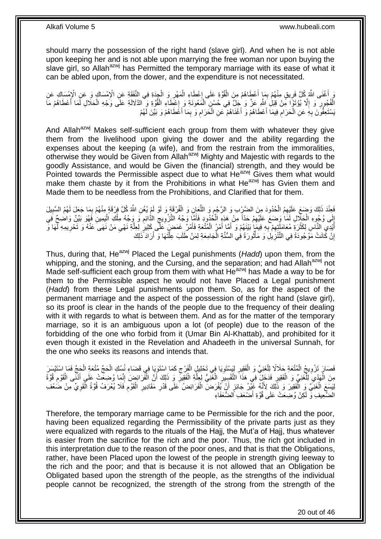should marry the possession of the right hand (slave girl). And when he is not able upon keeping her and is not able upon marrying the free woman nor upon buying the slave girl, so Allah<sup>azwj</sup> has Permitted the temporary marriage with its ease of what it can be abled upon, from the dower, and the expenditure is not necessitated.

رَ أَعْنَى اللَّهُ كُلَّ فَرِيقٍ مِنْهُمْ بِمَا أَعْطَاهُمْ مِنَ الْقُوَّةِ عَلَى إِعْطَاءِ الْمَهْرِ وَ الْجِدَةِ فِي النَّفَقَةِ عَنِ الْإِمْسَاكِ وَ عَنِ الْإِمْسَاكِ عَنِ<br>ثَلَاثُ أَحْقَبَ الْمَرْسَلَةُ الْمَرْسَلَةُ م ْ ِ ْ ِ ْ َ ِ **∶** اً<br>ا الْفُجُورِ وَ إِلَّا يُؤْتَوْا مِّنْ قِبَلِ إِللَّهِ عَزَ وَ جَلَّ فِي حُسْنٍ الْمَعُونَةِ وَ إِعْطَاءِ الْقُوَّةِ وَ الذَّلَالَةِ عَلَى وَجْهِ الْحَلَالِ لَمَا أَعْطَاهُمْ مَا ِ **∶** َ ْ ْ **∴××** ْ سُنَّعِفُّونَ بِهِ عَنِ الْحَرَامِ فِيمَا أَعْطَاهُمْ وَ أَغْنَاهُمْ عَنِ الْحَرَامِ وَ بِمَا أَعَْطَاهُمْ وَ بَيَّنَ لَهُمْ َ ِ ِ ْ َ َ ِ ْ **∶** 

And Allah<sup>azwj</sup> Makes self-sufficient each group from them with whatever they give them from the livelihood upon giving the dower and the ability regarding the expenses about the keeping (a wife), and from the restrain from the immoralities, otherwise they would be Given from Allah<sup>azwj</sup> Mighty and Majestic with regards to the goodly Assistance, and would be Given the (financial) strength, and they would be Pointed towards the Permissible aspect due to what He<sup>azwj</sup> Gives them what would make them chaste by it from the Prohibitions in what  $He^{azwj}$  has Gvien them and Made them to be needless from the Prohibitions, and Clarified that for them.

فَعِنْدَ ذَلِكَ وَضِعَ عَلَيْهِمُ الْحُدُودَ مِنَ الضَّرْبِ وَ الرَّجْمِ وَ اللَّعَإِنِ وَ الْفُرْقَةِ وَ لَوْ لَمْ يُغْنِ اللَّهُ كُلَّ فِرْقَةٍ مِنْهُمْ بِمَا جَعَلَ لَهُمُ السَّبِيلَ ِ ْ ِ ِ ْ ِّ إِلَى وُجُوهِ الْكَلَّالِ لَمَا وَصَعَ عَلَيْهِمْ حَدَّاً مِنْ هَذِهِ الْخُدُودِ فَأَمَّا وَجْهُ التَّزْوِيجِ الدَّائِمِ وَ وَجْهُ مِلْكِ الْيَمِينِ فَهُوَ بَيِّنٌ وَاضِحٌ فَي ِ  $\zeta$ ِ َ ا<br>ا ِ ْ ֦֧֦֧֦֧֦֧֦֧֦֦֦֧֦֧֦֦֦֦֧֦֦֦֧֦֦֧֦֧֦֦֦֦֧֦֧֦֦֦֚֝֟֝֘֟֓֡֘֟֓֡֟֓֡֡֓֡֡֡֡֞֡ ْ أَيْدِي النَّاسِ لِكَثْرَةَ مُعَامَلَتِهِمْ بِهِ فِيمَإِ بَيْنَهُمْ وَ أَمَّا أَمْرُ الْمُتْعَةِ فَأَمْرٌ عَمَضٍ كَثِيرٍ لِلِّلِّهِ نَهْيِ مَنْ نَهَى َعَنْهُ وَ تَحْرِيمِهِ لَمَا وَّ َ ْ َ َ ِ ِ ់<br>" ِ ِ ه إِنْ كَانَتْ مَوْجُودَةً فِي النَّتْزِِيلِۢ وَ مَأْثُورَةً فِي السُّنَّةِ الْجَامِعَةِ لِمَنْ طَلَبَ عِلَّتَهَا وَ أَرَادَ ذَلِكَ ِ <u>֖֚֚֚֚֚֚֚֓</u> َ ه ْ ُ ֧֧֧֦֧֦֪֦֧֦֦֧֦֧֦֧֦֘֟֟֟֓֕֟֓֟֓֕֬֟֓֟֓֕֓֟֓֟֓֕֬֓֟֓֟֓֟֓֟֓֟֓֡֟֓֟֓֟֓֟֓֡֬֓֞֟֓֟֓֟֬֟֓֞֬֟֓֟֓֟

Thus, during that, He<sup>azwj</sup> Placed the Legal punishments (*Hadd*) upon them, from the whipping, and the stoning, and the Cursing, and the separation; and had Allah<sup>azwj</sup> not Made self-sufficient each group from them with what He<sup>azwj</sup> has Made a way to be for them to the Permissible aspect he would not have Placed a Legal punishment (*Hadd*) from these Legal punishments upon them. So, as for the aspect of the permanent marriage and the aspect of the possession of the right hand (slave girl), so its proof is clear in the hands of the people due to the frequency of their dealing with it with regards to what is between them. And as for the matter of the temporary marriage, so it is an ambiguous upon a lot (of people) due to the reason of the forbidding of the one who forbid from it (Umar Bin Al-Khattab), and prohibited for it even though it existed in the Revelation and Ahadeeth in the universal Sunnah, for the one who seeks its reasons and intends that.

فَصَارَ تَزْوِيجُ الْمُتْعَةِ حَلَالًا لِلْغَنِيِّ وَ الْفَقِيرِ لِيَبِسْتَوِيَا فِي تَحْلِيلٍ الْفَرْجِ كَمَا اسْتَوْيَا فِي قَضَاءِ نُسُكِ الْحَجِّ مُتْعَةِ الْجَجِّ فَمَا اسْتَيْسَرَ ِ ْ ِ ِ ْ ْ ْ **∶** ْ ْ مِنَ الْهَدْيَ لِلْغَنِيِّ وَ الْفَقِيرِ فَدَخَلَ فِي هَذَا التَّفْسِيرِ الْغَنِّيُّ لِعِلَّةِ الْفَقِيرِّ وَ ذَلِكَ أَنَّ الْفَرَائِضَ إِنَّمَا وُضِعَتْ عَلَى أَذْنَى الْقَوْمِ قُوَّةً ¦ ْ ْ )<br>;  $\ddot{\phantom{a}}$ ْ َ ِ ْ َ ِ ْ ه ْ ِ لِيَسَعَ الْغَنِّيَّ وَ الْفَقِيرَ وَ ذَّلِكَ لِأَنَّهُ غَيِّبْنُ جَائِزٍ أَنْ يُفْرَضَ الْفَرَائِضُ عَلَى قَدْرِ مَقَادِيرِ الْقَوْمِ فَلَا يُعْرَفُ قُوَّةُ الْفَوِيِّ مِنْ ضَعْفِ ْ ِ ِ ْ َ ْ ِ ْ  $\ddot{\phantom{a}}$ الضَّعِيفِ وَ لَكِنْ وُضِعَتْ عَلَى قُوَّةِ أَضْعَفِ ٱلضُّعَفَاءِ َ

Therefore, the temporary marriage came to be Permissible for the rich and the poor, having been equalized regarding the Permissibility of the private parts just as they were equalized with regards to the rituals of the Hajj, the Mut'a of Hajj, thus whatever is easier from the sacrifice for the rich and the poor. Thus, the rich got included in this interpretation due to the reason of the poor ones, and that is that the Obligations, rather, have been Placed upon the lowest of the people in strength giving leeway to the rich and the poor; and that is because it is not allowed that an Obligation be Obligated based upon the strength of the people, as the strengths of the individual people cannot be recognized, the strength of the strong from the strength of the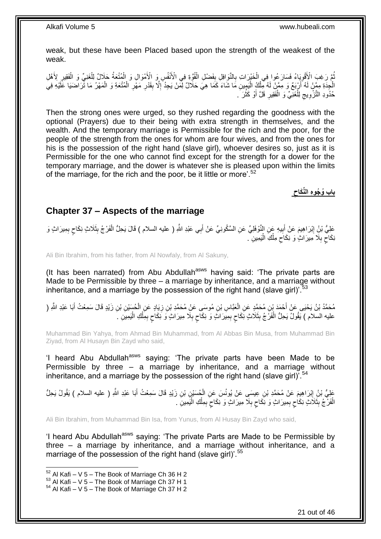weak, but these have been Placed based upon the strength of the weakest of the weak.

ُّمَّ رَغِبَ الْأُقْوِيَاءُ فَسَارَ عُوا فِي الْخَيْرَاتِ بِالثَّوَافِلِ بِفَضْلِ الْقُوَّةِ فِي الْأَنْفُسِ وَ الْأَمْوَالِ وَ الْمُتْعَةُ حَلَالٌ لِلْغَنِيِّ وَ الْفَقِيرِ لِأَهْلِ ْ **ِ** ِ ْ ِ ُ ِ ْ ْ ْ ا.<br>إ الْجِدَةِ مِمَّنْ لَهُ أَرْبَعٌ وَ مِمَّنْ لَهُ مِلْكُ الْيَمِينِ مَا شَاءَ كَمَا هِيَ حَلَالٌ لِمَنْ يَجِدُ إِلَّا بِقَدْرِ مَهْرِ الْمُتْعَةِ وَ الْمَهْرُ مَا تَرَاضَيَا عَلَيْهِ فِيَ ْ ْ ْ ْ ِ ِ ِ ِ **∶** حُدُودِ التَّزْوِيجِ لِلْغَنِّيِّ وَ الْفَقِيرِ قَلَّ أَوْ كَثُرَ َ. ْ ْ ِ ِ افعال<br>أم ز<br>ا

Then the strong ones were urged, so they rushed regarding the goodness with the optional (Prayers) due to their being with extra strength in themselves, and the wealth. And the temporary marriage is Permissible for the rich and the poor, for the people of the strength from the ones for whom are four wives, and from the ones for his is the possession of the right hand (slave girl), whoever desires so, just as it is Permissible for the one who cannot find except for the strength for a dower for the temporary marriage, and the dower is whatever she is pleased upon within the limits of the marriage, for the rich and the poor, be it little or more'.<sup>52</sup>

> **باب ُو ُجو ه الِّنَكاح**

### <span id="page-20-0"></span>**Chapter 37 – Aspects of the marriage**

عَلِيُّ بْنُِ إِبْرَاهِيمَ عَنْ أَبِيهِ عَنِ النَّوْفَلِيِّ عَنِ السَّكُونِيِّ عَنْ أَبِي عَبْدِ اللَّهِ ( عليه السلام ) قَالَ يَحِلُّ الْفَرْجُ بِثَلَاثٍ نِكَاحٍ بِمِيرَاثٍ وَ َ **!** ِ ِ ٍ ْ ِنِكَاحٍ بِلَا مِيرَاتٍ وَ نِكَاحٍ مِلْكِ الْيَمِينِ ۚ. ا<br>ا ْ ِ ِ ٍ

Ali Bin Ibrahim, from his father, from Al Nowfaly, from Al Sakuny,

(It has been narrated) from Abu Abdullah<sup>asws</sup> having said: 'The private parts are Made to be Permissible by three – a marriage by inheritance, and a marriage without inheritance, and a marriage by the possession of the right hand (slave girl)<sup>'.53</sup>

مُحَمَّدُ بْنُ يَحْيَى عَنْ أَحْمَدَ بْنِ مُحَمَّدٍ عَنِ الْعَبَّاسِ بْنِ مُوسَى عَنْ مُحَمَّدِ بْنِ زِيَادٍ عَنِ الْحُسَيْنِ بْنِ زَيْدٍ قَالَ سَمِعْتُ أَبَا عَبْدِ اللَّهِ ( َ َ ْ ِ ْ عليه السلام ) يَقُولُ يَحِلُّ الْفَرَّ جُ بِثَلَاثٍ نِكَاحٍ بِمِيَرَاثٍ وَ نِكَاحٍ بِلَا مِيرَاثٍ وَ نِكَاحٍ بِمِلْكِ الْيَمِيَنِ ۚ ْ ْ ِ ٍ ِ ٍ ِ ٍ **∣** ْ

Muhammad Bin Yahya, from Ahmad Bin Muhammad, from Al Abbas Bin Musa, from Muhammad Bin Ziyad, from Al Husayn Bin Zayd who said,

'I heard Abu Abdullah<sup>asws</sup> saying: 'The private parts have been Made to be Permissible by three – a marriage by inheritance, and a marriage without inheritance, and a marriage by the possession of the right hand (slave girl)<sup>'.54</sup>

عَلِيُّ بْنُ إِبْرَاهِيمَ عَنْ مُحَمَّدِ بْنِ عِيسَى عَنْ يُونُسَ عَنِ الْجُسَيْنِ بْنِ زَيْدٍ قَالَ سَمِعْتُ أَبَا عَبْدِ اللَّهِ ( عليه السلام ) يَقُولُ يَحِلُّ َ ْ ِ الْفَرْجُ بِثَلَاثٍ نِكَاحٍ بِمِيرَاثٍ وَ نِكَاحٍ بِلَا مِيرَاثٍ وَ نِكَاحٍ بِمِلْكِ الْيَمِينِ ۖ . :<br>ا ْ ِ ٍ ِ ٍ ِ ٍ **!** ْ

Ali Bin Ibrahim, from Muhammad Bin Isa, from Yunus, from Al Husay Bin Zayd who said,

'I heard Abu Abdullah<sup>asws</sup> saying: 'The private Parts are Made to be Permissible by three – a marriage by inheritance, and a marriage without inheritance, and a marriage of the possession of the right hand (slave girl)'.<sup>55</sup>

 $52$  Al Kafi – V 5 – The Book of Marriage Ch 36 H 2

 $^{53}$  Al Kafi – V 5 – The Book of Marriage Ch 37 H 1

 $54$  Al Kafi – V 5 – The Book of Marriage Ch 37 H 2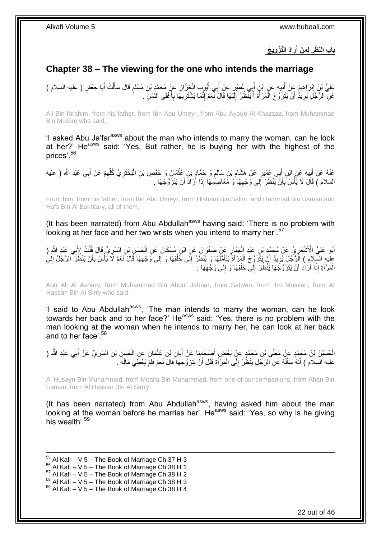**َراَد الَّت ْز وي َج ل َم ْن أ باب الَّن َظر َ** 

## <span id="page-21-0"></span>**Chapter 38 – The viewing for the one who intends the marriage**

֧֧֖֚֚֓֝֝֓֝ عَلِيُّ بْنُ إِبْرَاهِيمَ عَنْ أَبِيهِ عَنِ ابْنِ أَبِي عُمَيْرٍ عَنْ أَبِي أَيُّوبٍ الْخَزَّازِ عَنْ مُحَمَّدٍ بْنِ مُسْلِمٍ قَالَ سَأَلْتُ أَبَا جَعْفَرٍ ( عليه السلام ) ِ ْ َ َ َ ¦<br>; ِ َ ْ َ عَلِّ الرَّجُلِّ يُرِيدُ أَنْ يَتَزَوَّجَ الْمَرْأَةَ أَ يَنْظُرُ إِلَيْهَا قَالَ نَّعَمْ إِنَّمَا يَشْتَرِيهَا بِأَغْلَى الثَّمَنِّ . لَ ِ َ َ ْ **∶** ه ا<br>ا ِ **ٍ** ِ

Ali Bin Ibrahim, from his father, from Ibn Abu Umeyr, from Abu Ayoub Al Khazzaz, from Muhammad Bin Muslim who said,

'I asked Abu Ja'far<sup>asws</sup> about the man who intends to marry the woman, can he look at her?' He<sup>asws</sup> said: 'Yes. But rather, he is buying her with the highest of the prices'.<sup>56</sup>

غَذْهُ عَنْ أَبِيهِ عَنِ ابْنِ أَبِي عُمَيْرٍ عَنْ هِشَامِ بْنِ سَالِمٍ وَ حَمَّادٍ بْنِ عُثْمَانَ وَ حَفْصِ بْنِ الْبَخْتَرِيِّ كُلِّهِمْ عَنْ أَبِي عَبْدِ اللَّهِ ( عليه **ٔ** ٍ ِ  $\ddot{\phantom{a}}$ َ َ ِ ِّ ِ ْ السلام ) قَالَ لَا بَأْسَ بِأَنَّ يَنْظُرَ إِلَى وَجْهِهَا ٰوَ مَعَاصِمُهِمَا إِذَا أَرَادَ أَنْ يَتَزَوَّجَهَا . اُ ِ ∣∣<br>∶ َ **∶ ٔ** 

From him, from his father, from Ibn Abu Umeyr, from Hisham Bin Salim, and Hammad Bin Usman and Hafs Bin Al Bakhtary, all of them,

(It has been narrated) from Abu Abdullah<sup>asws</sup> having said: 'There is no problem with looking at her face and her two wrists when you intend to marry her'.<sup>57</sup>

أَبُو عَلِيٍّ الْأَشْعَرِيُّ عَنْ مُحَمَّدٍ بْنِ عَبْدِ الْجَبَّارِ عَنْ صَفْوَانَ عَنِ ابْنِ مُسْكَانَ عَنِ الْحَسَنِ بْنِ السَّرِيِّ قَالَ قُلْتُ لِأَبِي عَبْدِ اللَّهِ (<br>اللَّهُ عَلِيِّ الْأَشْعَرِيُّ مَنْ مُحَمَّدٍ بْن ِ َ ْ ِ ْ ِ ْ عِليهِ السِّلامِ ) الَِرَّجُلُ يُرِيدُ أَنْ يَتَزَوَّجَ الْمَرْأَةَ يَتَأَمَّلُهَا وَ يَنْظُرُ إِلَى خَلْفِهَا وَ إِلَى وَجْهِهَا قَالَ نَعَمْ لَا بَأْسَ بِأَنْ يَنْظُرَ الرَّجُلُ إِلَى ِ ِ ْ ِ ان<br>ا َ ْ اً ِ ِ أ **∶** ْ الْمَرْأَةِ إِذَا أَرَٰادَ أَنْ يَتَزَوَّجَهَا يَنْظُرَ إِلَى خَلْفِهَا وَ إِلَى وَجْهِهَا . ِ ِ ْ  $\frac{1}{2}$ َ َ َ ْ

Abu Ali Al Ashary, from Muhammad Bin Abdul Jabbar, from Safwan, from Ibn Muskan, from Al Hassan Bin Al Sirry who said,

'I said to Abu Abdullah<sup>asws</sup>, 'The man intends to marry the woman, can he look towards her back and to her face?' He<sup>asws</sup> said: 'Yes, there is no problem with the man looking at the woman when he intends to marry her, he can look at her back and to her face'.<sup>58</sup>

الْحُسَيْنُ بْنُ مُحَمَّدٍ عَنْ مُعَلَّى بْنِ مُحَمَّدٍ عَنْ بَعْضٍ أَصْحَابِنَا عَنْ أَبَانِ بْنِ عُثْمَانَ عَنِ الْحَسَنِ بْنِ السَّرِيِّ عَنْ أَبِي عَبْدِ الثَّهِ ( ْ **ٔ** َ **∶** َ َ ِ عليه السلام ) أَنَّهُ سَأَلَهُ عَنِ الرَّجُلِ يَنْظُرُ إِلَى الْمَرْ أَةِ قَبْلَ أَنَّ يَتَزَوَّجَهَا َقَالَ نَعَمْ فَلِمَ يُعْطَِي مَالَهُ . َ ْ ِ لَ َ َ َ

Al Husayn Bin Muhammad, from Moalla Bin Muhammad, from one of our companions, from Aban Bin Usman, from Al Hassan Bin Al Sarry,

(It has been narrated) from Abu Abdullah $a_{\text{sws}}$ , having asked him about the man looking at the woman before he marries her'. He<sup>asws</sup> said: 'Yes, so why is he giving his wealth<sup>'59</sup>

- 1  $55$  Al Kafi – V 5 – The Book of Marriage Ch 37 H 3
- $^{56}_{-8}$  Al Kafi V 5 The Book of Marriage Ch 38 H 1
- $57$  Al Kafi V 5 The Book of Marriage Ch 38 H 2
- $58$  Al Kafi V 5 The Book of Marriage Ch 38 H 3
- $59$  Al Kafi V 5 The Book of Marriage Ch 38 H 4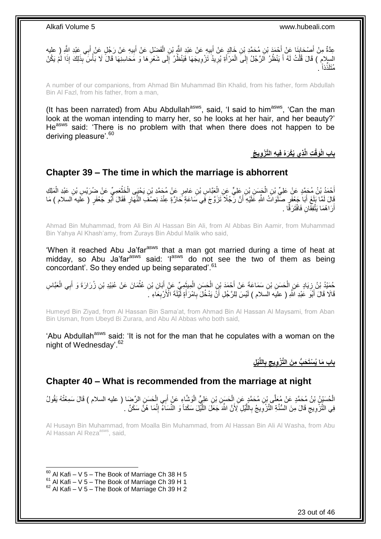ِ عِدَّةٌ مِنْ أَصْحَابِنَا عَنْ أَحْمَدَ بْنِ هُحَمَّدِ بْنِ خَالِدٍ عَنْ أَبِيهِ عَنْ عَبْدِ اللَّهِ بْنِ الْفَضْلِ عَنْ أَبِيهِ عَنْ رَجُلٍ عَنْ أَبِي عَبْدِ اللَّهِ رِ عليه<br>عَدَّةٌ مِنْ أَحِي عَبْدِ اللَّهِ إِ َ ْ **! ∣** َ َ السِلامِ ) قَالَ قُلْتُ لَهُ أَ يَنْظُرُ الَرَّجُلُ إِلَى الْمَرْأَةِ يُرِيدُ تَزْوِيجَهَا فَيَنْظُرُ إِلَى شَعْرِهَا وَ مَحَاسِنِهَا قَالَ لَا بَأْسَ بِذَلِكَ إِذَا لَمْ يَكُنْ ِ ِ **∶** ِ َ ْ ∣l<br>∶ َ ْ ْ . ذاً ُمَتلَذِّ

A number of our companions, from Ahmad Bin Muhammad Bin Khalid, from his father, form Abdullah Bin Al Fazl, from his father, from a man,

(It has been narrated) from Abu Abdullah<sup>asws</sup>, said, 'I said to him<sup>asws</sup>, 'Can the man look at the woman intending to marry her, so he looks at her hair, and her beauty?' He<sup>asws</sup> said: 'There is no problem with that when there does not happen to be deriving pleasure'.<sup>60</sup>

 **ذي ُيْكَرهُ في ه الَّت ْز وي ُج ت الَّ َوقْ باب الْ**

### <span id="page-22-0"></span>**Chapter 39 – The time in which the marriage is abhorrent**

اْحْمَدُ بْنُ مُحَمَّدٍ عَنْ عَلِيِّ بْنِ الْجَسَنِ بْنِ عَلِيٍّ عَنِ الْعَبَّاسِ بْنِ عَامِرٍ عَنْ مُحَمَّدِ ب<br>كَيْفَ بِنُ مَحَمَّدٍ مَنْ عَلِيِّ بِنِ الْجَسَنِ بِّنِ عَلِيٍّ عَنِ الْعَبَّاسِ بْنِ عَامِرٍ عَنْ مُحَمَّدٍ َ **ٔ** ْ ْ ْ ْ قَالَ لَمَّا بَلِغَ أَبَا جَعْفَرٍ صَلَوَاتُ اللَّهِ عَلَيْهِ أَنَّ رَّجُلًا تَزَوَّجَ فَِي سَاعَةٍ حَارَّةٍ عِنْدَ نِصْفَ النَّهَارِ فَقَالَ أَبُو جَعْفَرٍ ( عَليه السلام ) مَا َ َ ِ أَرَ اهُمَا يَتَّفِّقَانِ فَافْتَرَقَّا . اً

Ahmad Bin Muhammad, from Ali Bin Al Hassan Bin Ali, from Al Abbas Bin Aamir, from Muhammad Bin Yahya Al Khash'amy, from Zurays Bin Abdul Malik who said,

'When it reached Abu Ja'far<sup>asws</sup> that a man got married during a time of heat at midday, so Abu Ja'far<sup>asws</sup> said: 'l<sup>asws</sup> do not see the two of them as being concordant'. So they ended up being separated'.<sup>61</sup>

حُمَدُ بْنُ زِيَادٍ عَنِ الْحَسَنِ بْنِ سَمَاعَةَ عَنْ أَحْمَدَ بْنِ الْحَسَنِ الْمِيثَمِيِّ عَنْ أَبَانِ بْنِ عُثْمَانَ عَنْ عُبَيْدِ بْنِ زُرَارَةَ وَ أَبِي الْعَبَّاسِ ْ ِ ْ َ **ٔ** َ َ ْ ْ َ قَالَا ۚ قَالَ أَبُوۡ عَبْدِ اللَّهِ ( عليه السلام ) لَيْسَ لِلرَّجُلِ أَنَّ يَدْخُلَ بِامْرَ أَةٍ لَّيْلَةَ الْأَرْبِعَاءِ ۗ ِ َ ِ َ َ

Humeyd Bin Ziyad, from Al Hassan Bin Sama'at, from Ahmad Bin Al Hassan Al Maysami, from Aban Bin Usman, from Ubeyd Bi Zurara, and Abu Al Abbas who both said,

'Abu Abdullah<sup>asws</sup> said: 'It is not for the man that he copulates with a woman on the night of Wednesday'.<sup>62</sup>

> **ْي ل اللَّ ب باب َما ُي ْسَت َح ُّب م َن الَّت ْز ويج**

### <span id="page-22-1"></span>**Chapter 40 – What is recommended from the marriage at night**

الْحُسَيْنُ بْنُ مُحَمَّدٍ عَنْ مُعَلَّى بْنِ مُحَمَّدٍ عَنِ الْحَسَنِ بْنِ عَلِيٍّ الْوَشَّاءِ عَنْ أَبِي الْحَسَنِ الرِّضَا ( عليه السلام ) قَالَ سَمِعْتُهُ يَقُولُ<br>. ْ ْ ْ فِي التَّزُّوِيجِ قَالَ مِنَ الْسُّنَّةِ الْثَّزْوِيجُ بِالْلَّيْلِ لِأَنَّ اللَّهَ جَعَلَ اللَّيْلَ سَكَناً وَ النِّسَاءَ إِنَّمَا هُنَّ سَكَنْ . ِ ه ه ِ ِ ِ ِ

Al Husayn Bin Muhammad, from Moalla Bin Muhammad, from Al Hassan Bin Ali Al Washa, from Abu Al Hassan Al Reza<sup>asws</sup>, said,

 $60$  Al Kafi – V 5 – The Book of Marriage Ch 38 H 5

 $61$  Al Kafi – V 5 – The Book of Marriage Ch 39 H 1

 $62$  Al Kafi – V 5 – The Book of Marriage Ch 39 H 2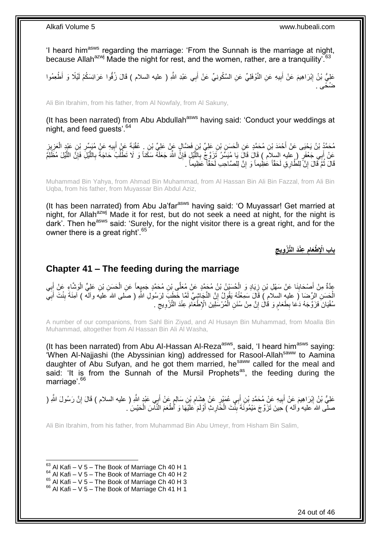'I heard him<sup>asws</sup> regarding the marriage: 'From the Sunnah is the marriage at night, because Allah<sup>azwj</sup> Made the night for rest, and the women, rather, are a tranquility<sup>763</sup>

عَلِيُّ بْنُ إِبْرَاهِيمَ عَنْ أَبِيهِ عَنِ النَّوْفَلِيِّ عَنِ السَّكُونِيِّ عَنْ أَبِي عَبْدِ اللَّهِ ( عليه السلام ) قَالَ زُفُّوا عَرَائِسَكُمْ لَيْلًا وَ أَطْعِمُوا **!** َ **ֽו** َ ضُخًى .

Ali Bin Ibrahim, from his father, from Al Nowfaly, from Al Sakuny,

(It has been narrated) from Abu Abdullah<sup>asws</sup> having said: 'Conduct your weddings at night, and feed quests<sup>'.64</sup>

مُحَمَّدُ بْنُ يَحْيَى عَنْ أَحْمَدَ بْنِ مُحَمَّدٍ عَنِ الْحَسَنِ بْنِ عَلِيٍّ بْنِ فَضَّالٍ عَنٍّ مِّنْ غَيْ<br>مُحَمَّدُ بْنُ يَحْيَى عَنْ أَحْمَدَ بْنِ مُحَمَّدٍ عَنِ الْحَسَنِ بْنِ عَلِيٍّ بْنِ فَضَّالٍ عَنٍّ مِّنْ عَلَ ْ َ ِ ِ ْ ِ ِ َ عَنْ أَبِي جَعْفَرٍ ( عليه السلام ) قَالَ قَالَ يَا مُنَسِّرُ نَزِوَّ جٌّ بِاللَّيْلِ فَإِنًّ اللَّهَ جَعَلَهُ سَكَناً وَ لَا تَطْلُبُ حَاجَةً بِاللَّيْلِ فَإِنَّ اللَّيْلَ مُظْلِمٌ َ ه ِ ُ ِ ه ِ ه ِ قَالَ لَمَّ قَالَ إِنَّ لِلظَّارِقِ لَحَقَّاً عَظِيماً وَ إِنَّ لِلصَّاحِبِ لَحَقَّاً عَظِيماً . ِ ِ ُ

Muhammad Bin Yahya, from Ahmad Bin Muhammad, from Al Hassan Bin Ali Bin Fazzal, from Ali Bin Uqba, from his father, from Muyassar Bin Abdul Aziz,

(It has been narrated) from Abu Ja'far<sup>asws</sup> having said: 'O Muyassar! Get married at night, for Allah<sup>azwj</sup> Made it for rest, but do not seek a need at night, for the night is dark'. Then he<sup>asws</sup> said: 'Surely, for the night visitor there is a great right, and for the owner there is a great right'.<sup>65</sup>

> **عْنَد الَّت ْز ويج ْطَعام باب اْإل**

### <span id="page-23-0"></span>**Chapter 41 – The feeding during the marriage**

عَدَّةٌ مِنْ أَصْحَابِنَا عَنْ سَهْلِ بْنِ زِيَادٍ وَ الْحُسَيْنُ بْنُ مُحَمَّدٍ عَنْ مُعَلَّى بْنِ مُحَمَّدٍ جَمِيعاً عَنِ الْحَسَنِ بْنِ عَلِيٍّ الْوَشَاءِ عَنْ أَبِي ْ **∶** ِ َ ِ َ ْ ْ الْحَسَنِ الرِّضَا ( عليهِ السلامِ ) قَالَ سَمِعْتُهُ يَقُولُ إِنَّ النَّجَاشِيَّ لَمَّا خَطَيَهَ لِزَسُولِ اللَّهِ ( صَلى الله عليه وآلم ) آمِنَةَ بِنْتَ أَبَيَّ ِ ِ َ ِ سُفْيَانَ ۖ فَزَوَّجَهُ دَعَا بِطَعَامٍ وَ قُالَ إِنَّ مِنْ سُنَنِ الْمُرْسَلِينَ الْإِطْعَآمَ عِنْدَ النَّزْوِيجِّ . ِ **∶** ْ ا ֧֖֧֚֚֓֝֝֝ ِ

A number of our companions, from Sahl Bin Ziyad, and Al Husayn Bin Muhammad, from Moalla Bin Muhammad, altogether from Al Hassan Bin Ali Al Washa,

(It has been narrated) from Abu Al-Hassan Al-Reza<sup>asws</sup>, said, 'I heard him<sup>asws</sup> saying: 'When Al-Najjashi (the Abyssinian king) addressed for Rasool-Allah<sup>saww</sup> to Aamina daughter of Abu Sufyan, and he got them married, he<sup>saww</sup> called for the meal and said: 'It is from the Sunnah of the Mursil Prophets<sup>as</sup>, the feeding during the marriage'.<sup>66</sup>

عَلِيُّ بْنُ إِبْرَاهِيمَ عَنْ أَبِيهِ عَنْ مُحَمَّدِ بْنِ أَبِي عُمَيْرٍ عَنْ هِشَامِ بْنِ سَالِمٍ عَنْ أَبِي عَبْدٍ اللَّهِ ( عليه السلام ) قَالَ إِنَّ رَسُولَ اللَّهِ ( َ **!** َ ِ ِ َ ֧׆֧֧ ِ صلَّى اللهُ عَليه وآله ) حَلِينَ تَزَوَّجَ مَيْمُونَةَ بِنَّتَ الْحَارِثِ أَوْلَمَ عَلَيْهَا وَ أَطْعَمَ النَّاسَ الْحَيْسَ ۢ. ْ َ ِ ْ  $\frac{1}{2}$ 

Ali Bin Ibrahim, from his father, from Muhammad Bin Abu Umeyr, from Hisham Bin Salim,

- $64$  Al Kafi V 5 The Book of Marriage Ch 40 H 2
- $^{65}$  Al Kafi V 5 The Book of Marriage Ch 40 H 3

<sup>1</sup>  $63$  Al Kafi – V 5 – The Book of Marriage Ch 40 H 1

 $66$  Al Kafi – V 5 – The Book of Marriage Ch 41 H 1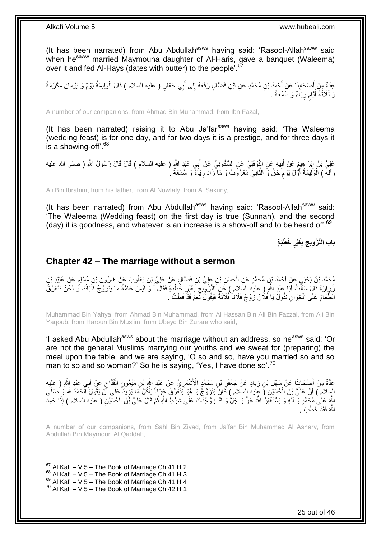(It has been narrated) from Abu Abdullah<sup>asws</sup> having said: 'Rasool-Allah<sup>saww</sup> said when he<sup>saww</sup> married Maymouna daughter of Al-Haris, gave a banquet (Waleema) over it and fed Al-Hays (dates with butter) to the people'.<sup>67</sup>

عِدَّةٌ مِنْ أَصْحَابِنَا عَنْ أَحْمَدَ بْنِ مُحَمَّدٍ عَنِ ابْنِ فَضَّالٍ رَفَعَهُ إِلَى أَبِي جَعْفَرٍ ( عليه السلام ) قَالَ الْوَلِيمَةُ يَوْمٌ وَ يَوْمَانِ مَكْرُمَةٌ َ ِ َ **∣** َ ْ وَ ثَلَاثَةُ أَيَّامٍ رِيَاَءٌ وَ سُمْعَةٌ . ِ َ ٔ,

A number of our companions, from Ahmad Bin Muhammad, from Ibn Fazal,

(It has been narrated) raising it to Abu Ja'far<sup>asws</sup> having said: 'The Waleema (wedding feast) is for one day, and for two days it is a prestige, and for three days it is a showing-off'.<sup>68</sup>

عَلِيُّ بْنُ إِبْرَاهِيمَ عَنْ أَبِيهِ عَنِ النَّوْفَلِيِّ عَنِ السَّكُونِيِّ عَنْ أَبِي عَبْدِ النَّهِ ( عليه السلام ) قَالَ قَالَ رَسُولُ النَّهِ ( صلى الله عليه َ **!** ِ وآلهٓ ) الْوَلِيمَةُ أَوَّلَ يَوْمَ حَقٌّ وَ الثَّانِيَ مَعْرُوَفٌ وَ مَا ۖزَادَ رِيَاَءٌ وَ سُمْعَةٌ ۚ ـُ **ٍ** ه ٍ ْ

Ali Bin Ibrahim, from his father, from Al Nowfaly, from Al Sakuny,

(It has been narrated) from Abu Abdullah<sup>asws</sup> having said: 'Rasool-Allah<sup>saww</sup> said: 'The Waleema (Wedding feast) on the first day is true (Sunnah), and the second (day) it is goodness, and whatever is an increase is a show-off and to be heard of  $69$ 

> باب التَّزْوِيجِ بِغَيْرِ خُطْبَةٍ

### <span id="page-24-0"></span>**Chapter 42 – The marriage without a sermon**

مُحَمَّدُ بْنُ يَحْيَي عَنٍْ أَحْمَدَ بْنِ مُحَمَّدٍ عَنِ الْحَسَنِ بْنِ عَلِيٍّ بْنِ فَضَّالٍ عَنْ عَلِيٍّ بْنِ يَعْقُوبَ عَنْ هَارُونَ بْنِ مُسْلِمٍ عَنْ غُبَيْدِ بْنِ ْ َ م زُرٍ إِنَ قَالَ سَأَلْتُ أَبَا عَبْدِ اللَّهِ ( عليه السّلام ) عَنِ التَّزْوِّبِجِ بِغَيْرِ خُطْبَةٍ فَقَالَ أ<br>زُرٍ إِنَّ قَالَ سَأَلْتُ أَبَا عَبْدِ اللَّهِ ( عليه السّلام ) عَنِ التَّزْوِّبِجِ بِغَيْرِ خُطْبَةٍ فَقَالَ َ ِ ِ ِ ِ َ ْ َ الطَّعَامَ عَلَى الْخِوَانِ نَقُولُ يَا فُلَانُ زَوِّجْ فُلَاناً فُلَانَةً فَيَقُولَُ نَّعَمَّ قَذَّ فَعَلْتُ ۚ ْ ْ

Muhammad Bin Yahya, from Ahmad Bin Muhammad, from Al Hassan Bin Ali Bin Fazzal, from Ali Bin Yaqoub, from Haroun Bin Muslim, from Ubeyd Bin Zurara who said,

'I asked Abu Abdullah<sup>asws</sup> about the marriage without an address, so he<sup>asws</sup> said: 'Or are not the general Muslims marrying our youths and we sweat for (preparing) the meal upon the table, and we are saying, 'O so and so, have you married so and so man to so and so woman?' So he is saying, 'Yes, I have done so'.<sup>70</sup>

عِدَّةٌ مِنْ أَصْحَابِنَا عَنْ سَهْلِ بْنِ زِيَادٍ عَنْ جَعْفَرِ بْنِ مُحَمَّدٍ الْأَشْعَرِيِّ عَنْ عَبْدِ الثَّهِ بْنِ مَيْمُونٍ الْقَدَّاحِ عَنْ أَبِي عَبْدِ إِلَيْهِ ( عليه ِ ِ َ  $\zeta$ ْ ِ ِ ِ ْ السِلامِ ) أَنَّ عَلِيَّ بْنَ الْحُسَنِينِ (َ عَلِيهُ السلام ) كَانَ يَتَزَوَّجُ وَ هُوَ يَتَعَرَّقُ عَرِفاً يَأْكُلُ مَا يَزِيدُ عَلَى أَنْ يَقُولَ الْحَمْدُ لِلَّهِ وَ صَلَّى ْ ه ْ َ ِ اللَّهُ عَلَىٰ مُحَمَّدٍ وَ ۚ آلِهِ وَ يَسْتَغْفَوُرُ اللَّهَ عَنَّ وَ جَلَّ وَ قَدْ زَوَّجْنَاكَ عَلَى شَرْطِ اللَّهِ ثُمَّ قَالَ عَلِيُّ بَنُ الْحُسَيْنِ ( عليه السلام ) إِذَا حَمِدَ ُ ْ اللَّٰہَ فَقَدْ خَطَبَ ۚ.

A number of our companions, from Sahl Bin Ziyad, from Ja'far Bin Muhammad Al Ashary, from Abdullah Bin Maymoun Al Qaddah,

 $67$  Al Kafi – V 5 – The Book of Marriage Ch 41 H 2

1

- $68$  Al Kafi V 5 The Book of Marriage Ch 41 H 3
- $^{69}_{-8}$  Al Kafi V 5 The Book of Marriage Ch 41 H 4

 $70$  Al Kafi – V 5 – The Book of Marriage Ch 42 H 1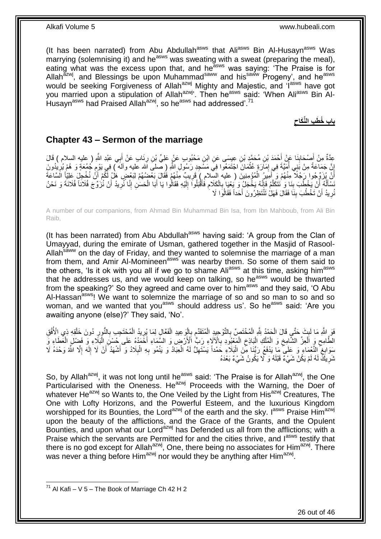(It has been narrated) from Abu Abdullah<sup>asws</sup> that Ali<sup>asws</sup> Bin Al-Husayn<sup>asws</sup> Was marrying (solemnising it) and he<sup>asws</sup> was sweating with a sweat (preparing the meal), eating what was the excess upon that, and he<sup>asws</sup> was saying: 'The Praise is for Allah<sup>azwj</sup>, and Blessings be upon Muhammad<sup>saww</sup> and his<sup>saww</sup> Progeny', and he<sup>asws</sup> would be seeking Forgiveness of Allah<sup>azwj</sup> Mighty and Majestic, and 'I<sup>asws</sup> have got you married upon a stipulation of Allah<sup>azwj</sup>'. Then he<sup>asws</sup> said: 'When Ali<sup>asws</sup> Bin Al-Husayn<sup>asws</sup> had Praised Allah<sup>azwj</sup>, so he<sup>asws</sup> had addressed'.<sup>71</sup>

> **باب ُخ َط ب الِّنَكاح**

### <span id="page-25-0"></span>**Chapter 43 – Sermon of the marriage**

عِدَّةٌ مِنْ أَصْحَابِنَا عَنْ أَحْمَدَ بْنِ مُحَمَّدٍ بْنِ عِيِسَى عَنِ ابْنِ مَحْبُوبٍ عَنْ عَلِيٍّ بْنِ رِئَابٍ عَنْ أَبِي عَبْدِ اللَّهِ ( عليه السلام ) قَالَ َ ِ َ **∣** إِنَّ جَمَاعَةً مِنْ بَنِي أُمَيَّةَ فِي إِمَارَةٍ عُثْمَانَ اجْتَمَعُوا فِيَ مَسْجِدِ رَسُولِ اللَّهِ (صلىَ الله عليه وآلمه ) فِي يَوْمِ جُمُعَةٍ وَ هُمْ يُرِيْدُونَ ْ ِ ِ<br>ا ِ ِ ِ أَنْ يُزَوِّجُوا رَجُلًا مِنْهُمْ وَ أَمَيِرُ الْمُؤْمِنِينَ ( عليه السِّلامِ ) قَرِيبٌ مِنْهُمْ فَقَالَ بَعْضُهُمْ لِنَعْضٍ هَلْ لَّكُمْ أَنْ نُخْجِلَ عَلِيَّا اَلسَّاعَةَ ِ ْ َ اُ َ نَسْأَلُهُ ۚ أَنْ يَخْطُبَ بِذَا وَ ٰنَتَكَلَّمُ فَإِنَّهُ يَخْجَلُ وَ يُئِنَا بِالْكَلامِ فَأَقْبَلُوا َ إِلَيْهِ فَقَالُوا يَا أَبَا الْحَسَنِ إِنَّا نُزِّرِيدُ أَنْ نُزُوِّجَ فُلَانَا فُلَانَةَ وَ نَحْنُ **∣** ُ َ **∶** ِ ْ َ لَ  $\frac{1}{2}$ َ **∶** ْ ِ اا نُرِيدُ أَنْ تَخْطُبَ بِنَا فَقَالَ فَهَلْ تَنْتَظِرُونَ أَحَداً فَقَالُوا لَا َ **∣** اً **∶** 

A number of our companions, from Ahmad Bin Muhammad Bin Isa, from Ibn Mahboub, from Ali Bin Raib,

(It has been narrated) from Abu Abdullah<sup>asws</sup> having said: 'A group from the Clan of Umayyad, during the emirate of Usman, gathered together in the Masjid of Rasool-Allah<sup>saww</sup> on the day of Friday, and they wanted to solemnise the marriage of a man from them, and Amir Al-Momineen<sup>asws'</sup> was nearby them. So some of them said to the others, 'Is it ok with you all if we go to shame Ali<sup>asws</sup> at this time, asking him<sup>asws</sup> that he addresses us, and we would keep on talking, so he<sup>asws</sup> would be thwarted from the speaking?' So they agreed and came over to him<sup>asws</sup> and they said, 'O Abu Al-Hassan<sup>asws</sup>! We want to solemnize the marriage of so and so man to so and so woman, and we wanted that you<sup>asws</sup> should address us'. So he<sup>asws</sup> said: 'Are you awaiting anyone (else)?' They said, 'No'.

ْ فَوَ اللَّهِ مَا لَبِثَ حَتَّىٍ قَالَ الْحَمْدُ لِلَّهِ الْمُخْتَصِّ بِالتَّوْحِيدِ الْمُتَقَدِّمِ بِإِلْوَ عِيدِ الْفُعَّالِ لِمَا يُرِيدُ الْمُخْتَجِبِ بِالنُّورِ دُونَ خَلْقِهِ ذِي الْأُفُقِ **∶** ֺ֧֪֚֚֚֚֚֚֚֚֚֚֚֚֚֚֚֚֚֝֓֡֓֓֡֓֡֓֡֡֓֡֡֡֡֬֜֝֓֡֡֝ ْ **∶** ْ ْ ׇ֧<u>֓</u> ْ ِ ِ ْ ِ ْ الْطَّامِحِ وَ الْعِزِّ الشَّامِخِ وَ الْمُلْكِ الْبَاذِخِ الْمَعْيُودِ بِالْآلَاءِ رَبِّ الْأَرْضِ وَ السَّمَاءِ أَخَمَدُهُ عَلَى خُسْنَ الْنَكِّاءِ وَ فَضِلْ الْغَطَاءِ وَّ ِ ْ  $\zeta$ ْ ْ ْ  $\zeta$ ْ  $\zeta$ ْ ْ ْ مَنوَابِغُ النَّعْمَاءِ وَ عَلَى ۖ مَا يَدْفَعُ رَبُّنَا مِّنَ الْذِلَاءِ حَمْداً يَسْتَهِلُّ لَهُ الْعِبَادُ وَ يَنْمُو بِهِ الْبِلَادُ وَ أَشْهَدُ أَنْ لَا إِلَهَ إِلَّا الَّهُ وَحْدَهُ لَا<br>ِ ِ ْ ِ ْ ِ ا<br>ا لَ ِ َ َ ِ نُّدَرِ يَكِّ لَهُ لَمْ يَكُنْ شَيْءٌ قَبْلَهُ وَ لَّا يَكُونُ شَيْءٌ بَعْدَهُ ِ

So, by Allah<sup>azwj</sup>, it was not long until he<sup>asws</sup> said: 'The Praise is for Allah<sup>azwj</sup>, the One Particularised with the Oneness. He<sup>azwj</sup> Proceeds with the Warning, the Doer of whatever He<sup>azwj</sup> so Wants to, the One Veiled by the Light from His<sup>azwj</sup> Creatures, The One with Lofty Horizons, and the Powerful Esteem, and the luxurious Kingdom worshipped for its Bounties, the Lord<sup>azwj</sup> of the earth and the sky. I<sup>asws</sup> Praise Him<sup>azwj</sup> upon the beauty of the afflictions, and the Grace of the Grants, and the Opulent Bounties, and upon what our Lord<sup>azwj</sup> has Defended us all from the afflictions; with a Praise which the servants are Permitted for and the cities thrive, and lasws testify that there is no god except for Allah<sup>azwj</sup>, One, there being no associates for Him<sup>azwj</sup>. There was never a thing before Him<sup>azwj</sup> nor would they be anything after Him<sup>azwj</sup>.

 $^{71}$  Al Kafi – V 5 – The Book of Marriage Ch 42 H 2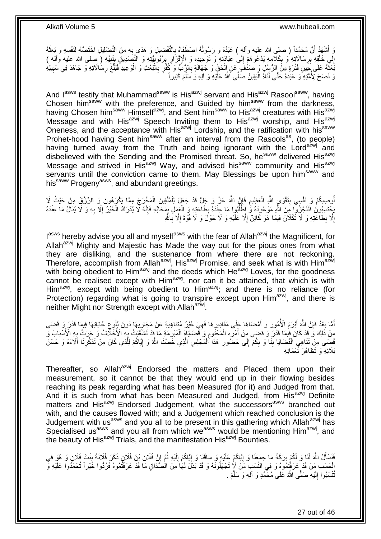وَ أَشْهَدُ أَنَّ مُحَمَّداً ( صلىِ الله عليه وآله ) عَبْدُهُ وَ رَسُولُهُ اصْطَفَاهُ بِالتَّفْضِيلِ وَ هَدَى بِهِ مِنَ التَّضْلِيلِ اخْتَصَدُهُ لِنَفْسِهِ وَ بَعَثَهُ ِ ِ ُ َ إِلَي خَلْقِهِ بِرِسَالَاتِهِ وَ بِكَلَّامِهِ يَدْعُوهُمْ إِلَى عِبَادَتِهِ وَ تَوْحِيدِهِ وَ الْإِقْرَارِ بِرُبُوبِيَّتِهِ وَ الْتَصَنْدِيقِ بِنَبِيِّهِ (صلى الله عليه وأله )<br>إِلَي خَلْقِهِ بِرِسَالَاتِهِ وَ بِكَلَّامِهِ ∣∣<br>∶ ِ ِ ْ ِ ِ ¦<br>₹ ِ ِ ِ بَعَثَهُ عَلَى جِبنِ فَثْرَةٍ مِنَّ الرُّسُلِ وَ صَدْفَ عَنِ الْحَقِّ وَ جَهَالَةٍ بِالرَّبَّ وَ كُفْرٍ بِالْبَعْثِ وَ الْوَعِيدِ فَبَلْغَ رِسَالَاتِهِ وَ جَاهَدَ فِي سَبِيلِهِ ْ ْ ِ ِ ْ َ ِ ِ ه وَ نَصَحَ لِأُمَّتِهِ ۖ وَ عَبَدَهُ حَتَّى أَتَاهُ الْيَقِينُ صَلَّى اللَّهُ عَلَيْهِ وَ الْهِ وَ سَلَّمَ كَثِيراً ه ا<br>ا

And lasws testify that Muhammad<sup>saww</sup> is His<sup>azwj</sup> servant and His<sup>azwj</sup> Rasool<sup>saww</sup>, having Chosen him<sup>saww</sup> with the preference, and Guided by him<sup>saww</sup> from the darkness, having Chosen him<sup>saww</sup> Himself<sup>azwj</sup>, and Sent him<sup>saww</sup> to His<sup>azwj</sup> creatures with His<sup>azwj</sup> Message and with His<sup>azwj</sup> Speech Inviting them to His<sup>azwj</sup> worship, and His<sup>azwj</sup> Oneness, and the acceptance with His<sup>azwj</sup> Lordship, and the ratification with his<sup>saww</sup> Prohet-hood having Sent him<sup>saww</sup> after an interval from the Rasools<sup>as</sup>, (to people) having turned away from the Truth and being ignorant with the Lord<sup>azwj</sup> and disbelieved with the Sending and the Promised threat. So, he<sup>saww</sup> delivered His<sup>azwj</sup> Message and strived in His<sup>azwj</sup> Way, and advised his<sup>saww</sup> community and His<sup>azwj</sup> servants until the conviction came to them. May Blessings be upon him<sup>saww</sup> and his<sup>saww</sup> Progeny<sup>asws</sup>, and abundant greetings.

ِ أُوصِيكُمْ وَرِنَفْسِي بِتَقْوَى اللَّهِ الْعَظِيمِ فَإِنَّ اللَّهَ عَنَّ وَ جَلَّ قَدْ جَعَلَ لِلْمُتَّقِينَ الْمَخْرِجَ مِمَّا يَكْرَهُونَ وَ الرِّزْقِ مِنْ حَيْثُ لَا ْ  $\frac{1}{2}$ ُ ْ ْ ِ يَحْتَسِبُونَ فَتَنَجَّزُو ۖا مِنَ اللَّهِ مَوْعُودَهُ وَ ٰ إِطَّلْبُوا مَا عِنْدَهُ بِطَاعَتِهِ وَ الْعَمَلِ بِمَحَابِّهِ فَإِنَّهُ لَا يُذْرَكُ الْخَيْرُ إِلَّا بِهِ وَ لَا يُذَالُ مَا عِنْدَهُ ِ ¦ ْ ِ ا<br>ا ِ ِ ْ إِلَّا بِطَاعَتِهِ وَ لَا تُكْلَانَ فِيمَا هُوَ كَائِنٌ إِلَّا عَلَيْهِ وَ لَا حَوْلَ وَ لَا قُوَّةَ إِلَّا بِاللَّهِ **∶** ِ ِ ِ ِ

l<sup>asws</sup> hereby advise you all and myself<sup>asws</sup> with the fear of Allah<sup>azwj</sup> the Magnificent, for Allah<sup>azwj</sup> Mighty and Majestic has Made the way out for the pious ones from what they are disliking, and the sustenance from where there are not reckoning. Therefore, accomplish from Allah<sup>azwj</sup>, His<sup>azwj</sup> Promise, and seek what is with Him<sup>azwj</sup> with being obedient to Him<sup>azwj</sup> and the deeds which He<sup>azwj</sup> Loves, for the goodness cannot be realised except with Him<sup>azwj</sup>, nor can it be attained, that which is with Him<sup>azwj</sup>, except with being obedient to Him<sup>azwj</sup>; and there is no reliance (for Protection) regarding what is going to transpire except upon Him<sup>azwj</sup>, and there is neither Might nor Strength except with Allah<sup>azwj</sup>.

أَمَّا بَعْدُ فَإِنَّ اللَّهَ أَبْرَمَ الْأُمُورَ وَ أَمْضَاهَا عَلَى مَقَادِيرٍهَا فَهِيَ غَيْرُ مُتَنَاهِيَةٍ عَنْ مَجَارِيهَا دُونَ بُلُوعٍ غَايَاتِهَا فِيمَا قَدَّرَ وَ قَضَى ِ ِ ِ َ َ ِ َ ِ مِنْ ذَلِكَ وَ ۖ قَدْ كَانَ ۚ فِيمَا قَدَّرَ ۖ وَ ۖ قَضَى مِنْ أَمْرِهِ الْمَخْتُومِ وَ ۖ قَضَايَاهِ الْمُبْرَمَةِ مَا ۚ قَدْ تَشَعَّبَتْ بِهِ ٱلْأَخْلَافُ وَ جَرَتْ بِهِ الْأَشْبَابُ وَ ْ ِ ْ ِ َ ِ .<br>∶6 قَضِي مِنْ تَنَاهِيِ الْقَضَايَا بِنَا وَ بِكُمْ إِلَى حُضُورِ هَذَا الْمَجْلِسِ الَّذِي خَصَّنَا اللَّهُ وَ إِيَّاكُمْ لِلَّذِي كَانَ مِنْ تَذَكُّرِنَا آلَاءَهُ وَ حُسْنَ ِ **!** ْ ِ ه ِ ه ْ **ٍ**  $\frac{1}{2}$ بَلَائِهِ وَ تَظَاهُرَ نَّعْمَائِهِ

Thereafter, so Allah<sup>azwj</sup> Endorsed the matters and Placed them upon their measurement, so it cannot be that they would end up in their flowing besides reaching its peak regarding what has been Measured (for it) and Judged from that. And it is such from what has been Measured and Judged, from His<sup>azwj</sup> Definite matters and His<sup>azwj</sup> Endorsed Judgement, what the successors<sup>asws</sup> branched out with, and the causes flowed with; and a Judgement which reached conclusion is the Judgement with us<sup>asws</sup> and you all to be present in this gathering which Allah<sup>azwj</sup> has Specialised us<sup>asws</sup> and you all from which we<sup>asws</sup> would be mentioning Him<sup>azwj</sup>, and the beauty of His<sup>azwj</sup> Trials, and the manifestation His<sup>azwj</sup> Bounties.

فَنَسْأَلُ اللَّهَ لَنَا وَ لَكُمْ بَرَكَةَ مَا جَمَعَنَا وَ إِيَّاكُمْ عَلَيْهِ وَ سَاقَنَا وَ إِيَّاكُمْ إِلَيْهِ ثُمَّ إِنَّ فُلَانَ بْنَ فُلاَنٍ وَبِذَا فُلَانٍ وَ هُوَ فِي ِ ُ لَ ِ ِ ِ َ **↓** مَنْ قَدْ عَرَفْتُمُوهُ وَ فِي النَّسَبِ مَنْ لَإِ تَجْهَلُونَهُ وَ قَدْ بَذَلَ لَهَا مِنَ الْصَّدَاقِ مَا قَدْ عَرَفْتُمُوهُ فَرُدُّوا خََيْراً تُحْمَدُوا عَلَيْهِ وَ تُّتْسَبُوا إِلَيْهِ صَلَّى اللَّهُ عَلَى مُحَمَّدٍ وَ آلِهِ وَ سَلَّمَ . لَ  $\frac{1}{2}$ ه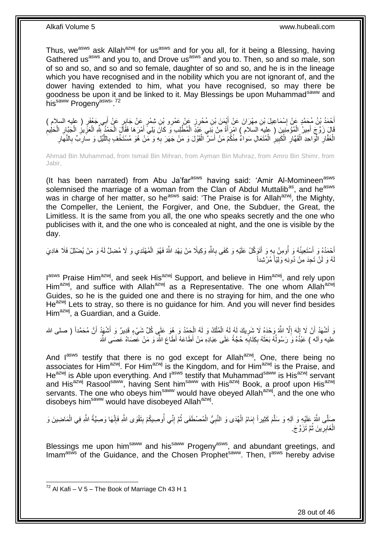Thus, we<sup>asws</sup> ask Allah<sup>azwj</sup> for us<sup>asws</sup> and for you all, for it being a Blessing, having Gathered us<sup>asws</sup> and you to, and Drove us<sup>asws</sup> and you to. Then, so and so male, son of so and so, and so and so female, daughter of so and so, and he is in the lineage which you have recognised and in the nobility which you are not ignorant of, and the dower having extended to him, what you have recognised, so may there be goodness be upon it and be linked to it. May Blessings be upon Muhammad<sup>saww</sup> and hissaww Progenyasws, 72

اُحْدُ بْنُ مُحَمَّدٍ عَنْ إِسْمَاعِيلَ بْنِ مِهْرَانَ عَنْ أَيْمَنَ بْنِ مُحْرِرٍ عَنْ عَمْرِو بْنِ شِمْرٍ عَن<br>بَيْنَ يَجْمَعُوا الْعَمَاءُ بِهِ إِسْمَاعِيلَ بْنِ مِهْرَانَ عَنْ أَيْمَنَ بْنِ مُحْرِرٍ عَنْ عَمْرِو بْنِ ش َ ∣l<br>∶ َ َ قَالَ زَوَّجَ أَمِيرُ الْمُؤْمِنِينَ ( عليه السلام ) امْرِأَةً مِنْ بَنِي عَبْدِّ الْمُطَّلِبِ وَ كَانَ يَلِيَّ أَمْرَهَا فَقَالَ الْحَمْدِّ بِّئِهِ الْعَزِّيزِ الْجَبَّارِ الْحَلِيم َ ْ َ ْ َ ِ ْ ِ ْ ِ ِ ْ ْ الْغَفَّارِ الْوَاحِدِ الْقَهَّارِ الْكَبِيرِ الْمُتَعَالِ سَواءٌ مِنْكُمْ مَنْ أَسَرٌ الْقَوْلَ وَ مَنْ جَهَرَ بِهِ وَ مَنْ هُوَ مُسْتَخْفٍ بِاللَّيْلِ وَ سَارِبٌ بِالنَّهَارِ ْ **∶** ِ ْ **∶** ْ ا<br>ا ِ ْ ِ ِ ِ ه ِ ِ ْ َ

Ahmad Bin Muhammad, from Ismail Bin Mihran, from Ayman Bin Muhraz, from Amro Bin Shimr, from Jabir,

(It has been narrated) from Abu Ja'far<sup>asws</sup> having said: 'Amir Al-Momineen<sup>asws</sup> solemnised the marriage of a woman from the Clan of Abdul Muttalib<sup>as</sup>, and he<sup>asws</sup> was in charge of her matter, so he<sup>asws</sup> said: 'The Praise is for Allah<sup>azwj</sup>, the Mighty, the Compeller, the Lenient, the Forgiver, and One, the Subduer, the Great, the Limitless. It is the same from you all, the one who speaks secretly and the one who publicises with it, and the one who is concealed at night, and the one is visible by the day.

أَحْمَدُهُ وَ أَسْتَعِينُهُ وَ أُومِنُ بِهِ وَ أَتَوَكَّلُ عَلَيْهِ وَ كَفَى بِاللَّهِ وَكِيلًا مَنْ يَهْدِ اللَّهُ فَهُوَ الْمُهْتَدِي وَ لَا مُضِلَّ لَهُ وَ مَنْ يُضْلِلْ فَلَا هَادِيَ ِ ُ َ ْ ِ هُ وَ لَنْ تَجِدَ مِنْ دُونِهِ وَلِيّاً مُرْشِداً لَ

I<sup>asws</sup> Praise Him<sup>azwj</sup>, and seek His<sup>azwj</sup> Support, and believe in Him<sup>azwj</sup>, and rely upon Him<sup>azwj</sup>, and suffice with Allah<sup>azwj</sup> as a Representative. The one whom Allah<sup>azwj</sup> Guides, so he is the guided one and there is no straying for him, and the one who  $He^{azw}$  Lets to stray, so there is no quidance for him. And you will never find besides Him<sup>azwj</sup>. a Guardian, and a Guide.

وَ أَشْهَدُ أَنْ لَا إِلَهَ إِلَّا اللَّهُ وَحْدَهُ لَا شَرِيكَ لَهُ لَهُ الْمُلْكُ وَ لَهُ الْحَمْدُ وَ هُوَ عَلَي كُلِّ شَيْءٍ قَدِيرٌ وَ أَشْهَدُ أَنَّ مُحَمَّداً ( صلى الله ْ ْ ْ ِ ِ لَ  $\frac{1}{2}$ َ َ َ عليه وآله ) عَبْدُهُ وَ رَسُولُهُ بَعَثَهُ بِكِتَابِهِ حُجَّةً عَلَى عِبَادِهِ مَنْ أَطَاعَهُ أَطَاعَ اللَّهَ وَ مَنْ عَصَّمَاهُ عَصَمَى اللَّه **∶** ِ َ ا<br>ا

And lasws testify that there is no god except for Allahazwj, One, there being no associates for Him<sup>azwj</sup>. For Him<sup>azwj</sup> is the Kingdom, and for Him<sup>azwj</sup> is the Praise, and He<sup>azwj</sup> is Able upon everything. And l<sup>asws</sup> testify that Muhammad<sup>saww</sup> is His<sup>azwj</sup> servant and His<sup>azwj</sup> Rasool<sup>saww</sup>, having Sent him<sup>saww</sup> with His<sup>azwj</sup> Book, a proof upon His<sup>azwj</sup> servants. The one who obeys him<sup>saww</sup> would have obeyed Allah<sup>azwj</sup>, and the one who disobeys him<sup>saww</sup> would have disobeyed Allah<sup>azwj</sup>.

صَلَّى اللَّهُ عَلَيْهِ وَ آلِهِ وَ سَلَّمَ كَثِيراً إِمَامُ الْمُهَى وَ النَّبِيُّ الْمُصْطَفَى ثُمَّ إِنِّي أُوصِيكُمْ بِتَقْوَى اللَّهِ فَإِنَّهَا وَصِيَّةُ اللَّهِ فِي الْمَاضِينَ وَ ! ا<br>ا ِ ان<br>المقامات ْ **∶** ْ ِ ه ْ ا∣<br>ِ∘ِ الْغَابِرِينَ ثَمَّ تَزَوَّجَ. ان<br>سال ِ ْ

Blessings me upon him<sup>saww</sup> and his<sup>saww</sup> Progeny<sup>asws</sup>, and abundant greetings, and  $I$ mam<sup>asws</sup> of the Guidance, and the Chosen Prophet<sup>saww</sup>. Then,  $I^{asws}$  hereby advise

<sup>1</sup>  $72$  Al Kafi – V 5 – The Book of Marriage Ch 43 H 1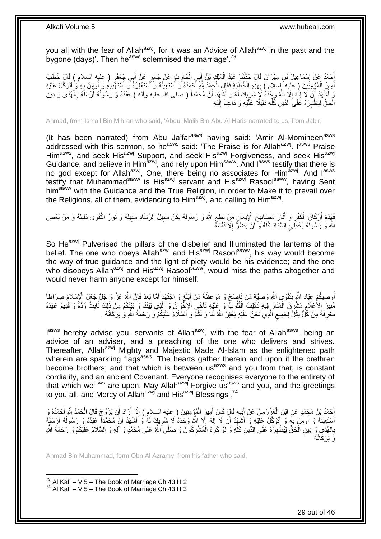you all with the fear of Allah<sup>azwj</sup>, for it was an Advice of Allah<sup>azwj</sup> in the past and the bygone (days)'. Then he<sup>asws</sup> solemnised the marriage'.<sup>73</sup>

أَحْمَدُ عَنْ إِسْمَاعِيلَ بْنِ مِهْرَانَ قَالَ حَذَّثَنَا عَبْدُ الْمَلِكِ بْنُ أَبِي الْحَارِثِ عَنْ جَابِرٍ عَنْ أَبِي جَعْفَرٍ ( عليه السلام ) قَالَ خَطَبَ<br>أَحْمَدُ عَنْ إِسْمَاعِيلَ بْنِ مِهْرَانَ قَالَ خَفْفُ عَبْدُ َ ِ ْ ْ َ ∣l<br>∶ أَمِيزُ الْمُؤْمِنِينَ ( علِيه إِلسلام ) بِهَذِهِ الْخُطْبَةِ فَقَالَ الْحَمْدُ لِلَّهِ أَحْمَدُهُ وَ أَسْتَغْوَلُوهُ وَ أَسْتَغْوَرُهُ وَ أَسْتَغْوَرُهُ وَ أُومِنُ بِهِ وَ أَتَوَكَّلُ عَلَيْهِ **∶** ْ َ ِ ا<br>ا َ َ َ ا<br>ا ْ وَ أَشْهَدُ أَنْ لَا إِلَهَ إِلَّا اللَّهُ وَحُدَهُ لَا شَرِيكَ لَهُ وَ أَشْهَدُ أَنَّ مُحَمَّداً ( صلى الله عليه وأله ) عَبْدُهُ وَ رَسُولُهُ أَرْسَلَهُ بِالْهُدَى وَ دِينِ اُ َ ِ ِ لَ ِ اً َ ْ ِ َ  $\overline{a}$ الْْحَقِّ لِيُظْهِرَهُ عَلَى الدِّينِ كَٰلِّهِ دَلِيلًا عَلَّيْهِ وَ دَاعِياً إِلَيْهِ لَ  $\frac{1}{2}$ ِّ ِ ْ

Ahmad, from Ismail Bin Mihran who said, 'Abdul Malik Bin Abu Al Haris narrated to us, from Jabir,

(It has been narrated) from Abu Ja'far<sup>asws</sup> having said: 'Amir Al-Momineen<sup>asws</sup> addressed with this sermon, so he<sup>asws</sup> said: 'The Praise is for Allah<sup>azwj</sup>. I<sup>asws</sup> Praise Him<sup>asws</sup>, and seek His<sup>azwj</sup> Support, and seek His<sup>azwj</sup> Forgiveness, and seek His<sup>azwj</sup> Guidance, and believe in Him<sup>azwj</sup>, and rely upon Him<sup>saww</sup>. And lasws testify that there is no god except for Allah<sup>azwj</sup>, One, there being no associates for Him<sup>azwj</sup>. And l<sup>asws</sup> testify that Muhammad<sup>saww</sup> is His<sup>azwj</sup> servant and His<sup>azwj</sup> Rasool<sup>saww</sup>, having Sent him<sup>saww</sup> with the Guidance and the True Religion, in order to Make it to prevail over the Religions, all of them, evidencing to Him<sup>azwj</sup>, and calling to Him<sup>azwj</sup>.

ِ فَهَدَمَ أَرْكَانَ الْكُفْرِ وَ أَذَارَ مَصَابِيحَ الْإِيمَانِ مَنْ يُطِعِ اللَّهَ وَ رَسُولَهُ يَكُنْ سَبِيلُ الرَّشَادِ سَبِيلَهُ وَ نُورُ التَّقْوَى دَلِيلَهُ وَ مَنْ يَعْصِ ِ ِ ِ َ ِ اللَّهَ وَ رَسُولَهُ يُخْطَئِ السَّدَادَ كُلَّهُ وَ لَنْ يَضُرَّ إِلَّا نَفْسَهُ ِ ه

So He<sup>azwj</sup> Pulverised the pillars of the disbelief and Illuminated the lanterns of the belief. The one who obeys Allah<sup>azwj</sup> and His<sup>azwj</sup> Rasool<sup>saww</sup>, his way would become the way of true guidance and the light of piety would be his evidence; and the one who disobeys Allah<sup>azwj</sup> and His<sup>azwj</sup> Rasoolsaww, would miss the paths altogether and would never harm anyone except for himself.

أُوصِيكُمْ عِبَادَ اللَّهِ بِتَقْوَى اللَّهِ وَصِيَّةَ مَنْ نَاصِحَ وَ مَوْعِظَةَ مَنْ أَبْلَغَ وَ اجْتَهَدَ أَمَّا بَعْدُ فَإِنَّ اللَّهَ عَنَّ وَ جَلَّ جَعَلَ الْإِسْلَامَ صِرَاطاً<br>الْعِصِيدُ فَي الْإِسْلَامَ سِيئَةٍ فَ ُ ∣ļ َ َ **!** مُنِيرَ الْأَعْلَامِ مُشْرِقَ الْمَنَارِ فِيهِ تَأْتَلِفُ الْقُلُوبُ وَ عَلَيْهِ تَآخَى الْإِخْوَانُ وَ الَّذِي بَيْنَنَا وَ بَيْنَكُمْ مِنْ ذَلِكَ ثَابِتٌ وُدُّهُ وَ قَدِيمٌ عَهْدُهُ<br>مَدِينَ الْأَعْلَامِ مُشْرِقَ الْمَنَ ْ ْ ِ ْ ِ ِ ِ َ ه مَعْرِفَةٌ مِنْ كُلِّ لِكُلِّ لِجَمِيعِ اَلَّذِي نَحْنُ عَلَيْهِ يَغْفِرُ اللَّهُ لَنَا وَ لَكُمْ وَ اَلسَّلَامُ عَلَيْكُمْ وَ رَحْمَةُ اللَّهِ وَ بَرَكَاتُهُ . ه  $\zeta$ ِ

l<sup>asws</sup> hereby advise you, servants of Allah<sup>azwj</sup>, with the fear of Allah<sup>asws</sup>, being an advice of an adviser, and a preaching of the one who delivers and strives. Thereafter. Allah<sup>azwj</sup> Mighty and Majestic Made Al-Islam as the enlightened path wherein are sparkling flags<sup>asws</sup>. The hearts gather therein and upon it the brethren become brothers; and that which is between us<sup>asws</sup> and you from that, is constant cordiality, and an ancient Covenant. Everyone recognises everyone to the entirety of that which we<sup>asws</sup> are upon. May Allah<sup>azwj</sup> Forgive us<sup>asws</sup> and you, and the greetings to you all, and Mercy of Allah<sup>azwj</sup> and His<sup>azwj</sup> Blessings'.<sup>74</sup>

أَحْمَدُ بْنُ مُجَمَّدٍ عَنِ ابْنِ الْعَزْرَمِيِّ عَنْ أَبِيهِ قَالَ كَانَ أَمِيرُ الْمُؤْمِنِينَ ( عليهِ السلامِ ) إِذَا أَنَّ يُزَوِّجَ قَالَ الْحَمْدُ بِلَّهِ أَحْمَدُهُ وَ<br>أَحْدَثُ بَنْ مُجَمَّدٍ عَنِ ابْنِ الْعَزْرَم َ ْ َ **!** َ ْ َ ْ َ أَسْتَعِينُهُ وَ أُومِنُ بِهِ وَ أَتَوَكَّلُ عَلَّيْهِ وَ أَشْهَدُ أَنْ لَا إِلَهَ إِلَّا اللَّهُ وَحْدَهُ لَا شَرِيكَ لَمُه لَ أَشْهَدُ أَنَّ مُحَمَّداً عَبْدُهُ وَ رَسُولُهُ أَرْسَلَهُ َ َ َ **∶** ُ َ  $\overline{a}$ َ َ **∶** ِ لَ ِ بِالْهُدَىِ وَ دِينِ الْحَقِّ لِيُظْهِرَهُ عَلَى الدِّينِ كُلِّهِ وَ لَوْ كَرِهَ الْمُشْرِكُونَ وَ صَلَّى اللَّه عَلَى مُحَمَّدٍ وَ اَلِهِ وَ السَّلَامُ عَلَيْكُمْ وَ رَحْمَةُ اللَّهِ **∶** ْ **∶** ِّ ِ ْ ْ **∶** ُه َو َب َر َكاتُ

Ahmad Bin Muhammad, form Obn Al Azramy, from his father who said,

1  $^{73}$  Al Kafi – V 5 – The Book of Marriage Ch 43 H 2  $^{74}$  Al Kafi – V 5 – The Book of Marriage Ch 43 H 3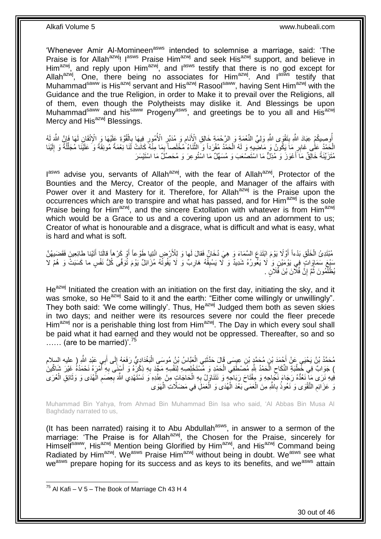'Whenever Amir Al-Momineen<sup>asws</sup> intended to solemnise a marriage, said: 'The Praise is for Allah<sup>azwj</sup>! I<sup>asws</sup> Praise Him<sup>azwj</sup> and seek His<sup>azwj</sup> support, and believe in Him<sup>azwj</sup>, and reply upon Him<sup>azwj</sup>, and l<sup>asws</sup> testify that there is no god except for Allahazwi, One, there being no associates for Himazwi. And last testify that Muhammad<sup>saww</sup> is His<sup>azwj</sup> servant and His<sup>azwj</sup> Rasool<sup>saww</sup>, having Sent Him<sup>azwj</sup> with the Guidance and the true Religion, in order to Make it to prevail over the Religions, all of them, even though the Polytheists may dislike it. And Blessings be upon Muhammad<sup>saww</sup> and his<sup>saww</sup> Progeny<sup>asws</sup>, and greetings be to you all and His<sup>azwj</sup> Mercy and His<sup>azwj</sup> Blessings.

ِ<br>وَالْمَسْيِكُمْ عِبَادَ اللَّهِ بِنَقْوَى اللَّهِ وَلِيِّ النِّعْمَةِ وَ الرَّحْمَةِ خَالِقِ الْأَنَامِ وَ مُدَ<br>الْجَمَعِينَ وَيَسْتَمِمُ بِنَامِ الْقَالِمَ الْقَالَ الْمَعْلَمِينَ وَالْمَرْوَاتِينَ وَالْمَرْوَاتِينَ وَ ِ ِ ِ **∣** ُ لَ  $\frac{1}{2}$ ْ ِ الْحَمْدُ عَلَى غَابِرِ مَاَ يَكُونُ وَ مَاضِيهِ وَ لَهُ الْحَمْدُ مُفْرَداً وَ الثَّنَاءُ مُخْلَصاً بِمَا مِذْهُ كَانَتْ لَذَا نِعْمَةً مُونِقَةً وَ عَلَيْنَا مُجَلَّلَةً وَ إِلَيْنَا<br>يَرَسَيَّ عَلَى غَابِرِ مَا يَكُونُ **∶** ْ **∶** ه ْ لَ ِ ِّ مُّتَزَيَّنَةً خَالِقٌ مَاَ أَعْوَزَ وَ مُذِلٌّ مَا اسْتَصْعَبَ وَ مُسَهِّلٌ مَا اسْتُوعِرَ وَ مُحَصِّلٌ مَا اسْتَيْسَرَ َ

l<sup>asws</sup> advise you, servants of Allah<sup>azwj</sup>, with the fear of Allah<sup>azwj</sup>, Protector of the Bounties and the Mercy, Creator of the people, and Manager of the affairs with Power over it and Mastery for it. Therefore, for Allah<sup>azwj</sup> is the Praise upon the occurrences which are to transpire and what has passed, and for Him<sup>azwj</sup> is the sole Praise being for Him<sup>azwj</sup>, and the sincere Extollation with whatever is from Him<sup>azwj</sup> which would be a Grace to us and a covering upon us and an adornment to us; Creator of what is honourable and a disgrace, what is difficult and what is easy, what is hard and what is soft.

َ مُبْتَدِيُّ الْخَلْقِ بَدْءاً أَوَّلًا يَوْمَ اِبْتَدَعِ السَّمَاءَ وَ هِيَ دُخَانٌ فَقالَ لَها وَ لِلْأَرْضِ ائْتِيا طَوْعاً أَوْ كَرْهاً قالَنَا الْخَلْقِ بَفَقَضَيهُنَّ َ ْ ْ َ سَبْعَ سَمَاوَاتٍۢ فِي يَوْمَيْنِ وَ لَا يَغْورُهُ شَدِيدٌ وَ لَا يَسْبِقُهُ هَارِبٌ وَ لَا يَفُوتُهُ مُزَائِلٌ يَوْمَ تُوَفَّى كُلُّ نَفْسٍ ما كَسَبَتْ وَ هُمْ لا ِ **ِ** يُظْلَّمُونَ ثُمَّ إِنَّ فُلَّانَ بِّنَ فَُلَانٍ <sub>.</sub> יֲ<br>י ان<br>ا

 $He^{azwj}$  Initiated the creation with an initiation on the first day, initiating the sky, and it was smoke, so He<sup>azwj</sup> Said to it and the earth: "Either come willingly or unwillingly". They both said: 'We come willingly'. Thus, He<sup>azwj</sup> Judged them both as seven skies in two days; and neither were its resources severe nor could the fleer precede Him<sup>azwj</sup> nor is a perishable thing lost from Him<sup>azwj</sup>. The Day in which every soul shall be paid what it had earned and they would not be oppressed. Thereafter, so and so  $\ldots$  (are to be married)'.<sup>75</sup>

مُحَمَّدُ بْنُ يَحْيَى عَنْ أَحْمَدَ بْنِ مُحَمَّدٍ بْنِ عِيِسَى قَالَ حَذَّتْنِي الْعَبَّاسُ بْنُ مُوسَى الْبَغْدَادِيُّ رَفَعَهُ إِلَى أَبِي عَبْدِ اللَّهِ ( عليه السلام ْ ْ َ َ ِ ْ ) جَوَابٌ فِي خُطْبَةِ النِّكَاحِ الْحَمْدُ لِلَّهِ مُصْطَفِي الْحَمْدِ وَ مُسْتَخْلِصِيهِ لِنَفْسِهِ مَجَّدَ بِهِ ذِكْرَهُ وَ أَسْنَنَى بِهِ أَمْرَهُ نَحْمَدُهُ غَيْرَ شَاكِّينَ ْ ِ َ ِ َ ِ فِيهِ نَرَى مَآ نَعُدُّهُ رَجَاءَ نَجۡإِحِهِ وَ مِفْتَاحَ رَبَاحٍۗهِ وَ نَتَنَاوَلُ بِهِ الْحَاجَاتِ مِنْ عِنْدِهِ وَ نَسْتَهْدِي اللَّهَ بِعِصَمِ الْهُدَى وَ وَنَائِقِ الْعُرَى ْ ِ ِ ِ ْ ْ وَ عَزَائِمِ التَّقْوَى وَ نَعُوذُ بِاللَّهِ مِنَ الْعَمَى بَعْدَ الْهُدَى وَ الْعَمَلَِ فِي مَضَلَّاتِ الْهَوَى ْ ْ ْ ْ **∶** ِ

Muhammad Bin Yahya, from Ahmad Bin Muhammad Bin Isa who said, 'Al Abbas Bin Musa Al Baghdady narrated to us,

(It has been narrated) raising it to Abu Abdullah<sup>asws</sup>, in answer to a sermon of the marriage: 'The Praise is for Allah<sup>azwj</sup>, the Chosen for the Praise, sincerely for Himself<sup>saww</sup>, His<sup>azwj</sup> Mention being Glorified by Him<sup>azwj</sup>, and His<sup>azwj</sup> Command being Radiated by Him<sup>azwj</sup>. We<sup>asws</sup> Praise Him<sup>azwj</sup> without being in doubt. We<sup>asws</sup> see what we<sup>asws</sup> prepare hoping for its success and as keys to its benefits, and we<sup>asws</sup> attain

1

 $^{75}$  Al Kafi – V 5 – The Book of Marriage Ch 43 H 4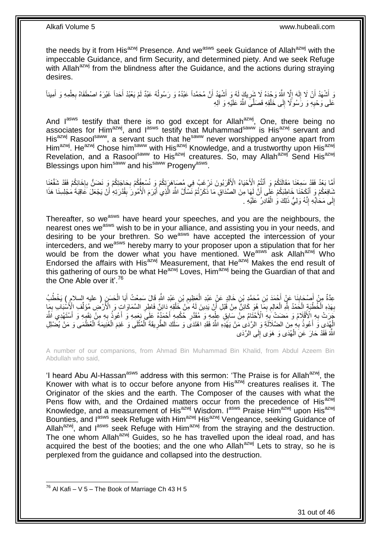the needs by it from His<sup>azwj</sup> Presence. And we<sup>asws</sup> seek Guidance of Allah<sup>azwj</sup> with the impeccable Guidance, and firm Security, and determined piety. And we seek Refuge with Allah<sup>azwj</sup> from the blindness after the Guidance, and the actions during straying desires.

وَ أَشْهَدُ أَنْ لَا إِلَهَ إِلَّا اللَّهُ وَحْدَهُ لَا شَرِيكَ لَهُ وَ أَشْهَدُ أَنَّ مُحَمَّداً عَبْدُهُ وَ رَسُولُهُ عَبْدٌ لَمْ يَعْبُدْ أَحَداً غَيْرَهُ اصْطَفَاهُ بِعِلْمِهِ وَ أَمِيناً ِ ِ لَ ∣l<br>∶ اً َ أَ ْ ِ َ ُ اُ عَلَى وَحْيِهِ وَ رَسُولًا إِلَى خَلْقِهِ فَصَلَّىَ اللَّهُ عَلَيْهِ وَ آلِهِ ْ  $\frac{1}{2}$ ِ

And lasws testify that there is no god except for Allahazwi, One, there being no associates for Him<sup>azwj</sup>, and  $I^{asws}$  testify that Muhammad<sup>saww</sup> is His<sup>azwj</sup> servant and His<sup>azwj</sup> Rasool<sup>saww</sup>, a servant such that he<sup>saww</sup> never worshipped anyone apart from Him<sup>azwj</sup>. He<sup>azwj</sup> Chose him<sup>saww</sup> with His<sup>azwj</sup> Knowledge, and a trustworthy upon His<sup>azwj</sup> Revelation, and a Rasool<sup>saww</sup> to His<sup>azwj</sup> creatures. So, may Allah<sup>azwj</sup> Send His<sup>azwj</sup> Blessings upon him<sup>saww</sup> and his<sup>saww</sup> Progeny<sup>asws</sup>.

أَمَّا بَعْدُ فَقَدْ ِسَمِعْنَا مَقَالَتَكُمْ وَ أَنْثُمُ الْأَحْيَاءُ الْأَقْرَبُونَ نَرْغَبُ فِي مُصَاهَرَتِكُمْ وَ نُسْعِفُكُمْ بِحَاجَتِكُمْ وَ نَضَنُّ بِإِخَائِكُمْ فَقَدْ شَقَّعْنَا َ َ ا.<br>ءِ ِ ِ شَافِعَكُمْ وَ أَنْكَحْنَا خَاطِبَكُمْ عَلِّى أَنَّ لَهَا مِنَ الصَّدَاقِ مَا ذَكَرْتُمْ نَسْأَلُ اللَّهَ الَّذِي أَبْرَمَ الْأُمُورَ بِقُدْرَتِهِ أَنّْ يَجْعَلَ عََاقِبَةَ مَجْلِسِنَا هَذَا َ ه َ َ َ ِ إِلَى مَحَابِّهِ إِنَّهُ وَلِيُّ ذَلِكَ وَ الْقَادِرُ عَلَيْهِ . ْ ِ ِ

Thereafter, so we<sup>asws</sup> have heard your speeches, and you are the neighbours, the nearest ones we<sup>asws</sup> wish to be in your alliance, and assisting you in your needs, and desiring to be your brethren. So we<sup>asws</sup> have accepted the intercession of your interceders, and we<sup>asws</sup> hereby marry to your proposer upon a stipulation that for her would be from the dower what you have mentioned. We<sup>asws</sup> ask Allah<sup>azwj</sup> Who Endorsed the affairs with His<sup>azwj</sup> Measurement, that He<sup>azwj</sup> Makes the end result of this gathering of ours to be what  $He^{azwj}$  Loves,  $Him^{azwj}$  being the Guardian of that and the One Able over it'.<sup>76</sup>

عِدَّةٌ مِنْ أَصْحَابِنَا عَنْ أَحْمَدَ بْنِ مُحَمَّدِ بْنِ خَالِدٍ عَنْ عَبْدِ الْعَظِيمِ بْنِ عَبْدِ اللَّهِ قَالَ سَمِعْتُ أَبَا الْحَسَنِ ( عليه السلام ) يَخْطُبُ **∣** َ ْ َ ِ ْ بِهَذِهِ الْخُطْبَةِ الْحَمْدُ لِلّهِ الْعَالِمِ بِمَا هُوَ كَائِنٌّ مِنْ قَبْلِ أَنْ يَدِينَ لَهُ مَنْ خَلْقِهِ دَائِنٌ فَاطِرِ السَّمَاوَاتِ وَ الْأَرْضِ مُؤَلِّفٍ الْأَسْبَابِ بِمَا ْ َ ِ ِ ْ ْ **∶** ِ **∶** ِّ َجَرَتْ بِهِ الْأَقْلَامُ وَ مَضَتْ بِهِ الْأَخْتَامُ مِنْ سَابِقِ عِلْمِهِ وَ مُقَتَرِ خُكْمِهِ أَحْمَدُهُ عَلَى نِعَمِهِ وَ أَعُوذُ بِهِ مِنْ نَقَهِهِ وَ أَسْتَهْدِي اَللَّهَ َ **ٍ** ْ ِ ِ َ **∶** َ الْهِدَىِ وَ أَعُوذُ بِهِ مِنَ الضَّلَالَةِ وَ الرَّدَٰى مَنْ يَهْدِهِ اللَّهُ فَقَدِ اهْتَدَى وَ سَلَكَ الطَّرِيقَةَ الْمُثْلَى وَ غَنِمَ الْغُزْيِمَةَ الْعُظْمَى وَ مَنْ يُضْلِلِ **∶** َ ْ ْ ْ ْ **∶** اللَّهُ فَقَدْ حَارَ عَنِّ الْمُهَدَى وَ هَوَى إِلَـى الزَّدَى  $\frac{1}{2}$ ْ

A number of our companions, from Ahmad Bin Muhammad Bin Khalid, from Abdul Azeem Bin Abdullah who said,

'I heard Abu Al-Hassan<sup>asws</sup> address with this sermon: 'The Praise is for Allah<sup>azwj</sup>, the Knower with what is to occur before anyone from  $His^{a z w j}$  creatures realises it. The Originator of the skies and the earth. The Composer of the causes with what the Pens flow with, and the Ordained matters occur from the precedence of His<sup>azwj</sup> Knowledge, and a measurement of His<sup>azwj</sup> Wisdom. I<sup>asws</sup> Praise Him<sup>azwj</sup> upon His<sup>azwj</sup> Bounties, and last seek Refuge with Him<sup>azwj</sup> His<sup>azwj</sup> Vengeance, seeking Guidance of Allah<sup>azwj</sup>, and  $I^{asws}$  seek Refuge with Him<sup>azwj</sup> from the straying and the destruction. The one whom Allah<sup>azwj</sup> Guides, so he has travelled upon the ideal road, and has acquired the best of the booties; and the one who Allah<sup>azwj</sup> Lets to stray, so he is perplexed from the guidance and collapsed into the destruction.

 $^{76}$  Al Kafi – V 5 – The Book of Marriage Ch 43 H 5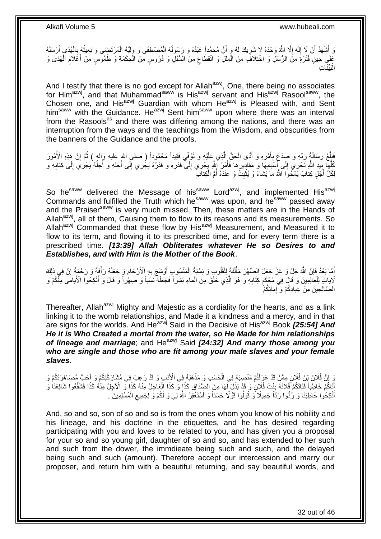وَ أَشْهَدُ أَنْ لَا إِلَهَ إِلَّا اللَّهُ وَحْدَهُ لَا شِرِيكَ لَهُ وَ أَنَّ مُحَمَّداً عَبْدُهُ وَ رَسُولُهُ الْمُصْطَفَى وَ وَلِيُّهُ الْمُرْتَضَى وَ بَعِيثُهُ بِالْهُدَى أَرْسَلَهُ ُ اُ **∶** ِ لَ  $\frac{1}{2}$ اُ َ ْ ِ ا<br>المقام ْ ْ عَلَي حِينِ ۖ فَتْرَةٍ مِنَّ الرُّسُلِّ وَ اخْتِلَافَ مِنَ الْمِلَلِّ وَ انْقِطَاعٍ مِنَ الْسُّنُلِّ وَ دُرُوسٍ مِنَّ الْحِكْمَةِ وَ طُمُوسٍ مِنْ أَعْلَامِ الْهُدَى وَ ْ ٍ ْ ْ ِ َ الْبَيِّنَاتِ :<br>ا

And I testify that there is no god except for Allah<sup>azwj</sup>, One, there being no associates for Him<sup>azwj</sup>, and that Muhammad<sup>saww</sup> is His<sup>azwj</sup> servant and His<sup>azwj</sup> Rasool<sup>saww</sup>, the Chosen one, and His<sup>azwj</sup> Guardian with whom He<sup>azwj</sup> is Pleased with, and Sent him<sup>saww</sup> with the Guidance. He<sup>azwj</sup> Sent him<sup>saww</sup> upon where there was an interval from the Rasools<sup>as</sup> and there was differing among the nations, and there was an interruption from the ways and the teachings from the Wisdom, and obscurities from the banners of the Guidance and the proofs.

فَبَأَغَ رِسَالَةٍ رَبِّهِ وَ صَدَعَ بِأَمْرِهِ وَ أَدًى الْحَقَّ الَّذِي عَلَيْهِ وَ تُوُفّيَ فَقِيداً مَحْمُوداً ( صلى اللهِ عليه وألم ) ثُمَّ إِنَّ هَذِهِ الْأُمُورَ ه ْ ِ َ **∶** ِ ه ِ ُ ِ كُلُّهَا بِنَدِ اللَّهِ تَجْرِي إِلَى أَسْنَابِهَا وَ مَقَادِيرِهَا فَأَمْرُ اللَّهِ يَجْرِي إِلَى قَدَرِهِ وَ قَدَرُهُ يَجْرِي إِلَى أَجَلِهِ وَ أَجَلُّهُ يَجْرِي إِلَى كِتَابِهِ وَ<br>وَيُسَمِّدُ اللَّهِ تَجْرِي إِلَى إِسْ **∶** َ  $\frac{1}{2}$ **∣** ه ِ ِ  $\overline{a}$ َ َ ِ ِ ِ َ لِكُلِّ أَجَلٍ كِتابٌ يَمْحُوا اللَّهُ ما يَشاءُ وَ يُثْبِثُ وَ عِنْدَهُ أَمُّ الْكِتابَ ْ ا<br>ا ِ ْ

So he<sup>saww</sup> delivered the Message of his<sup>saww</sup> Lord<sup>azwj</sup>, and implemented His<sup>azwj</sup> Commands and fulfilled the Truth which he<sup>saww</sup> was upon, and he<sup>saww</sup> passed away and the Praiser<sup>saww</sup> is very much missed. Then, these matters are in the Hands of Allah<sup>azwj</sup>, all of them, Causing them to flow to its reasons and its measurements. So Allah<sup>azwj</sup> Commanded that these flow by His<sup>azwj</sup> Measurement, and Measured it to flow to its term, and flowing it to its prescribed time, and for every term there is a prescribed time. *[13:39] Allah Obliterates whatever He so Desires to and Establishes, and with Him is the Mother of the Book*.

لَمَا بَعْدُ فَإِنَّ اللَّهَ جَلٍّ وَ عَزَّ جَعَلَ الصِّهْرَ مَأْلَفَةً لِلْقُلُوبِ وَ نِسْبَةَ الْمَنْسُوبِ أَوْشَجَ بِهِ الْأَرْحَامَ وَ جَعَلَهُ رَأْفَةً وَ رَحْمَةً إِنَّ فِي ذلِكَ ِ َ ْ ْ ْ ِ ِ ْ لَآياتٍ لِلْعَالِمِينَ وَ قَالَ فِي مُحْكَم كِتَابِهِ وَ ۖ هُوَ الَّذِي خَلَقَ مِنَ الْماءِ بَشَراً فَجَعَلَهُ نَسَباً وَ صِهْراً وَ قَالَ وَ أَنْكِحُوا الْأَيَامَى مِنْكُمْ وَ ْ َ ْ ه ِ ِ الصَّالِحِينَ مِنْ عِبادِكُمْ وَ ۚ إِمائِكُمْ

Thereafter, Allah<sup>azwj</sup> Mighty and Majestic as a cordiality for the hearts, and as a link linking it to the womb relationships, and Made it a kindness and a mercy, and in that are signs for the worlds. And He<sup>azwj</sup> Said in the Decisive of His<sup>azwj</sup> Book **[25:54] And** *He it is Who Created a mortal from the water, so He Made for him relationships of lineage and marriage*; and Heazwj Said *[24:32] And marry those among you who are single and those who are fit among your male slaves and your female slaves*.

وَ إِنَّ فُلَانَ بِنَ فُلَانٍ مِمَّنْ قَدْ عَرَفْتُمْ مَنْصِبَهُ فِي الْحَسَبِ وَ مَذْهَبَهُ فِي الْأَنبِ وَ قَدْ رَغِبَ فِي مُشَارَكَتِكُمْ وَ أَحَبَّ مُصَاهَرَتَكُمْ وَ ِ َ **ٔ** ْ أَتَاكُمْ خَاطِباً فَّتَاتَكُمْ فُلَانَةً بِنْتَ فُلَانٍ وَ قَدْ بَذَلَ لَّهَا مِنَ الصِّدَاقِ كَذَا وَّ كَذَا الْعَاجِلُ مِنْهُ كَذَا وَّ الْآخِلُ مِنْهُ كَذَا فَشَفِّعُوا شَافِعَنَا وَ ْ ¦ ِ أَنْكِحُوا خَاطِبَنَا وَ رُدُّوا رَدَّاً جَمِيلًا وَ قُولُوا قَوْلًا حَسَناً وَ أَسْتَغْفِرُ اللَّهَ لِي وَ لَكُمْ وَ لِجَمِيعِ الْمُسْلِمِينَ ۗ. َ ْ

And, so and so, son of so and so is from the ones whom you know of his nobility and his lineage, and his doctrine in the etiquettes, and he has desired regarding participating with you and loves to be related to you, and has given you a proposal for your so and so young girl, daughter of so and so, and has extended to her such and such from the dower, the immdieate being such and such, and the delayed being such and such (amount). Therefore accept our intercession and marry our proposer, and return him with a beautiful returning, and say beautiful words, and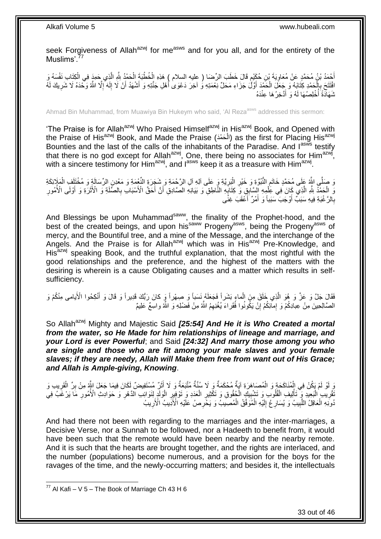seek Forgiveness of Allah<sup>azwj</sup> for me<sup>asws</sup> and for you all, and for the entirety of the Muslims'.<sup>77</sup>

ِ أَحْمَدُ بْنُ مُحَمَّدٍ عَنْ مُعَاوِيَةَ بْنِ حُكَيْمٍ قَالَ خَطَبَ الرِّضَا ( عليه السلام ) هَذِهِ الْخُطْبَةَ الْحَمْدُ لِلَّهِ الَّذِي حَمِدٍ فِي الْكِتَابِ نَفْسَهُ وَ ْ ٍ ِ ْ ه ْ افْتَتَحَ بِإِلْحَمْدِ كِثَابَهُ وَ جَعَلَ الْحَمْدَ أَوَّلُ جَزَاءِ مَحَلٍّ نِعْمَتِهِ وُ آخِرَ دَعْوَىٰ أَهْلِ جَنَّتِهِ وَ أَشْهَدُ أَنْ لَا إِلَهَ إِلَّا اللَّهُ وَحَّدَهُ لَا شَرِيكَ لَهُ ِ َ َ َ ْ ِ ا<br>ا لَ ِ ثَنَهَاَدَةً أُخْلِصُهَا لَهُ وَ أُدَّخِرُ هَا عِنْدَهُ َ ُ

Ahmad Bin Muhammad, from Muawiya Bin Hukeym who said, 'Al Reza<sup>asws</sup> addressed this sermon:

'The Praise is for Allah<sup>azwj</sup> Who Praised Himself<sup>azwj</sup> in His<sup>azwj</sup> Book, and Opened with the Praise of His<sup>azwj</sup> Book, and Made the Praise (الْحَمْدَ) as the first for Placing His<sup>azwj</sup> ْ Bounties and the last of the calls of the inhabitants of the Paradise. And  $I^{as\tilde{w}s}$  testify that there is no god except for Allah<sup>azwj</sup>, One, there being no associates for Him<sup>azwj</sup>, with a sincere testimony for Him<sup>azwj</sup>, and l<sup>asws</sup> keep it as a treasure with Him<sup>azwj</sup>.

وَ صَلَّى اللَّهُ عَلَى مُحَمَّدٍ خَاتَمِ النُّبُوَّةِ وَ خَيْرِ الْبَرِيَّةِ وَ عَلَى آلِهِ آلِ الرَّحْمَةِ وَ شَجَرَةٍ النُّعْمَةِ وَ مَعْدِنٍ الرِّسَالَةِ وَ مُخْتَلَفٍ الْمَلَإِيَّةَ **∶** ْ **∶** ِ ْ وَّ الْحَمْدُ لِلَّهِ الَّذِي كَانَ فِي عِلْمِهِ إِلَيْتَابِقِ وَ كِتَابِهِ النَّاطِقِ وَ بَيَانِهِ الصَّادِقِ أَنَّ أَحَقَّ الْأَسْبَابِ بِالصَّلَةِ وَ الْأَثَرَةِ وَ أَوْلَى الْأُمُورِ ْ ه ْ ِ َ َ ِ َ َ ِ بِالرَّ غْبَةِ فِيهِ سَبَبٌّ أَوْجَبَ سَبَباً وَ أَمْرٌ ۖ أَعْقَبَ غِنًى َ َ **∶** 

And Blessings be upon Muhammad<sup>saww</sup>, the finality of the Prophet-hood, and the best of the created beings, and upon his<sup>saww</sup> Progeny<sup>asws</sup>, being the Progeny<sup>asws</sup> of mercy, and the Bountiful tree, and a mine of the Message, and the interchange of the Angels. And the Praise is for Allah<sup>azwj</sup> which was in His<sup>azwj</sup> Pre-Knowledge, and His<sup>azwj</sup> speaking Book, and the truthful explanation, that the most rightful with the good relationships and the preference, and the highest of the matters with the desiring is wherein is a cause Obligating causes and a matter which results in selfsufficiency.

فَقَالَ جَلَّ وَ عَزَّ وَ هُوَ الَّذِي خَلَقَ مِنَ الْماءِ بَشَراً فَجَعَلَهُ نَسَباً وَ صِهْراً وَ كانَ رَبُّكَ فَدِيراً وَ قَالَ وَ أَنْكِحُوا الْأَيامى مِنْكُمْ وَ ْ ه َ المُسَّالِحِينَ مِنْ عِبادِكُمْ وَ إِمَائِكُمْ إِنْ يَكُونُوا فُقَراءَ يُغْنِهِمُ اللَّهُ مِنْ فَضْلِهِ وَ اللَّهُ واسِعٌ عَلِيمٌ יֲ<br>י

So Allah<sup>azwj</sup> Mighty and Majestic Said **[25:54] And He it is Who Created a mortal** *from the water, so He Made for him relationships of lineage and marriage, and your Lord is ever Powerful*; and Said *[24:32] And marry those among you who are single and those who are fit among your male slaves and your female slaves; if they are needy, Allah will Make them free from want out of His Grace; and Allah is Ample-giving, Knowing*.

َرٍ لَوْ لَمْ يَكُنْ فِي الْمُنَاكَحَةٍ وَ الْمُصَاهَرَةِ آيَةٌ مُحْكَمَةٌ وَ لَا سُنَّةٌ مُتَّبَعَةٌ وَ لَا إِنَّنِّ مُسْتَفِيضٌ لِكَانَ فِيمَا جَعَلَ اللّهِ مِنْ بِرٍّ الْقَرِيبِ وَ ْ َ َ ْ ِ ْ ِ ِ ُفَّتِّرِيب الْيَعِيدِ ۖ وََ تَاْلِيف الْقُلُوب وَ تَشْبِيكِ الْحُقُوقِ وَ تَكْثِيرِ الْعَدَدِ وَ تَوْفِيرِ الْوَلَدِ لِنَوَائِب الدَّهْرِ وَ حَوَادِثِ الْأُمُورِ مَا يَرْغَبُ فِي ْ **∶** ْ **!** ْ ْ ْ ِ ِ **∶** ْ ُموَنِّهِ الْعَاقِلُ اللَّبِيبُ وَ يُسَارِعْ إِلَيْهِ الْمُوَفَّقُ الْمُصِّيبِّ وَ يَخْرِصُ عَلَّيْهِ الْأَذِيبُ الْأَرِيبُ ِ ِ ْ ْ لَ ِ **∶ !** ه ْ

And had there not been with regarding to the marriages and the inter-marriages, a Decisive Verse, nor a Sunnah to be followed, nor a Hadeeth to benefit from, it would have been such that the remote would have been nearby and the nearby remote. And it is such that the hearts are brought together, and the rights are interlaced, and the number (populations) become numerous, and a provision for the boys for the ravages of the time, and the newly-occurring matters; and besides it, the intellectuals

<sup>1</sup>  $^{77}$  Al Kafi – V 5 – The Book of Marriage Ch 43 H 6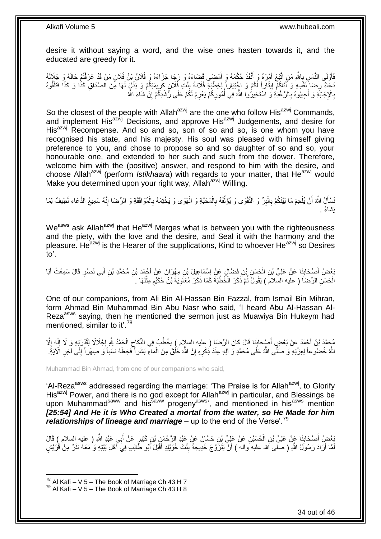desire it without saying a word, and the wise ones hasten towards it, and the educated are greedy for it.

فَأَوْلَى النَّاسِ بِاللَّهِ مَنِ اتَّبَعَ أَمْرَهُ وَ أَنْفَذَ حُكْمَهُ وَ أَمْضَى قَضَاءَهُ وَ رَجَا جَزَاءَهُ وَ فُلَانُ بْنُ فُلَانٍ مَنْ قَدْ عَرَفْتُمْ حَالَهُ وَ جَلَالَهُ َ َ َ ِ دَعَاهُ رِضَا ۖنَفْسِهِ وَ أَتَاكُمْ إِيثَاراً لِّكُمْ وَ اخْتِيَاراً إِلخِطْبَةِ فُلَانَةَ بِنْتِ فَٰلَانٍ كَرِيمَتِكُمْ وَ بَذَلٍ لَهَا هُنَ الصَّدَاقِ كَذَا وَ كَذَا فَتَلَقُّوهُ ة<br>ا <u>֖֖֚֚֚֓</u>ׇ֛֚ َ ِ ِ **∣** بِالْإِجَابَةِ وَ أَجِيبُوهُ بِالرَّغْبَةِ وَ اسْتَخِيرُوا اللَّهَ فِي أُمُورِكُمْ يَعْزِمْ لَكُمْ عَلَى رُشْدِكُمْ إِنْ شَاءَ اللَّهُ ِ **∶** ِ ا<br>ا **∶** َ **∶** 

So the closest of the people with Allah<sup>azwj</sup> are the one who follow His<sup>azwj</sup> Commands, and implement His<sup>azwj</sup> Decisions, and approve His<sup>azwj</sup> Judgements, and desire for His<sup>azwj</sup> Recompense. And so and so, son of so and so, is one whom you have recognised his state, and his majesty. His soul was pleased with himself giving preference to you, and chose to propose so and so daughter of so and so, your honourable one, and extended to her such and such from the dower. Therefore, welcome him with the (positive) answer, and respond to him with the desire, and choose Allah<sup>azwj</sup> (perform *Istikhaara*) with regards to your matter, that He<sup>azwj</sup> would Make you determined upon your right way, Allah<sup>azwj</sup> Willing.

نَسْأَلُ اللَّهَ أَنْ يُلْحِمَ مَا بَيْنَكُمْ بِالْبِرِّ وَ النَّقْوَى وَ يُؤَلِّفَهُ بِالْمَحَبَّةِ وَ الْهَوَى وَ يَخْتِمَهُ بِالْمُوَافَقَةِ وَ الرِّضَا إِنَّهُ سَمِيعُ الدُّعَاءِ لَطِيفٌ لِمَا ِ ْ **∶** ْ اً َ ِ ْ ِ ْ ْ **∶** ِّ لَ َي َشا ُء .

We<sup>asws</sup> ask Allah<sup>azwj</sup> that He<sup>azwj</sup> Merges what is between you with the righteousness and the piety, with the love and the desire, and Seal it with the harmony and the pleasure. He<sup>azwj</sup> is the Hearer of the supplications, Kind to whoever He<sup>azwj</sup> so Desires to'.

بَعْضُ أَصْحَابِنَا عَنْ عَلِيٍّ بْنِ الْحَسَنِ بْنِ فَضَّالٍ عَنْ إِسْمَاعِيلَ بْنِ مِهْرَانَ عَنْ أَجْمَدَ بْنِ مُحَمَّدِ بْنِ أَبِي نَصْرٍ قَالَ سَمِعْتُ أَبَا **∣** َ َ َ َ ِ ْ الْحَسَنِ الرِّضَا ( عليه السَّلامَ ) يَقُولُ ثُمَّ ذَكَرَ الْخُطْبَةَ كَمَا ذَكَرَ مُعَلِّوِيَةُ بِّنْ حُكَيْمٍ مِثْلَهَا . لَ **ٔ** ٍ ِ .<br>• • • • ْ

One of our companions, from Ali Bin Al-Hassan Bin Fazzal, from Ismail Bin Mihran, form Ahmad Bin Muhammad Bin Abu Nasr who said, 'I heard Abu Al-Hassan Al-Reza<sup>asws</sup> saying, then he mentioned the sermon just as Muawiya Bin Hukeym had mentioned, similar to it'.<sup>78</sup>

ِ مُحَمَّدُ بْنُ أَحْمَدَ عَنْ بَعْضِ أَصْحَابِنَا قَالَ كَانَ الرِّضَا ( عليه السلام ) يَخْطُبُ فِي النِّكَاحِ الْحَمْدُ بِلَّهِ إِجْلَالًا لِقُدْرَتِهِ وَ لَا إِلَهَ إِلَّا ْ ِ ِ َ |<br>יִי لَ ِ ¦<br>∶ اللَّهُ خُضُوعاً لِعِزَّتِهِ وَ صَلَّى اللَّهُ عَلَى مُحَمَّدٍ وَ آلِهِ عِنْدَ ذِكْرِهِ إِنَّ اللَّهَ خُلُقَ مِنَ الْماءِ بَشَر أَكْفَحَلَهُ نَسَباً وَ صِهْراً إِلَى آخِرِ الْآيَةِ ِ ِ ْ ِ ِ

Muhammad Bin Ahmad, from one of our companions who said,

'Al-Reza<sup>asws</sup> addressed regarding the marriage: 'The Praise is for Allah<sup>azwj</sup>, to Glorify His<sup>azwj</sup> Power, and there is no god except for Allah<sup>azwj</sup> in particular, and Blessings be upon Muhammad<sup>saww</sup> and his<sup>saww</sup> progeny<sup>asws</sup>', and mentioned in his<sup>asws</sup> mention *[25:54] And He it is Who Created a mortal from the water, so He Made for him relationships of lineage and marriage* – up to the end of the Verse<sup>'.79</sup>

ِّعْضُ أَصْحَابِذَا عَنْ عَلِيِّ بْنِ الْحُسَيْنِ عَنْ عَلِيٍّ بْنِ حَسَّانَ عَنْ عَبْدِ الرَّحْمَنِ بْنِ كَثِيرٍ عَنْ أَبِي عَبْدِ اللَّهِ ( عليهِ السلام ) قَالَ<br>يَعْمَىٰ َ ْ **∣** لَمَّا أَرَادَ رَسُولُ اللَّهِ ( صلَّـى اَلله عليه وآله ) أَنْ يَتَزَوَّجَ خَدِيجَةَ بِنْتَ خُوَيْلِدٍ أَقْبَلَ أَبُو طَّالِبٍ فِيَ أَهْلِ بَيْتِهِ وَ مَعَهُ نَفَرٌ مِنْ قُرَيْشٍ **∣** َ اً َ َ َ

 $^{78}$  Al Kafi – V 5 – The Book of Marriage Ch 43 H 7

 $79$  Al Kafi – V 5 – The Book of Marriage Ch 43 H 8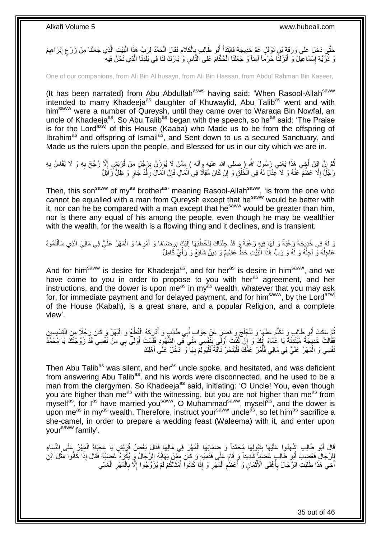حَتَّي دَخَلَ عَلَى وَرَقَةَ بْنِ نَوْفَلٍ عَمِّ خَدِيجَةَ فَابْتَدَأَ أَبُو طَالِبٍ بِالْكَلَامِ فَقَالَ الْحَمْدُ لِرَبِّ هَذَا الْبَيْتِ الَّذِي جَعَلَنَا مِنْ زَرْعِ إِبْرَاهِيمَ ْ **∶** ْ ِ َ ِ ِ ه ْ وَ ذُرِّيَّةِ إِسْمَاعِيلَ وَ أَنْزَلَنَا حَرَمًا آمِناً وَ جَعَلَنَا الْحُكَّامَ عَلَى النَّاسِ وَ بَارَكَ لَنَا فِي بَلَدِنَا الَّذِي نَحْنُ فِيهِ ْ َ ׇ**֓** ه

One of our companions, from Ali Bin Al husayn, from Ali Bin Hassan, from Abdul Rahman Bin Kaseer,

(It has been narrated) from Abu Abdullah<sup>asws</sup> having said: 'When Rasool-Allah<sup>saww</sup> intended to marry Khadeeja<sup>as</sup> daughter of Khuwaylid, Abu Talib<sup>as</sup> went and with him<sup>saww</sup> were a number of Qureysh, until they came over to Waraqa Bin Nowfal, an uncle of Khadeeja<sup>as</sup>. So Abu Talib<sup>as</sup> began with the speech, so he<sup>as</sup> said: 'The Praise is for the Lord<sup>azwj</sup> of this House (Kaaba) who Made us to be from the offspring of Ibrahim<sup>as</sup> and offspring of Ismail<sup>as</sup>, and Sent down to us a secured Sanctuary, and Made us the rulers upon the people, and Blessed for us in our city which we are in.

نُمَّ إِنَّ اِبْنَ أَخِي هَذَا يَعْنِي رَسُوِلَ اللَّهِ ( صلى الله عليه وآله ) مِمَّنْ لَا يُودَنُ بِرَجُلٍ مِنْ قُرَيْشٍ إِلَّا رُجِّحَ بِهِ وَ لَا يُقَاسُ بِهِ ِ ِ ِ ِ **∶** َمِ أَنَّ إِنَّا عَظُمَ عَنْهُ وَ لَا عِدْلَ لَمُه ّفِي الْخُلْقِ وَ إِنْ كَانَ مُقِلًّا فِي الْمَالِ فَإِنَّ الْمَالَ رِفْدٌ جَارٍ وَ ظُلَّ زَائِلٌ ْ ِ ْ ْ **ٍ** ْ ∣ļ

Then, this son<sup>saww</sup> of my<sup>as</sup> brother<sup>as,</sup> meaning Rasool-Allah<sup>saww</sup>, 'is from the one who cannot be equalled with a man from Qureysh except that he<sup>saww</sup> would be better with it, nor can he be compared with a man except that he<sup>saww</sup> would be greater than him, nor is there any equal of his among the people, even though he may be wealthier with the wealth, for the wealth is a flowing thing and it declines, and is transient.

### وَ لَمُ فِي خَدِيجَةَ رَغْبَةٌ وَ لَهَا فِيهٍ رَغْبَةٌ وَ قَدْ جِئْنَاكَ لِنَخْطُبَهَا إِلَيْكَ بِرِضَاهَا وَ أَمْرِهَا وَ الْمَهْرُ عَلَيَّ فِي مَالِيَ الَّذِي سَأَلْتُمُوهُ ْ َ ه ْ ِ َ ِ لَ ِ عَاجِلُهُ وَّ الْجِلُهُ وَ لَهُ وَ رَبِّ هَذَا الْبَيْتِ حَظُّ عَظِيمٌ وَ دِينٌ شَائِعٌ وَ رَأْيٌ كَامِلٌ ة<br>مسترد :<br>ا ٔ<br>ا ا<br>ا

And for him<sup>saww</sup> is desire for Khadeeja<sup>as</sup>, and for her<sup>as</sup> is desire in him<sup>saww</sup>, and we have come to you in order to propose to you with her<sup>as</sup> agreement, and her instructions, and the dower is upon me<sup>as</sup> in my<sup>as</sup> wealth, whatever that you may ask for, for immediate payment and for delayed payment, and for him<sup>saww</sup>, by the Lord<sup>azwj</sup> of the House (Kabah), is a great share, and a popular Religion, and a complete view'.

ثُمَّ سَكَتَ أَبُو طَالِبٍ وَ تَكَلَّمَ عَمُّهَا وَ تَلَجْلَجَ وَ قَصَلَ عَنْ جَوَابٍ أَبِي طَالِبٍ وَ أَدْرِكَهُ الْقُطْعُ وَ الْبُهْرُ وَ كَانَ رَجُلًا مِنَ الْقِسِّيِسِينَ ه َ ْ ْ ْ َ َ َفَقَالَتْ خَدِيجَةُ مُبْتَدِّنَةً يَا عُمَّاهْ إِنَّكَ وَ إِنْ كُنْتَ أُوْلَى بِنَفْسِي مِنِّيَ فِي الشُّهُوِدِ فَلَسْتَ أُوْلَى بِي مِنْ نَفْسِي قَدْ زَوَّجْتُكَ يَا مُحَمَّدُ َ ِ َ ِ ∣ٍ<br>∶ َنْفْسِي وَ الْمَهْرُ عَلَيَّ فِي مَالِي فَأْمُرْ عَمَّكَ فَلْيَنْحَرْ نَاقَةً فَلْيُولِّمْ بِهَا وَ اذْخُلْ عَلَى أَهْلِكَ َ ِ :<br>ا :<br>ا **ٔ** ْ

Then Abu Talib<sup>as</sup> was silent, and her<sup>as</sup> uncle spoke, and hesitated, and was deficient from answering Abu Talib<sup>as</sup>, and his words were disconnected, and he used to be a man from the clergymen. So Khadeeja<sup>as</sup> said, initiating: 'O Uncle! You, even though you are higher than me<sup>as</sup> with the witnessing, but you are not higher than me<sup>as</sup> from myself<sup>as</sup>, for l<sup>as</sup> have married you<sup>saww</sup>, O Muhammad<sup>saww</sup>, myself<sup>as</sup>, and the dower is upon me<sup>as</sup> in my<sup>as</sup> wealth. Therefore, instruct your<sup>saww</sup> uncle<sup>as</sup>, so let him<sup>as</sup> sacrifice a she-camel, in order to prepare a wedding feast (Waleema) with it, and enter upon your<sup>saww</sup> family'.

الَّهِ طَالِبِ اشْهَدُوا عَلَيْهَا بِقَبُولِهَا مُحَمَّداً وَ ضَمَانِهَا الْمَهْرَ فِي مَالِهَا فَقَالَ بَعْضُ قُرَيْشٍ يَا عَجَبَاهْ الْمَهْرُ عَلَى النِّسَاءِ ْ **∣** َ ْ لِلرِّجَالِ فَغَضِبَ أَبُو طَالِبٍ غَضَبَإٍ شَدِيداً وَ قَامَ عَلَى قَدَمَيْهِ وَ كَانَ مِثَّنْ يَهَابُهُ الرِّجَالُ وَ يُكُورُهُ غَضَبُهُ فَقَالَ إِذَا كَانُوا مِثْلَ ابْنِ ْ أَخِي هَذَا طُلِبَتِ الرِّجَالُ بِأَغْلَى الْأَثْمَانِ وَ أَعْظَمِ الْمَهْرِ وَ إِذَا كَانُوا أَمْثَالَكُمْ لَمْ يُزَوَّجُوا إِلَّا بِالْمَهْرِ الْغَالِي َ َ **∶** ْ ِ َ **ٔ** َ **∶** ْ ِ ْ ِ ا<br>ا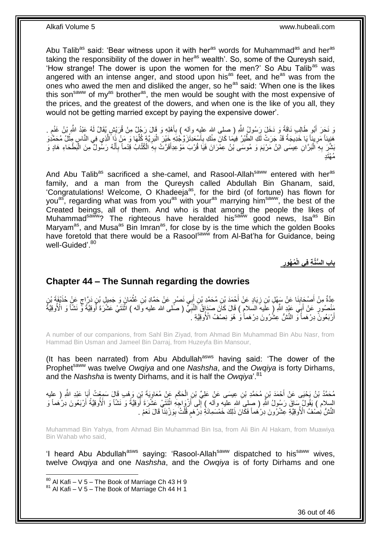Abu Talib<sup>as</sup> said: 'Bear witness upon it with her<sup>as</sup> words for Muhammad<sup>as</sup> and her<sup>as</sup> taking the responsibility of the dower in her<sup>as</sup> wealth'. So, some of the Qureysh said, 'How strange! The dower is upon the women for the men?' So Abu Talib<sup>as</sup> was angered with an intense anger, and stood upon his<sup>as</sup> feet, and he<sup>as</sup> was from the ones who awed the men and disliked the anger, so he<sup>as</sup> said: 'When one is the likes this son<sup>saww</sup> of my<sup>as</sup> brother<sup>as</sup>, the men would be sought with the most expensive of the prices, and the greatest of the dowers, and when one is the like of you all, they would not be getting married except by paying the expensive dower'.

وَ نَحَرَ أَبُو طَالِبِ نَاقَةً وَ دَخَلَ رَسُولُ اللَّهِ ( صلى الله عليه وآلهِ ) بِأَهْلِهِ وَ قَالَ رَجُلٌ مِنْ قُرَيْشٍ يُقَالُ لَهُ عَنِدُ اللَّهِ بْنُ غَنْمٍ . َ ِ َ ֧֖֧֖֖֖֖֖֧֧֖֧֧֧֧ׅ֧֧֧֚֚֚֚֚֚֚֝֝֟֓֝֓֝֓֟֓֝֬֟֓֟֓֟֓֟֓֝֬֜֝֓֝֬֜֓֝֬֜֓֝֬ هَنِيئاً مَرِ بِنَاً مَا خَدِيجَةُ قَدْ جَرَتْ لَكِ الطَّيْرُ فِيمَا كَانَ مِنْكِ بِأَسْعَدِتَزَوَّجْتِهِ خَيْرَ الْبَرِيَّةِ كُلِّهَا وَ مَنْ ذَا أَلَّذِي فِي النَّاسِ مِثْلُ مُحَمَّدُوَ ِ ْ اً<br>أ ِ ِ ْ ه ِّ ُبَشَّرَ بِهِ الْبَرَّانِ عِيسَى ابْنُ مَرْيَمَ وَ مُوسَى بْنُ عِمْرَانَ فَيَا قُرْبَ مَوْعِدِأَقَرَّتْ بِهِ الْكُتَّابُ قِدْماً بِأَنَّهُ رَسُولٌ مِنَ الْبَطْحَاءِ هَادٍ وَ :<br>ا ِ ْ َ ِ ِ َ ُمْهَتٍد

And Abu Talib<sup>as</sup> sacrificed a she-camel, and Rasool-Allah<sup>saww</sup> entered with her<sup>as</sup> family, and a man from the Qureysh called Abdullah Bin Ghanam, said, 'Congratulations! Welcome, O Khadeeja<sup>as</sup>, for the bird (of fortune) has flown for you<sup>as</sup>, regarding what was from you<sup>as</sup> with your<sup>as</sup> marrying him<sup>saww</sup>, the best of the Created beings, all of them. And who is that among the people the likes of Muhammad<sup>saww</sup>? The righteous have heralded his<sup>saww</sup> good news, Isa<sup>as</sup> Bin Maryam<sup>as</sup>, and Musa<sup>as</sup> Bin Imran<sup>as</sup>, for close by is the time which the golden Books have foretold that there would be a Rasool<sup>saww</sup> from Al-Bat'ha for Guidance, being well-Guided'.<sup>80</sup>

> **ُم ُهور باب ال ُّسَّن ة ف ي الْ**

### <span id="page-35-0"></span>**Chapter 44 – The Sunnah regarding the dowries**

عِدَّةٌ مِنْ أَصْحَابِذَا عَنْ سَهْلِ بْنِ زِيَادٍ عَنْ أَحْمَدَ بْنِ مُحَمَّدِ بْنِ إِبِي نَصْرٍ عَنْ حَمَّادِ بْنِ عُثْمَانَ وَ جَمِيلٍ بْنِ دَرَّاحٍ عَنْ حُذَبْفَةَ بْنِ **ٔ** َ َ ِ ِ ٍ مَنْصُورٍ عَنْ أَبِي عَيْدِ اللَّهِ ( عَلَيهَ السلامِ ) قَالَ كَانَ صَدَانٍ النَّنِيِّ ( صَلّى الله عليه وآله ) اثْنَتَيْ عَشْرَةَ أَوقِيَّةً وَّ نَشَأَ وَ الْأُوقِيَّةُ **ٔ** ِ َ ر<br>ا أَرْبَعُونَّ دِرْهَماً وَ النَّشُّ عِشْرُونَ دِرْهَماً وَ هُوَ نِصْفُ الْأُوقِيَّةِ ۚ َ

A number of our companions, from Sahl Bin Ziyad, from Ahmad Bin Muhammad Bin Abu Nasr, from Hammad Bin Usman and Jameel Bin Darraj, from Huzeyfa Bin Mansour,

(It has been narrated) from Abu Abdullah<sup>asws</sup> having said: 'The dower of the Prophet<sup>saww</sup> was twelve *Owgiya* and one *Nashsha*, and the *Owgiya* is forty Dirhams, and the *Nashsha* is twenty Dirhams, and it is half the *Owgiva*<sup>''.81</sup>

حُمَّدُ بْنُ يَحْيَى عَنْ أَحْمَدَ بْنِ مُحَمَّدِ بْنِ عِيسَى عَنْ عَلِيِّ بْنِ الْحَكَمِ عَنْ مُعَاوِيَةَ بْنِ وَهْبِ قَالَ سَمِعْتُ أَبَا عَبْدِ اللَّهِ ( عِلْيه ِ **∶** ْ َ السِلام ) يَقُولُ سَاقَ رَسُولُ اللَّهِ ( صلىِ اللهِ عليه وآله ) إِلَى أَزْوَاجِهِ اثْنَتَنِي عَشَّرَةَ أَوْفِيَّةً وَ نَشَاً وَ الْأُوفِيَّةُ أَرْبَعُونَ دِرْكَمَاً وَ ِ<br>ا **ٔ** اً ِ َ النَّشُّ نِصْفُ الْأُوقِيَّةِ عِّشْرُونَ دِرْهُماً فَكَانَ ذَلِكَ خَمْسَمِائَةِ دِرْهَمِ قُلْتُ بِوَرْنِنَا ۖ قَالَ نَعَمْ ِ ْ ֧֖֧֚֚֓֝֝֝

Muhammad Bin Yahya, from Ahmad Bin Muhammad Bin Isa, from Ali Bin Al Hakam, from Muawiya Bin Wahab who said,

'I heard Abu Abdullah<sup>asws</sup> saying: 'Rasool-Allah<sup>saww</sup> dispatched to his<sup>saww</sup> wives, twelve *Owqiya* and one *Nashsha*, and the *Owqiya* is of forty Dirhams and one

1

 $80$  Al Kafi – V 5 – The Book of Marriage Ch 43 H 9

 $81$  Al Kafi – V 5 – The Book of Marriage Ch 44 H 1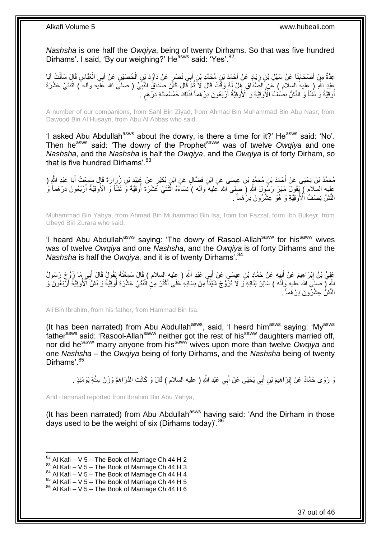*Nashsha* is one half the *Owqiya*, being of twenty Dirhams. So that was five hundred Dirhams'. I said, 'By our weighing?' He<sup>asws</sup> said: 'Yes'. 82

عِدَّةٌ مِنْ أَصْحَابِنَا عَنْ سَهْلِ بْنِ زِيَادٍ عَنْ أَحْمَدَ بْنِ مُحَمَّدِ بْنِ أَبِي نَصْرٍ عَنْ دَاوُدَ بْنِ الْحُصَبْنِ عَنْ أَبِي الْعَيَّاسِ قَالَ سَأَلْتُ أَبَا ِ َ ْ َ ْ َ ِ َ ْ َ عَبْدِ اللَّهِ ( عِليهَ السلام ) عَن الصَّدَاقِ هَلْ لَهُ وَقْتٌ قَالَ لَا ثُمَّ قَالَ كَأَنَ صَدَاقُ النَّبِيِّ ( صلى الله عَلَيه وأله ) اثْنَتَيْ عَشْرَةَ ِ ان<br>المقام العالمية **ٔ** ֧֖֧֖֖֖֖֖֧֖֖֧֧֧֧ׅ֧֧֧֧֧֧֧֧֧֧֧֧֚֚֚֚֚֚֚֚֝֝֟֓֝֓֝֓֝֬֟֓֟֓֝֬֝֬֝֓֝֬֜֓֝֬֜֓֝֬֝֓֝֬֝֓֝֬֝֬֓֝֬֝֬֝ أُوقِيَّةً وَ نَشْاً وَ النَّشُّ نِصْفْ الْأُوقِيَّةِ وَ الْأُوقِيَّةُ أَرْبَعُونَ دِرْهَماً فَٰذَلِكَ خَمْسُمِائَةِ دِرْهَم َ ُ

A number of our companions, from Sahl Bin Ziyad, from Ahmad Bin Muhammad Bin Abu Nasr, from Dawood Bin Al Husayn, from Abu Al Abbas who said,

'I asked Abu Abdullah<sup>asws</sup> about the dowry, is there a time for it?' He<sup>asws</sup> said: 'No'. Then he<sup>asws</sup> said: 'The dowry of the Prophet<sup>saww</sup> was of twelve *Owgiya* and one *Nashsha*, and the *Nashsha* is half the *Owqiya*, and the *Owqiya* is of forty Dirham, so that is five hundred Dirhams'.<sup>83</sup>

مُحَمَّدُ بْنُ يَحْيَى عَنْ أَحْمَدَ بْنِ مُحَمَّدٍ بْنِ عِيسَى عَنِ ابْنِ فَضَّالٍ عَنِ ابْنِ بُكَيْرٍ عَنْ عُبَيْدِ بْنِ زِرِرَارَةَ قَالَ سَمِعْتُ أَبَا عَبْدِ الثَّهِ ( َ َ عليه السلام ) يَقُولُ مَهَرَ رَسُّولُ اللَّهِ (َ صَلَّى الله عليه ۖ وآله ) نِسَاءَهُ اثْنَتَنِي عَشْرَةَ أُوقِيَّةً وَ نَشَاً وَ الْأُوقِيَّةُ أَرْبَعُونَ دِرْهَماً وَ ا<br>ا ِ<br>ا َ النَّشُّ نِصْفُ ٰ الْأُوقِيَّةِ وَ ۚ هُوَ ۚ عِشْرُونَ دِرُ هَماً ۚ ۖ

Muhammad Bin Yahya, from Ahmad Bin Muhammad Bin Isa, from Ibn Fazzal, form Ibn Bukeyr, from Ubeyd Bin Zurara who said,

'I heard Abu Abdullah<sup>asws</sup> saying: 'The dowry of Rasool-Allah<sup>saww</sup> for his<sup>saww</sup> wives was of twelve *Owqiya* and one *Nashsha*, and the *Owqiya* is of forty Dirhams and the *Nashsha* is half the *Owqiya*, and it is of twenty Dirhams'.<sup>84</sup>

عَلِيُّ بْنُ إِبْرَاهِيمَ عَنْ أَبِيهِ عَنْ حَمَّادِ بْنِ عِيسَىِ عَنْ أَبِي عَبْدِ اللَّهِ ( عِليهِ السلام ) قَالَ سَمِعْتُهُ يَقُولُ قَالَ أَبِي مَا زَوَّجَ رَسُولُ  $\frac{1}{2}$ َ َ اللَّهِ ( صَلْبَ الله عليه وِأَلَه ) سَائِرَ بَذَاتِهِ ۖ وَ لَا تَزَوَّجَ شَيْئاً مِنْ نِسَائِهِ عَلَى أَكْثَرَ مِنِ اثْنَتَيْ عَشْرَةَ أُوقِيَّةً وَ نَشٌّ الْأُوقِيَّةُ أَرْبَعُونَ وَ ُ ْ َ َ النَّشُّ عِشْرُونَ دِرْهَماً <sub>.</sub>

Ali Bin Ibrahim, from his father, from Hammad Bin Isa,

(It has been narrated) from Abu Abdullah<sup>asws</sup>, said, 'I heard him<sup>asws</sup> saying: 'My<sup>asws</sup> father<sup>asws</sup> said: 'Rasool-Allah<sup>saww</sup> neither got the rest of his<sup>saww</sup> daughters married off, nor did he<sup>saww</sup> marry anyone from his<sup>saww</sup> wives upon more than twelve *Owqiya* and one *Nashsha* – the *Owqiya* being of forty Dirhams, and the *Nashsha* being of twenty Dirhams'.<sup>85</sup>

وَ رَوَى حَمَّادٌ عَنْ إِبْرَاهِيمَ بْنِ أَبِي يَحْيَى عَنْ أَبِي عَبْدِ اللَّهِ ( عليه السلام ) قَالَ وَ كَانَتِ الذَّرَاهِمُ وَزْنَ سِتَّةٍ يَوْمَئِذٍ . َ َ ِ

And Hammad reported from Ibrahim Bin Abu Yahya,

(It has been narrated) from Abu Abdullah<sup>asws</sup> having said: 'And the Dirham in those days used to be the weight of six (Dirhams today)<sup>'.86</sup>

 $82$  Al Kafi – V 5 – The Book of Marriage Ch 44 H 2

 $83$  Al Kafi – V 5 – The Book of Marriage Ch 44 H 3

 $84$  Al Kafi – V 5 – The Book of Marriage Ch 44 H 4

 $85$  Al Kafi – V 5 – The Book of Marriage Ch 44 H 5

 $86$  Al Kafi – V 5 – The Book of Marriage Ch 44 H 6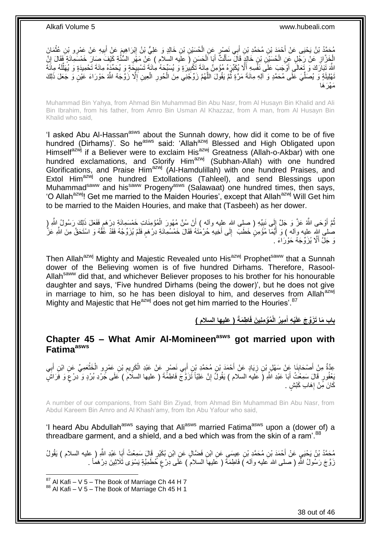مُحَمَّدُ بْنُ يَحْيَى عَنْ أَحْمَدَ بْنِ مُحَمَّدِ بْنِ أَبِي نَصْرٍ عَنِ الْحُسَيْنِ بْنِ خَالِدٍ وَ عَلِيُّ بْنُ إِبْرَاهِيمَ عَنْ أَبِيهِ عَنْ عَمْرِو بْنِ عُثْمَانَ<br>يؤخِفُ بَنُ يَحْيَى عَنْ أَحْمَدَ بْنِ مُحَمَّدِ بْ ْ َ **ٔ** ِ َ ֺ֦֦֦֦֦֦֦֦֦֦֦֖֦֦֦֧֦֧֦֧֦֧֦֦֦֧֦֧֦֧֦֧֦֧֦֧֦֧֦֧֦֧֦֧֦֧֦֧֦֧֦֧֦֧֦֧֦֚֝֝֝֝֝֝֝֝֝֝֝֟֓֞ الْخَزَّازِ عَنْ رَجُلٍ عَنِ الْحُسَيْنِ بْنِ خَالِدَ قَالَ سَأَلْتُ أَبَا الْحَسَنِ (َ علَيه السلام ) عَنْ مَهْرِ السُنُّةِ كَيْفَ صَارَ خَمْسَمِائَةٍ فَقَالَ إِنَّ ِ ْ َ ْ َ ْ ِ ِ للَّهَ تَبَارَكَ وَ تَعَالَى أَوْجَبَ عَلَى نَفْسِهِ أَلَّا يُكَبِّرَهُ مُؤْمِنٌ مِائَةَ تَكْبِيرَةٍ وَ يُسَبِّحَهُ مِائَةَ تَسْبِيعَةٍ وَ يُحَمِّدَهُ مِائَةَ تَحْمِيدَةٍ وَ يُهَلِّلَهُ مِائَةَ ِ ِ لَ ِّ ه ُنْهِلِيلَةٍ وَ يُصَلِّيَ عَلَى مُحَمَّدٍ وَ أَلِهِ مِائَةَ مَرَّةٍ ثُمَّ يَقُولَ اللَّهُمَّ زَوِّجْنِي مِنَ الْحُورِ الْعِينِ إِلَّا زَوَّجَهُ اللَّهُ حَوْرَاءَ عَيْنٍ وَ جَعَلَ ذَلِكَ ان<br>المقام العالمية ِّ ا<br>ا ْ **∶** ْ مَهْرَ هَا

Muhammad Bin Yahya, from Ahmad Bin Muhammad Bin Abu Nasr, from Al Husayn Bin Khalid and Ali Bin Ibrahim, from his father, from Amro Bin Usman Al Khazzaz, from A man, from Al Husayn Bin Khalid who said,

'I asked Abu Al-Hassan<sup>asws</sup> about the Sunnah dowry, how did it come to be of five hundred (Dirhams)'. So he<sup>asws</sup> said: 'Allah<sup>azwj</sup> Blessed and High Obligated upon Himselfazwj if a Believer were to exclaim His<sup>azwj</sup> Greatness (Allah-o-Akbar) with one hundred exclamations, and Glorify Him<sup>azwj</sup> (Subhan-Allah) with one hundred Glorifications, and Praise Him<sup>azwj</sup> (Al-Hamdulillah) with one hundred Praises, and Extol Him<sup>azwj</sup> one hundred Extollations (Tahleel), and send Blessings upon Muhammadsaww and hissaww Progenyasws (Salawaat) one hundred times, then says, 'O Allah<sup>azwj</sup>! Get me married to the Maiden Houries', except that Allah<sup>azwj</sup> Will Get him to be married to the Maiden Houries, and make that (Tasbeeh) as her dower.

نُمَّ أَوْحَى اللَّهُ عَزَّ وَ جَلَّ إِلَى نَبِيِّهِ ( صلى اللهِ عليه وأله ) أَنْ سُنَّ مُهُورَ الْمُؤْمِنَاتِ خَمْسَمِانَةِ دِرْهَمٍ فَفَعَلَ ذَلِكَ رَسُولُ اللَّهِ (ِ َ ِ ِ َ ُ ֖֖֦֦֦֦֦֚֚֩֘֝֝֝֝֝ ْ صلْمِي اِللّهِ عِليه وآلله ) وَ أَيُّمَا مُؤْمِنٍ خَطَبَ ۖ إِلَى أَخِيهِ حُرْمُتَهُ فَقَالَ خَمْسُهِائَةِ دِرْهَمٍ فَلَمْ يُزَوِّجْهُ فَقَدْ عَقَّهُ وَ اسْتَحَقَّ مِنَ اللّهِ عَزَّ ٍ َ ِ َ وَ جَلَّ أَلَّا يُزَوِّجَهُ حَوْرَاءَ .

Then Allah<sup>azwj</sup> Mighty and Majestic Revealed unto His<sup>azwj</sup> Prophet<sup>saww</sup> that a Sunnah dower of the Believing women is of five hundred Dirhams. Therefore, Rasool-Allah<sup>saww</sup> did that, and whichever Believer proposes to his brother for his honourable daughter and says, 'Five hundred Dirhams (being the dower)', but he does not give in marriage to him, so he has been disloyal to him, and deserves from Allah<sup>azwj</sup> Mighty and Majestic that He<sup>azwj</sup> does not get him married to the Houries'.<sup>87</sup>

> **) عليها السالم ( ا ط َمةَ ُمْؤ من ي َن فَ مي ُر الْ ْي ه أ باب َما َت َزَّو َج َعلَ َ**

### <span id="page-37-0"></span>**Chapter 45 – What Amir Al-Momineenasws got married upon with Fatimaasws**

عِدَّةٌ مِنْ أَصْحَابِذَا عَنْ سَهْلِ بْنِ زِيَادٍ عَنْ أَحْمَدَ بْنِ مُحَمَّدٍ بْنِ أَبِي نَصْرٍ عَنْ عَبْدِ الْكَرِيمِ بْنِ عَمْرٍ و الْخَذْعَمِيِّ عَنِ ابْنِ أَبِي<br>دُوتُ مَنْ أَصْحَابِذَا عَنْ سَهْلِ بِنْ زِيَادٍ عَنْ َ ِ **∣** َ ِ َ **ٔ** ْ ِ ِ ْ َبِعْفُورٍ قَالَ سَمِعْتُ أَبَا عَبْدِ اللَّهِ (َ عَليه السلام ) يَقُولُ إِنَّ عَلِيّاً تَزَوَّجَ فَاطِمَّةَ ( عليها السلام ) عَلَى جَرْدِ بُرْدٍ وَ دِرْعٍ وَ فِرَاشٍ ِ َ ٍ كَانَ مِّنْ إِهَابِ كَبْشٍ <sub>.</sub> ِ

A number of our companions, from Sahl Bin Ziyad, from Ahmad Bin Muhammad Bin Abu Nasr, from Abdul Kareem Bin Amro and Al Khash'amy, from Ibn Abu Yafour who said,

'I heard Abu Abdullah<sup>asws</sup> saying that Ali<sup>asws</sup> married Fatima<sup>asws</sup> upon a (dower of) a threadbare garment, and a shield, and a bed which was from the skin of a ram<sup>'.88</sup>

مُحَمَّدُ بْنُ يَحْيَيِ عَنْ أَحْمَدَ بْنِ مُحَمَّدِ بْنِ عِيسَىِ عَنِ ابْنِ فَضَّالٍ عَنِ ابْنِ بُكَيْرٍ قَالَ سَمِعْتُ أَبَا عَبْدِ اللَّهِ ( عِليه السلام ) يَقُولُ َ زَوَّجَ رَسُولُ اللَّهِ ( صلى الله عليه وأله ) فَاطِمَةٌ ( عَليهاَ السلامُ ) عَلَى دِرْع خُطَمِيَّةٍ يَسْوَى ثَلاثِينَ دِرْهَماً . ;

1

 $87$  Al Kafi – V 5 – The Book of Marriage Ch 44 H 7  $88$  Al Kafi – V 5 – The Book of Marriage Ch 45 H 1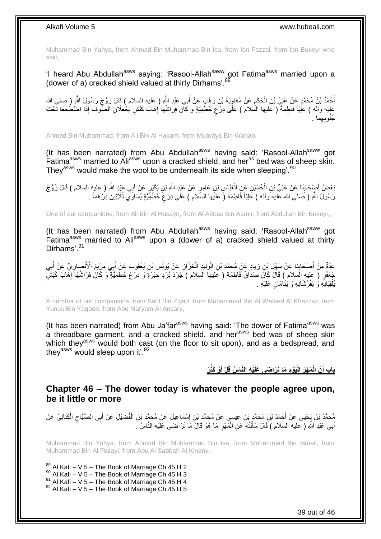Muhammad Bin Yahya, from Ahmad Bin Muhammad Bin Isa, from Ibn Fazzal, from Ibn Bukeyr who said,

'I heard Abu Abdullah<sup>asws</sup> saying: 'Rasool-Allah<sup>saww</sup> got Fatima<sup>asws</sup> married upon a (dower of a) cracked shield valued at thirty Dirhams'.<sup>89</sup>

أَحْمَدُ بْنُ مُحَمَّدٍ عَنْ عَلِيِّ بْنِ الْحَكَمِ عَنْ مُعَاوِيَةَ بْنِ وَهْبٍ عَنْ أَبِي عَبْدِ اللَّهِ ( عليه السلام ) قَالَ زَوَّجَ رَسُولُ اللَّهِ ( صلى الله َ ِ ِ ْ عليه وأله ) عَلِيّاً فَاطِمَةٌ ( عَليها الْسلام ) عَلَى دِرْعٍ حُطَمِيَّةٍ وَ كَانَ فِرَاشُهَا إِهَابَ كَبْشٍ يَجْعَلَانِ الصُّوفَ إِذَا اضْطُجَعَا تَحْتَ ِ ٍ َ ِ َما . ِ ِه ُجنُوب

Ahmad Bin Muhammad, from Ali Bin Al Hakam, from Muawiya Bin Wahab,

(It has been narrated) from Abu Abdullah<sup>asws</sup> having said: 'Rasool-Allah<sup>saww</sup> got Fatima<sup>asws</sup> married to Ali<sup>asws</sup> upon a cracked shield, and her<sup>as</sup> bed was of sheep skin. They<sup>asws</sup> would make the wool to be underneath its side when sleeping<sup>'. 90</sup>

بَعْضُ أَصِدَابِذَا عَنْ عَلِيٍّ بْنِ الْمُسَيْنِ عَنِ الْعَبَّاِسِ بْنِ عَامِرٍ عَنْ عَبْدِ اللَّهِ بْنِ بُكَيْرٍ عَنْ أَبِي عَبْدِ اللَّهِ ( عليهِ السلام ) قَالَ زَوَّ جَ ِ َ ْ ْ رَسُولُ اللَّهِ ( َصلـى الله عليه َواله ) عَلِيّاً فَاطِمَةَ (َ عليَها السّلام ) عَلَى دِرْعٍَ حُطَمِّيَّةٍ يُسَاوِّي ثَلَاثِيْنَ دِرْ هَماً . ;

One of our companions, from Ali Bin Al Husayn, from Al Abbas Bin Aamir, from Abdullah Bin Bukeyr,

(It has been narrated) from Abu Abdullah<sup>asws</sup> having said: 'Rasool-Allah<sup>saww</sup> got Fatima<sup>asws</sup> married to Ali<sup>asws</sup> upon a (dower of a) cracked shield valued at thirty Dirhams'.<sup>91</sup>

عِدَّةٌ مِنْ أَصْحَابِنَا عَنْ سَهْلِ بِْنِ زِيَادٍ عَنْ مُحَمَّدِ بْنِ الْوَلِيدِ الْخَزَّازِ عَنْ يُونُسَ بْنِ يَعْقُوبَ عَنْ أَبِي مَرِْيَمَ الْأَنْصَارِيِّ عَنْ أَبِي ِ ْ ْ ِ **∣** ِ َ ِ َ جُعْفَرٍ ( عليهِ السلام ) قَالَ كَانَ صَدَاقُ فَاطِمَةَ ( عَليها السلام ) جَرْدَ بُرْدٍ حِبَرَةٍ وَ دِرْعَ حُطَمِيَّةٍ وَ كَانَ فِرَاشُهَا إِهَابَ كَبْشٍ ا<br>ا يُلْقِيَانِّهِ وَ يَفْرُشَانِهِ وَ يَنَامَانِ عَلَيْهِ <sub>.</sub> ْ

A number of our companions, from Sahl Bin Ziyad, from Muhammad Bin Al Waleed Al Khazzaz, from Yunus Bin Yaqoub, from Abu Maryam Al Ansary,

(It has been narrated) from Abu Ja'far<sup>asws</sup> having said: 'The dower of Fatima<sup>asws</sup> was a threadbare garment, and a cracked shield, and her<sup>asws</sup> bed was of sheep skin which they<sup>asws</sup> would both cast (on the floor to sit upon), and as a bedspread, and they<sup>asws</sup> would sleep upon it'.<sup>92</sup>

> بِابِ أَنَّ الْمَهْرَ الْيَوْمَ مَا تَرَاضَى عَلَيْهِ النَّاسُ قَلَّ أَوْ كَثُرَ **َ َ**

<span id="page-38-0"></span>**Chapter 46 – The dower today is whatever the people agree upon, be it little or more**

مُحَمَّدُ بْنُ يَجْنِى عَنْ أَحْمَدَ بْنِ مُحَمَّدٍ بْنِ عِيسَى عَنْ مُحَمَّدِ بْنِ إِسْمَاعِيلَ عَنْ مُحَمَّدِ بْنِ الْفُضَيْلِ عَنْ أَبِي الصَّبَّاحِ الْكِنَانِيِّ عَنْ<br>مُحَمَّدُ بْنُ يَجْنِي عَنْ أَحْمَدَ بْنِ مُحَمَّدٍ ْ ِ ْ ِ َ أَبِي عَبْدِ اللَّهِ ( عليه السلام ) قَالَ سَأَلْتُهُ عَنِ الْمَهْرِ مَا هُوَ قَالَ مَا تَرَاضَى عَلَيْهِ النَّاسُ ۚ. ِ ْ ֺ֧֦֦֧֦֦֖֦֦֦֖֦֧֦֪֦֧֦֪֪֦֧֦֪֦֪֦֪֦֧֦֪֦֧֦֪֦֧֦֧֦֪֪֦֧֦֪֪֦֧֦֧֦֧֪֝֟֟֟֟֟֟֟֟֟֟֟֟֟֟֟֟֟֟֟֟֟֬֟֟֓֟֟֟֓֞֟֟֟֓֞֟֟֟֟֩֓֞֟֟֓֞֟֟֟֟֟֟֟֟֝ َ َ

Muhammad Bin Yahya, from Ahmad Bin Muhammad Bin Isa, from Muhammad Bin Ismail, from Muhammad Bin Al Fuzayl, from Abu Al Sabbah Al Kinany,

1  $89$  Al Kafi – V 5 – The Book of Marriage Ch 45 H 2  $90$  Al Kafi – V 5 – The Book of Marriage Ch 45 H 3  $^{91}$  Al Kafi – V 5 – The Book of Marriage Ch 45 H 4  $92$  Al Kafi – V 5 – The Book of Marriage Ch 45 H 5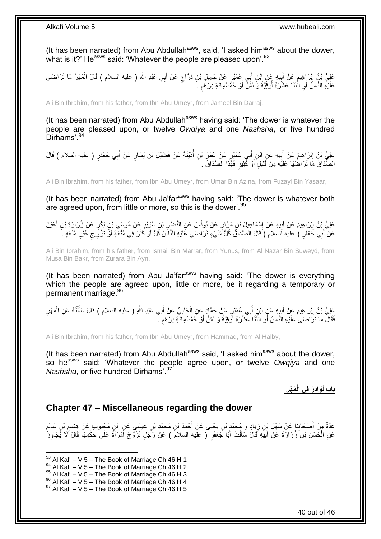(It has been narrated) from Abu Abdullah<sup>asws</sup>, said, 'I asked him<sup>asws</sup> about the dower, what is it?' He<sup>asws</sup> said: 'Whatever the people are pleased upon'.<sup>93</sup>

عَلِيُّ بْنُِ إِبْرَاهِيمَ عَنْ أَبِيهِ عَنِ إِبْنِ أَبِي عُمَيْرٍ عَنْ جَمِيلِ بْنِ دَرَّاجٍ عَنْ أَبِي عَبْدِ اللَّهِ ( عليه السلام ) قَالَ الْمَهْرُ مَا تَرَاضَى َ ٍ ِ َ ِ ْ عَلَيْهِ النَّاسُ أَوِ اثْنَتَا عَشْرَةَ أُوقِيَّةً وَ نَشٌّ أَوْ خَمَّسُمِائَةِ دِرْهَمِ ۚ ֧֖֖֖֧֧֖֧֧֧֧֧ׅ֧֧֧֧֧֚֚֚֚֓֝֝֝֝֟֓֟֓֝֬֝֓֝֓֝֬֟֓֟֓֟֓֟֓֝֬֝֬֝֓֝֬֜֓֝֬֝֓֝֬֝֬֝ َ ا<br>ا ֪֡֟֟֟֟֟֟֟֟֟֟֟֟֟֟֟֟֟֟֟֟֟֟֟<sup>֟</sup> ِ َ

Ali Bin Ibrahim, from his father, from Ibn Abu Umeyr, from Jameel Bin Darraj,

(It has been narrated) from Abu Abdullah $a<sup>asws</sup>$  having said: 'The dower is whatever the people are pleased upon, or twelve *Owqiya* and one *Nashsha*, or five hundred Dirhams'.<sup>94</sup>

عَلِيُّ بْنُ إِبْرَاهِيمَ عَنْ أَبِيهِ عَنِ ابْنِ أَبِي عُمَيْرٍ عَنْ عُمَرَ بْنِ أُذَيْنَةَ عَنْ فُضَيْلِ بْنِ يَسَارٍ عَنْ أَبِي جَعْفَرٍ ( عليه السلام ) قَالَ ُ ِ َ ِ ِ الصَّدَاقُ مَا تَرَاضَيَا عَلَيْهِ مِنْ قَلِيلٍ أَوْ كَثِيرٍ فَهَّذَا الصَّدَاقُ . َ

Ali Bin Ibrahim, from his father, from Ibn Abu Umeyr, from Umar Bin Azina, from Fuzayl Bin Yasaar,

(It has been narrated) from Abu Ja'far<sup>asws</sup> having said: 'The dower is whatever both are agreed upon, from little or more, so this is the dower'.<sup>95</sup>

عَلِيُّ بْنُ إِبْرَاهِيمَ عَنْ أَبِيهِ عَنْ إِسْمَاعِيلَ بْنِ مَرَّارٍ عَنْ يُونُسَ عَنِ النَّصْبِرِ بْنِ سُوَيْدٍ عَنْ مُوسَى بْنِ بَكْرٍ عَنْ زُرَارَةَ بْنِ أَعْيَنَ ِ ا<br>؛ ِ َ عَنْ أَبِي جَعْفَرٍ ( عليه السلام ) قَالَ الصَّدَاقُ كُلُّ شَيْءٍ تَرَاضَى عَلَيْهِ النَّاسُ قَلَّ أَوْ كَثُرَ فِي مُتْعَةٍ أَوُّ تَزْوِّيجٍ غَيْرِ مُتْعَةٍ . َ ِ ٍ ِ َ ا<br>المقام َ

Ali Bin Ibrahim, from his father, from Ismail Bin Marrar, from Yunus, from Al Nazar Bin Suweyd, from Musa Bin Bakr, from Zurara Bin Ayn,

(It has been narrated) from Abu Ja'far<sup>asws</sup> having said: 'The dower is everything which the people are agreed upon, little or more, be it regarding a temporary or permanent marriage. 96

عَلِيُّ بْنُ إِبْرَاهِيمَ عَنْ أَبِيهِ عَنٍ ابْنِ أَبِي عُمَيْرٍ عَنْ حَمَّادٍ عَنِ الْحَلَبِيِّ عَنْ أَبِي عَبْدِ اللَّهِ ( عليه السلام ) قَالَ سَأَلْتُهُ عَنِ الْمَهْرِ َ ِ ْ َ  $\frac{1}{2}$ َ ِ ِ ْ ْ اً<br>أ فَقَالَ مَا تَرَاضَىٰ عَلَيْهِ الّنَّاسُ أَوِ اثْنَتَا عَشْرَةَ أَوْقِيَّةً وَ نَشٌّ أَوْ خَمْسُمِاَنَّةِ دِرْهَمَ ۚ ٍ َ ייבודי ביום<br>ו **ٔ ∶** اُ

Ali Bin Ibrahim, from his father, from Ibn Abu Umeyr, from Hammad, from Al Halby,

(It has been narrated) from Abu Abdullah $^{asws}$  said, 'I asked him $^{asws}$  about the dower, so he<sup>asws</sup> said: 'Whatever the people agree upon, or twelve *Owqiya* and one *Nashsha*, or five hundred Dirhams'.<sup>97</sup>

> **َم ْهر باب َنَوا دَر ف ي الْ**

### <span id="page-39-0"></span>**Chapter 47 – Miscellaneous regarding the dower**

عِدَّةٌ مِنْ أَصْحَابِذَا عَنْ سَهْلِ بِنِ زِيَادٍ وَ مُحَمَّدٍ بْنِ يَحْيَى عَنْ أَحْمَدَ بْنِ مُحَمَّدٍ بْنِ عِيسَى عَنِ ابْنٍ مَحْبُوبٍ عَنْ هِشَامِ بْنِ سَالِمٍ َ **∶ ∣** ٍ ِ عَنِ الْحَسَنِ بْنِ زُرَارَةَ عَنْ أَبِيَهِ قَالَ سَأَلْتُ أَبَا جَعْفَرٍ ( عليه السلامَ ) عَنْ رَجُلٍ تَزَوَّجَ اَمْرَأَةً عَلَى حُكْمِهَا قَالَ َلَا يُجَاوِزُ َ ْ َ ِ َ ْ ِ َ

 $^{93}$  Al Kafi – V 5 – The Book of Marriage Ch 46 H 1

 $^{94}$  Al Kafi – V 5 – The Book of Marriage Ch 46 H 2

 $95$  Al Kafi – V 5 – The Book of Marriage Ch 46 H 3

 $^{96}_{-}$  Al Kafi – V 5 – The Book of Marriage Ch 46 H 4

 $97$  Al Kafi – V 5 – The Book of Marriage Ch 46 H 5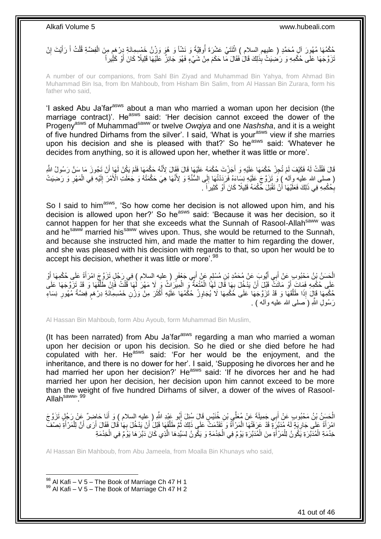### م حُكْمُهَا مُهُوِرَ آلِ مُحَمَّدٍ ( عليهم السلام ) اثْنَتَيْ عَشْرَةَ أُوقِيَّةً وَ نَشَّاً وَ هُوَ وَزْنُ خَمْسِمِائَةِ دِرْهَمٍ مِنَ الْفِضَّةِ قُلْتُ أَ رَأَيْتَ إِنْ ُ ْ ِ َ َ ْ تَزَوَّجَهَا عَلَى حُكْمِهِ وَ رَضِيَتْ بِذَلِكَ قَالُ فَقَالَ مَّا حَكَمَ مِنْ شَيْءٍ فَهُوَ جَائِزٌ عَلَيْهَا قَلِيلًا كَانَ أَوْ كَثِّيراً َ

A number of our companions, from Sahl Bin Ziyad and Muhammad Bin Yahya, from Ahmad Bin Muhammad Bin Isa, from Ibn Mahboub, from Hisham Bin Salim, from Al Hassan Bin Zurara, form his father who said,

'I asked Abu Ja'farasws about a man who married a woman upon her decision (the marriage contract)'. He<sup>asws</sup> said: 'Her decision cannot exceed the dower of the Progenyasws of Muhammadsaww or twelve *Owqiya* and one *Nashsha*, and it is a weight of five hundred Dirhams from the silver'. I said, 'What is your<sup>asws</sup> view if she marries upon his decision and she is pleased with that?' So he<sup>asws</sup> said: 'Whatever he decides from anything, so it is allowed upon her, whether it was little or more'.

قَالَ فَقُلْتُ لَهُ فَكَيْفَ لَمْ تُجِزْ حُكْمَهَا عَلَيْهِ وَ أَجَزْتَ حُكْمَهُ عَلَيْهَا قَالَ فَقَالَ لِأَنَّهُ حَكَّمَهَا فَلَمْ يَكُنْ لَهَا أَنْ تَجُوزَ مَا سَنَّ رَسُولُ اللَّهِ َ ْ َ ْ رِصِلَى الله عليهِ وِأَله ۚ } وَ تَزَوَّجَ عَلَيْهِ نِسَاءَهُ فَرَدَدْتُهَا إِلَى السُّنَّةِ وَ لِأَنَّهَا هِيَ حَكَّمَتْهُ وَ جُعَلَتِ الْأَمْرَ إِلَيْهِ فِي الْمَهْرِ وَ رَضِيَتْ ِ ِ ْ بِكُكْمِهِ فِي ذَلِكَ فَعَلَيْهَا أُنْ تَقْبَلَ كَكْمَهُ قَلِيلًا كَانَ أَوْ كَثِيراً . اُ ِ

So I said to him<sup>asws</sup>, 'So how come her decision is not allowed upon him, and his decision is allowed upon her?' So he<sup>asws</sup> said: 'Because it was her decision, so it cannot happen for her that she exceeds what the Sunnah of Rasool-Allah<sup>saww</sup> was and he<sup>saww</sup> married his<sup>saww</sup> wives upon. Thus, she would be returned to the Sunnah, and because she instructed him, and made the matter to him regarding the dower, and she was pleased with his decision with regards to that, so upon her would be to accept his decision, whether it was little or more'.<sup>98</sup>

الْجَسَنُ بْنُ مَحْبُوبٍ عَنْ أَبِي أَيُّوبَ عَنْ مُحَمَّدِ بْنِ مُسْلِمٍ عَنْ أَبِي جَعْفَرٍ ( عليه السلام ) فِي رَجُلٍ تَزَوَّجَ امْرَأَةً عَلَى حُكْمِهَا أَوْ َ ֧֧֖֧֖֧֖֧֧֧֧֧֧֧֧֧֧֧֧֚֚֚֓֝֝֝֝֝֟֓֝֓֬֝֓֝֬֟֓֟֓֝֬֟֓֟֓֝֬֝֬֝֓֟֓֝֬֜֝֬֝֓֝֬֝֓ َ َ َ َ عَلَى حُكْمِهِ فَمَاتَ أَوْ مَاتَتٌ قَبْلَ أَنْ يَدْخُلَ بِهَا قَالَ لَهَاً الْمُتْعَةُ وَ الْمِيرَاثُ وَ لَا مَهْرَ لَهَا قُلْتُ فَإِنْ طَلَّقَهَا وَ قَدْ تَزَوَّجَهَا عَلَى ْ ِ َ ه ∣ļ ْ ْ حُكْمِهَا قَإِلَ إِذَا طَلَّقَهَا وَ قَدْ تَزَوَّجَهَا عَلَى حُكْمِهَا لَا يُجَاوِزُ حُكْمُهَا عَلَيْهِ أَكْثَرَ مِنْ وَزْنِ خَمْسِمِاَئَةِ دِرْهَمٍ فِضَةً مُهُورِ نِسَاءِ َ َ **∶** ه ِ ہ<br>پ رَ سُولٍ اللَّهِ ( َصلبِي الله عليه و آله ) .

Al Hassan Bin Mahboub, form Abu Ayoub, form Muhammad Bin Muslim,

(It has been narrated) from Abu Ja'far<sup>asws</sup> regarding a man who married a woman upon her decision or upon his decision. So he died or she died before he had copulated with her. He<sup>asws</sup> said: 'For her would be the enjoyment, and the inheritance, and there is no dower for her'. I said, 'Supposing he divorces her and he had married her upon her decision?' He<sup>asws</sup> said: 'If he divorces her and he had married her upon her decision, her decision upon him cannot exceed to be more than the weight of five hundred Dirhams of silver, a dower of the wives of Rasool-Allah<sup>saww</sup>'.<sup>99</sup>

الْحَسَنُ بْنُ مَحْبُوبٍ عَنْ أَبِي جَمِيلَةَ عَنْ مُعَلَّي بْنِ خُنَيْسٍ قَالَ سُئِلَ أَبُو عَيْدِ اللَّهِ ( عليه السلام ) وَ أَنَا حَاضِرٌ عَنْ رَجُلٍ تَزَوَّجَ<br>. َ َ َ امْرَأَةً عَلَى جَارِيَةٍ لَهُ مُدَبَّرَةٍ قَدْ عَرَفَتْهَا الْمَرْأَةُ وَ تَقَدَّمَتْ عَلَى ذَلِكَ ثُمَّ طَلَّقَهَا قَبْلُ أَنْ يَدْخُلَ بِهَا قَالَ فَقَالَ أَرَى أَنَّ لِلْمَرْأَةِ نِصْفَ َ ْ **∶** َ ْ َ َ ِ َ ه ُ خِدْمَةِ الْمُدَبَّرَةِ يَكُونُ لِلْمَرْ أَةِ مِنَ الْمُدَبَّرَةِ يَوْمٌ فِي الْخِدْمَةِ وَ يَكُونُ لِسَبِّدِهَا الَّذِي كَانَ دَبَّرَهَا يَوْمٌ فِي الْخِدْمَةِ ه ْ ْ َ ْ ْ ْ

Al Hassan Bin Mahboub, from Abu Jameela, from Moalla Bin Khunays who said,

 $98$  Al Kafi – V 5 – The Book of Marriage Ch 47 H 1  $99$  Al Kafi – V 5 – The Book of Marriage Ch 47 H 2

1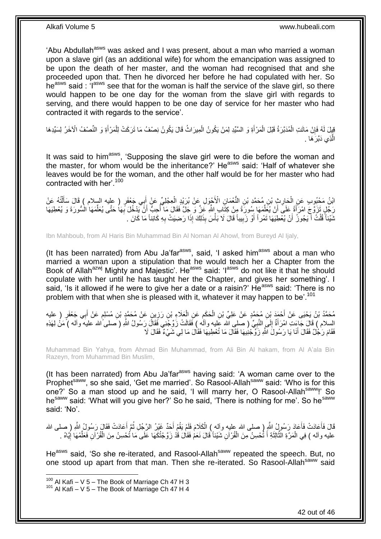'Abu Abdullah<sup>asws</sup> was asked and I was present, about a man who married a woman upon a slave girl (as an additional wife) for whom the emancipation was assigned to be upon the death of her master, and the woman had recognised that and she proceeded upon that. Then he divorced her before he had copulated with her. So he<sup>asws</sup> said : 'I<sup>asws</sup> see that for the woman is half the service of the slave girl, so there would happen to be one day for the woman from the slave girl with regards to serving, and there would happen to be one day of service for her master who had contracted it with regards to the service'.

قِيِلَ لَهُ فَإِنْ مَاتَتِ الْمُدَبَّرَةُ قَبْلَ الْمَرْأَةِ وَ السَّيِّدِ لِمَنْ يَكُونُ الْمِيرَاثُ قَالَ يَكُونُ نِصْفُ مَا تَرَكَتْ لِلْمَرْأَةِ وَ النِّصْفُ الْآخَرُ لِسَيِّدِهَا َ ْ ْ ِ َ ْ ْ الَّذِ*ي* دَبَّرَ هَا . ه

It was said to him<sup>asws</sup>, 'Supposing the slave girl were to die before the woman and the master, for whom would be the inheritance?' Heasws said: 'Half of whatever she leaves would be for the woman, and the other half would be for her master who had contracted with her'.<sup>100</sup>

ِ ابْنُ مَحْبُوبٍ عَنِ الْحَارِثِ بْنِ مُحَمَّدٍ بْنِ النُّعْمَانِ الْأَجْوَلِ عَنْ بُرَيْدٍ الْعِجْلِيِّ عَنْ أَبِي جَعْفَرٍ ( عليه السلام ) قَالَ سَأَلْتُهُ عَنْ َ ْ ِ ْ ْ ĺ رَجُلٍ تَزَوَّجَ امْرَأَةً عَلَى أَنْ يُعَلِّمَهَا سُِورَةً مِنْ كِتَابِ اللَّهِ عَزَّ وَ جَلَّ فَقَالَ مَا أُحِبُّ أَنَّ يَدْخُلَ بِهَا حَتَّى يُعَلِّمَهَا الْسُورَةَ وَ يُعْطِيَهَا َ ُ ِّ َ َ ِّ **∶** نَنَيْئاً َقُلْتُ أَيَجُوزُ ۖ أَنْ يُعْطِيَهَا تَمْرٍ أَ وْ زَبِيباً قَالَ لَا بَأْسَ بِذَلِكَ إِذَا رَضِيَتْ بِهِ كَائِناً مَا كَانَ . َ ْ **∶** ْ **!** َ

Ibn Mahboub, from Al Haris Bin Muhammad Bin Al Noman Al Ahowl, from Bureyd Al Ijaly,

(It has been narrated) from Abu Ja'far $a<sup>asws</sup>$ , said, 'I asked him $a<sup>asws</sup>$  about a man who married a woman upon a stipulation that he would teach her a Chapter from the Book of Allah<sup>azwj</sup> Mighty and Majestic'. He<sup>asws</sup> said: 'l<sup>asws</sup> do not like it that he should copulate with her until he has taught her the Chapter, and gives her something'. I said, 'Is it allowed if he were to give her a date or a raisin?' He<sup>asws</sup> said: 'There is no problem with that when she is pleased with it, whatever it may happen to be'.<sup>101</sup>

مُحَمَّدُ بْنُ يَحْيَى عَنْ أَحْمَدَ بْنِ مُحَمَّدٍ عَنْ عَلِيِّ بْنِ الْحَكَمِ عَنِ الْعَلَاءِ بْنِ رَزِينٍ عَنْ مُحَمَّدٍ بْنِ مُسْلِمٍ عَنْ أَبِي جَعْفَرٍ ( عليه<br>. َ ֧֧֖֧֖֧֖֧֧֧֧֧֧֧֧֧֧֧֧֚֚֚֓֝֝֝֝֝֟֓֝֓֬֝֓֝֬֟֓֟֓֝֬֟֓֟֓֝֬֝֬֝֓֟֓֝֬֜֝֬֝֓֝֬֝֓ ِ ْ ِ ْ السلام ) قَالَ جَاعَتِ امْرَأَةٌ إِلَـىَ النَّبِيِّ ( صلـى الله عَليه وآلَه ) فَقَالَتْ زَوِّجْنِي فَقَالَ رَسُولُ اللهِ ( صلـى َالله عليه وألـه ) مَنْ لِهَذِهِ ¦  $\frac{1}{2}$ َ فَقَامَ رَجُٰلٌ فَقَالَ أَنَا يَا رَسُولََ اللَّهِ زَوَّجْنِيهَا فَقَالَ مَا تُعْطِيهَا فَقَالَ مَا لِي شَيْءٌ فَقَالَ لَا َ

Muhammad Bin Yahya, from Ahmad Bin Muhammad, from Ali Bin Al hakam, from Al A'ala Bin Razeyn, from Muhammad Bin Muslim,

(It has been narrated) from Abu Ja'far<sup>asws</sup> having said: 'A woman came over to the Prophet<sup>saww</sup>, so she said, 'Get me married'. So Rasool-Allah<sup>saww</sup> said: 'Who is for this one?' So a man stood up and he said, 'I will marry her, O Rasool-Allah<sup>saww</sup>!' So he<sup>saww</sup> said: 'What will you give her?' So he said, 'There is nothing for me'. So he<sup>saww</sup> said: 'No'.

قَالَ فَأَعَادَتْ فَأَعَادَ رَسُولٍ ُ اللَّهِ ( صلى الله عليه وآله ) الْكَلامَ فَلَمْ يَقُمْ أَحَدٌ غَيْرُ الرَّجُلِ ثُمَّ أَعَادَتْ فَقَالَ رَسُولُ اللَّهِ ( صلى الله َ ا پایا<br>سال َ ْ َ َ عليه وآله ) فِي الْمَرَّةِ الثَّالِثَةِ أَ تُحْسِنُ مِنَ الْقُرْآنِ شَيْئاً قَالَ نَعَمْ فَقَالَ قَدْ زَوَّجْتُكَهَا عَلَى مَا تُحْسِنُ مِنَ الْقُرْآنِ فَعَلْمْهَا إِيَّاهُ . ْ َ  $\ddot{\cdot}$ ه ْ ِ ِّ ْ

He<sup>asws</sup> said, 'So she re-iterated, and Rasool-Allah<sup>saww</sup> repeated the speech. But, no one stood up apart from that man. Then she re-iterated. So Rasool-Allah<sup>saww</sup> said

 $100$  Al Kafi – V 5 – The Book of Marriage Ch 47 H 3

 $101$  Al Kafi – V 5 – The Book of Marriage Ch 47 H 4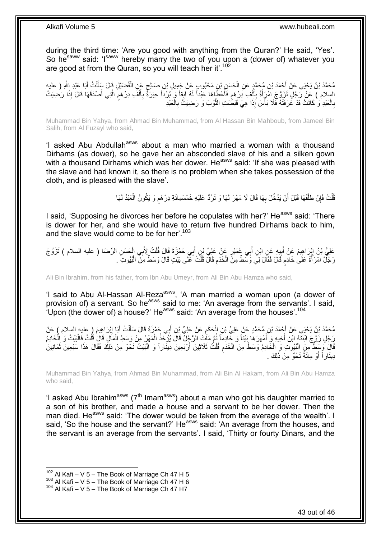during the third time: 'Are you good with anything from the Quran?' He said, 'Yes'. So he<sup>saww</sup> said: 'Isaww hereby marry the two of you upon a (dower of) whatever you are good at from the Quran, so you will teach her it'.<sup>102</sup>

مُحَمَّدُ بْنُ يَحْيَى عَنْ أَحْمَدَ بْنِ مُحَمَّدٍ عَنِ الْحَسَنِ بْنِ مَحْبُوبٍ عَنْ جَمِيلِ بْنِ صَالِحٍ عَنِ الْفُضَيْلِ قَالَ سَأَلْتُ أَبَا عَبْدِ اللَّهِ ( عليه<br>. ْ ٍ ْ َ ْ َ با<br>⊱ السِلام ) عَنْ رَجُٰلٍ تَزَوَّجَ اهْرَأَةً بِأَلْفِ دِرْهَمٍ فَأَعْطَاهَا عَبْداً لَهُ آبِقاً وَ بُرْدَاً حِبَرَةً بِأَلْفَ دِرْهَمٍ الَّتِي أَصْدَقَهَا قَالَ إِذَا رَضِيَتْ لَ ا<br>استعمال ٍ ْ اُ ِ َ َ ه ֧֖֧֖֖֖֖֖֧֖֖֧֧֧֧ׅ֧֧֧֧֧֧֧֧֧֧֧֧֚֚֚֚֚֚֚֚֝֝֟֓֝֓֝֓֝֬֟֓֟֓֝֬֝֬֝֓֝֬֜֓֝֬֜֓֝֬֝֓֝֬֝֓֝֬֝֬֓֝֬֝֬֝ ْ َ ِ بِالْعَبْدِ وَ كَانَتْ قَدْ عَُرَفَتْهُ فَّلَا بَأْسَ إِذَا هِيَ قَبَضََتِ الثَّوْبَ وَ رَضِيَتٌ بِالْعَبْدِ ْ ِ ه د<br>أ ْ **∶** 

Muhammad Bin Yahya, from Ahmad Bin Muhammad, from Al Hassan Bin Mahboub, from Jameel Bin Salih, from Al Fuzayl who said,

'I asked Abu Abdullah<sup>asws</sup> about a man who married a woman with a thousand Dirhams (as dower), so he gave her an absconded slave of his and a silken gown with a thousand Dirhams which was her dower. He<sup>asws</sup> said: 'If she was pleased with the slave and had known it, so there is no problem when she takes possession of the cloth, and is pleased with the slave'.

> قُلْتُ فَإِنْ طَلَّقَهَا قَبْلَ أَنْ يَدْخُلَ بِهَا قَالَ لَا مَهْرَ لَهَا وَ تَرُدُّ عَلَيْهِ خَمْسَمِائَةِ دِرْهَم وَ يَكُونُ الْعَبْدُ لَهَا ِ ه ِ ْ ْ م

I said, 'Supposing he divorces her before he copulates with her?' He<sup>asws</sup> said: 'There is dower for her, and she would have to return five hundred Dirhams back to him, and the slave would come to be for her'.<sup>103</sup>

عَلِيُّ بْنُ إِبْرَاهِيمَ عَنْ أَبِيهِ عَنِ ابْنِ أَبِي عُمَيْرٍ عَنْ عَلِيِّ بْنٍ أَبِي حَمْزَةَ قَالَ قُلْتُ لِأَبِي الْحَسَنِ الرِّضَا ( عليه السلام ) تَزَوَّجَ ْ ْ َ ِ َ رَ جُلٌّ امْرَ أَةً عَلَىٰ خَادِم قَالَ فَقَالَ لِيِّ وَسَطٌ مِنَّ الْخَدَم قَالَ قُلْتُ عَلَى بَيْتٍ قَالَ وَسَطٌ مِنَّ الْبُيُوتِ ۖ . ْ ِ ْ م ْ

Ali Bin Ibrahim, from his father, from Ibn Abu Umeyr, from Ali Bin Abu Hamza who said,

'I said to Abu Al-Hassan Al-Reza<sup>asws</sup>, 'A man married a woman upon (a dower of provision of) a servant. So he<sup>asws</sup> said to me: 'An average from the servants'. I said, 'Upon (the dower of) a house?' He<sup>asws</sup> said: 'An average from the houses'.<sup>104</sup>

ْ مُحَمَّدُ بْنُ يَحْيَى عَنْ أَجْمَدَ بْنِ مُحَمَّدٍ عَنْ عَلِيِّ بْنِ الْحَكَمِ عَنْ عَلِيٍّ بْنِ الْبِي حَمْرَةَ قَالَ سَأَلْتُ أَبَا إِبْرَاهِيمَ ( عليه السلام ) عَنْ<br>. َ َ ِ ْ َ ِ َ رَجَّلٍ زَوَّجَ ابْنَثَهُ ابْنَ أَخِيهِ وَ أَمْهَرَهَا بَيْتاً وَ خَادِماً ثُمَّ مَاتَ الرَّجُلِّ قَالَ يُؤَخِّذُ الْمَهْرُ مِنْ وَسَطِ الْمَالِ قَالَ قُلْتُ فَالْبَيْتُ وَ الْخَادِمُ ْ ُ َ َ ْ ْ ْ ْ قَالَ وَسَطٌّ مِنَ الْبُيُوتَ وَ الْخَادِمُ وَسَطٌّ مِنَ الْخَدَمِ قُلْتُ ثَلَاثِينَ أَرْبَعِينَ دِينَاراً وَ الْبَيْتُ نَخْوٌ مِنْ ذَلِكَ فَقَالَ هَذَا سَبْعِينَ ثَمَانِينَ ْ ْ ْ **ُ** ْ َ دِينَار أَ وَ مِائَةً نَحْوٌ مِنْ ذَلِكَ . َ

Muhammad Bin Yahya, from Ahmad Bin Muhammad, from Ali Bin Al Hakam, from Ali Bin Abu Hamza who said,

'I asked Abu Ibrahim<sup>asws</sup> ( $7<sup>th</sup>$  Imam<sup>asws</sup>) about a man who got his daughter married to a son of his brother, and made a house and a servant to be her dower. Then the man died. He<sup>asws</sup> said: 'The dower would be taken from the average of the wealth'. I said, 'So the house and the servant?' He<sup>asws</sup> said: 'An average from the houses, and the servant is an average from the servants'. I said, 'Thirty or fourty Dinars, and the

 $102$  Al Kafi – V 5 – The Book of Marriage Ch 47 H 5

 $103$  Al Kafi – V 5 – The Book of Marriage Ch 47 H 6

 $104$  Al Kafi – V  $5$  – The Book of Marriage Ch 47 H7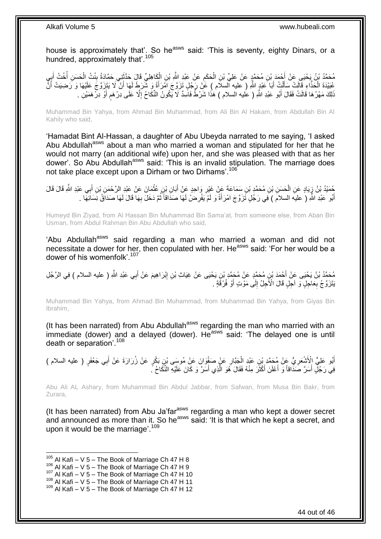house is approximately that'. So he<sup>asws</sup> said: 'This is seventy, eighty Dinars, or a hundred, approximately that'.<sup>105</sup>

َكا ِهلِ ِّي َقا َل ِن ال َع ْن َعْبِد هَّللاِ ْب َح َكم ِن ال ِن ُم َح همٍد َع ْن َعلِ ِّي ْب ْح َمَد ْب ُم َح همُد ْب ُن َي ْحَيى َع ْن أ ي َ ب ْخ ُت أ َح َس ِن أ نْ ُت ال ِني َح هماَدةُ ب َحهدث ْ ِ ْ ِ َ ا<br>ا ْ ِ َ عُبَيْدَةَ الْحَذَّاءِ قَالَتْ سَأَلْتُ أَبَا َعَبْدٍ اللَّهِ ( عليه السلَّام ) عََنْ رَجُلٍ تَزَوَّجَ اَمْرَأَةً وَ شَرَطَ لَهَا أَنْ لَا يَتَزَوَّجَ عَلَيْهَا وَ رَضِيَتْ أَنَّ َ َ َ ْ َ َ لَ َذَلِكَ مَهْرُهَا قَالَتْ فَقَالَ أَبُو عَبْدِ اللَّهِ ( عُليه السلام ) هَذَا شَرْطٌ فَاسِدٌ لَا يَكُونُ النِّكَاحُ إِلَّا عَلَى دِرْهَمٍ أَوْ دِرْهَمَيْنِ . َ ֧֖֖֖֖֧֧֧ׅ֧֧ׅ֧֚֚֚֚֚֚֚֚֚֓֝֝֬֝֟֓֝֓֝֓֝֓֜֟֓֟֓֟֓֝֬֜֝ ِ

Muhammad Bin Yahya, from Ahmad Bin Muhammad, from Ali Bin Al Hakam, from Abdullah Bin Al Kahily who said,

'Hamadat Bint Al-Hassan, a daughter of Abu Ubeyda narrated to me saying, 'I asked Abu Abdullah<sup>asws</sup> about a man who married a woman and stipulated for her that he would not marry (an additional wife) upon her, and she was pleased with that as her dower'. So Abu Abdullah<sup>asws</sup> said: 'This is an invalid stipulation. The marriage does not take place except upon a Dirham or two Dirhams'.<sup>106</sup>

حُمَّئِدُ بْنُ زِيَادٍ عَنِ الْحَسَنِ بْنِ مُحَمَّدٍ بْنِ سَمَاعَةَ عَنْ غَيْرِ وَاحِدٍ عَنْ أَبَانِ بْنِ عُثْمَانَ عَنْ عَيْدِ الرَّحْمَنِ بْنِ أَبِي عَبْدِ الثَّهِ قَالَ قَالَ<br>" **ٔ** ِ ْ ِ<br>ا َ أَبُو عَبْدِ اللَّهِ ( عليه السلام ) فِي رَجُلٍ تَزَوَّجَ امْرَأَةً وَ لَمْ يَفْرِضْ لَهَا صَدَاقاً ثُمَّ دَخَلَ بِهَا قَالَ لَهَا صَدَاقُ نِسَائِهَا . َ ِ ُ **∶** َ

Humeyd Bin Ziyad, from Al Hassan Bin Muhammad Bin Sama'at, from someone else, from Aban Bin Usman, from Abdul Rahman Bin Abu Abdullah who said,

'Abu Abdullah<sup>asws</sup> said regarding a man who married a woman and did not necessitate a dower for her, then copulated with her. He<sup>asws</sup> said: 'For her would be a dower of his womenfolk'.<sup>107</sup>

مُحَمَّدُ بْنُ يَحْيَى عَنْ أَحْمَدَ بْنِ مُحَمَّدٍ عَنْ مُحَمَّدِ بْنِ يَحْيَى عَنْ غِيَاثٍ بْنِ إِبْرَاهِيمَ عَنْ أَبِي عَبْدِ اللَّهِ ( عليه السلام ) فِي الرَّجُلِ َ ِ يَتَزَوَّجُ بِعَاجِلٍ وَ آجِلٍ قَالَ الْأَجِلُ إِلَى مَوْتٍ أَوْ فُرْقَةٍ . َ  $\frac{1}{2}$ **∶** 

Muhammad Bin Yahya, from Ahmad Bin Muhammad, from Muhammad Bin Yahya, from Giyas Bin Ibrahim,

(It has been narrated) from Abu Abdullah<sup>asws</sup> regarding the man who married with an  $\overline{\mathbf{a}}$  immediate (dower) and a delayed (dower). He said: 'The delayed one is until death or separation'.<sup>108</sup>

ْ أَبُو عَلِيٍّ الْأَشْعَرِيُّ عَنْ مُحَمَّدٍ بْنِ عَبْدٍ الْجَبَّارِ عَنٍْ صَفْوَانَ عَنْ مُوسَى بْنِ بَكْرٍ عَنْ زُرَارَةَ عَنْ أَبِي جَعْفَرٍ ( عليه السلام )<br>. **∶** َ َ ِ فِي رَجُلٍ أَسَرَّ صَدَاقاً وَ أَعْلَنَ أَكْثَرَ مِنْهُ فَقَالَ هُوَ الَّذِي أَسَرَّ وَ كَانَ عَلَيْهِ النِّكَاحُ ً. َ ه  $\ddot{\phantom{a}}$ َ َ َ

Abu Ali AL Ashary, from Muhammad Bin Abdul Jabbar, from Safwan, from Musa Bin Bakr, from Zurara,

(It has been narrated) from Abu Ja'far<sup>asws</sup> regarding a man who kept a dower secret and announced as more than it. So he<sup>asws</sup> said: 'It is that which he kept a secret, and upon it would be the marriage'.<sup>109</sup>

 $105$  Al Kafi – V 5 – The Book of Marriage Ch 47 H 8

 $106$  Al Kafi – V  $5$  – The Book of Marriage Ch 47 H 9

 $107$  Al Kafi – V 5 – The Book of Marriage Ch 47 H 10

 $108$  Al Kafi – V  $5$  – The Book of Marriage Ch 47 H 11

 $109$  Al Kafi – V 5 – The Book of Marriage Ch 47 H 12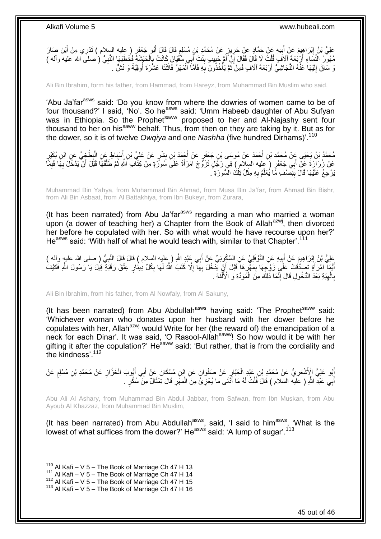عَلِيُّ بْنُ إِبْرَاهِيمَ عَنْ أَبِيهِ عَنْ حَمَّادٍ عَنْ حَرِيزٍ عَنْ مُحَمَّدٍ بْنِ مُسْلِمٍ قَالَ قَالَ أَبُو جَعْفَرٍ ( عليه السلام ) تَدْرِي مِنْ أَيْنَ صَارَ<br>وَفَيْ بِنَّ إِن أَمِن مَنْ يَجْبَهُمْ فَيَحْمَدُ يَجْبَد َ ٍ ِ **!** َ ِ َ مُهُولُ النِّسَاءِ أَرْبَعَةَ آلاَفٍ قُلْتُ لَا قَالَ فَقَالَ إِنِّ أُمَّ جَبِيبٍ بِنْتَ أَبِي سُفُّيَانِ كَانَتْ بِالْحَبَشَةِ فَخَطَبَهَا النَّبِيُّ (صلى الله عليه وآله )<br>- يَسْمَعُونُ النِّسَاءِ أَرْبَعَةَ آلافَ فَقَالَ ِ ِ ُ ِ ْ اً ِ ْ ا<br>با َ وَ سَاقَ إِلَيْهَا عَنْهُ النَّجَاشِيُّ أَرْبَعَةَ آلَافٍ فَمِنْ ثَمَّ يَأْخُذُونَ بِهِ فَأَمَّا ٱلْمَهْرُ فَاتْنَتَا عَشْرَةَ أُوقِيَّةً وَ نَشٌّ . **ٔ** ْ َ ِ ْ ة<br>أ اُ لَ  $\frac{1}{2}$ 

Ali Bin Ibrahim, form his father, from Hammad, from Hareyz, from Muhammad Bin Muslim who said,

'Abu Ja'far<sup>asws</sup> said: 'Do you know from where the dowries of women came to be of four thousand?' I said, 'No'. So he<sup>asws</sup> said: 'Umm Habeeb daughter of Abu Sufyan was in Ethiopia. So the Prophet<sup>saww</sup> proposed to her and Al-Najashy sent four thousand to her on his<sup>saww</sup> behalf. Thus, from then on they are taking by it. But as for the dower, so it is of twelve *Owqiya* and one *Nashha* (five hundred Dirhams)'.<sup>110</sup>

مُحَمَّدُ بْنُ يَحْيَى عَنْ مُحَمَّدِ بْنِ أَحْمَدَ عَنْ مُوسَى بْنِ جَعْفَرٍ عَنْ أَجْمَدَ بْنِ بِشْرٍ عَنْ عَلِيٍّ بْنِ أَسْيَاطٍ عِن الْبِطَّخِيِّ عَنِ ابْنِ بُكَيْرٍ َ ِ َ َ **∶** ْ عَنْ زُرَارَةَ عَنْ أَبِي جَعْفَرٍ ( َعِليه السلام ) فِيَ رَجُلٍ تَزَوَّجَ امْرَأَةً عَلَى سُورَةٍ مِنْ كِثَاب َاللَّهِ ثُمَّ طَلَّقَهَا قَلْلَ أَنْ يَدْخُلَ بِهَا فَبِمَّا َ ِ ِ َ ه ُ َ يَرْحِعُ عَلَيْهَا قَالَ بِنِصْفِ مًا يُعَلَّمُ بِهِ مِثْلُ تِلْكَ الْسُّورَةِ ۚ. ْ ْ ِ ه ِ

Muhammad Bin Yahya, from Muhammad Bin Ahmad, from Musa Bin Ja'far, from Ahmad Bin Bishr, from Ali Bin Asbaat, from Al Battakhiya, from Ibn Bukeyr, from Zurara,

(It has been narrated) from Abu Ja'far $a<sup>asws</sup>$  regarding a man who married a woman upon (a dower of teaching her) a Chapter from the Book of Allah $a$ <sub>zwi</sub>, then divorced her before he copulated with her. So with what would he have recourse upon her?' He<sup>asws</sup> said: 'With half of what he would teach with, similar to that Chapter'.<sup>111</sup>

َ عَلِيُّ بْنُ إِبْرَاهِيمَ عَنْ أَبِيهِ عَنِ النَّوْفَلِيِّ عَنِ السَّكُوِنِيِّ عَنْ أَبِي عَبْدِ اللَّهِ ( عِليه السلام ) قَالَ قَالَ النَّبِيُّ ( صلى الله عليه وآله )<br>. ِ َ ِ **∶** أَيُّمَا ۖ امْرَأَةٍ تَصَدَّقُتْ عَلَى زَوْجِهَا بِمَهّْرٍ هَا َقَبْلَ أَنْ يَّدْخُلَ بِهَا ۗ إِلَّا كَتَبَ اللَّهُ لَهَا بِكُلِّ دِينَٰارٍ عِثْقَ رَقَبَةٍ قِيلَ يَا رَسُولَ اللَّهِ فَكَيْفُ ِ ِ ِ اُ ِ ِ َ َ بِالْهِبَةِ بَعْدَ الدُّخُولِ قَالَ إِنَّمَا ذَٰلِكَ مِنَ الْمَوَدَّةِ وَ الْأَلْفَةِ . ْ ْ **ְוּ** ِ ْ **∶** 

Ali Bin Ibrahim, from his father, from Al Nowfaly, from Al Sakuny,

(It has been narrated) from Abu Abdullah<sup>asws</sup> having said: 'The Prophet<sup>saww</sup> said: 'Whichever woman who donates upon her husband with her dower before he copulates with her, Allah<sup>azwj</sup> would Write for her (the reward of) the emancipation of a neck for each Dinar'. It was said, 'O Rasool-Allah<sup>saww</sup>! So how would it be with her gifting it after the copulation?' He<sup>saww</sup> said: 'But rather, that is from the cordiality and the kindness'.<sup>112</sup>

إِنُو عَلِيٍّ الْأَشْعَرِيُّ عَنْ مُحَمَّدِ بْنِ عَبْدِ الْجَبَّارِ عَنْ صَفْوَانَ عَنِ ابْنِ مُسْكَانَ عَنْ أَبِي أَيُّوبَ الْخَزَّازِ عَنْ مُحَمَّدِ بْنِ مُسْلِمٍ عَنْ َ َ ِ ْ ِ ֧֖֧֦֧֦֧֦֖֚֚֝֝֝֝֓֝֬֟֓֝֓֬֝֬֝֓֬֝֬֝֓**֓** ِ أَبِي عَبْدِ اللَّهِ ( عَليه السلام ) قَالَ َقُلْتُ لَهُ مَا أَذَنَى مَا يُجْزِئُ مِنَ الْمَهْرِ قَالَ تِمْثَالٌ مِنْ سُكَّرٍ . َ ِ ْ ِ َ ْ َ

Abu Ali Al Ashary, from Muhammad Bin Abdul Jabbar, from Safwan, from Ibn Muskan, from Abu Ayoub Al Khazzaz, from Muhammad Bin Muslim,

(It has been narrated) from Abu Abdullah<sup>asws</sup>, said, 'I said to him<sup>asws</sup>, 'What is the lowest of what suffices from the dower?' He<sup>asws</sup> said: 'A lump of sugar'.<sup>113</sup>

 $110$  Al Kafi – V 5 – The Book of Marriage Ch 47 H 13

 $111$  Al Kafi – V 5 – The Book of Marriage Ch 47 H 14

<sup>112</sup> Al Kafi – V  $5$  – The Book of Marriage Ch 47 H 15

<sup>113</sup> Al Kafi – V 5 – The Book of Marriage Ch 47 H 16